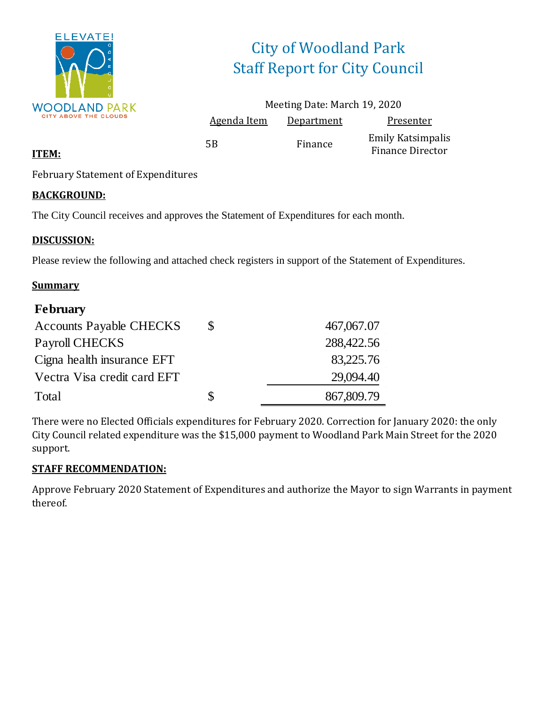

# City of Woodland Park Staff Report for City Council

|                    | Meeting Date: March 19, 2020 |                                                     |
|--------------------|------------------------------|-----------------------------------------------------|
| <b>Agenda Item</b> | Department                   | Presenter                                           |
| 5B                 | Finance                      | <b>Emily Katsimpalis</b><br><b>Finance Director</b> |

### **ITEM:**

February Statement of Expenditures

### **BACKGROUND:**

The City Council receives and approves the Statement of Expenditures for each month.

### **DISCUSSION:**

Please review the following and attached check registers in support of the Statement of Expenditures.

### **Summary**

| <b>February</b>                |    |            |
|--------------------------------|----|------------|
| <b>Accounts Payable CHECKS</b> | \$ | 467,067.07 |
| Payroll CHECKS                 |    | 288,422.56 |
| Cigna health insurance EFT     |    | 83,225.76  |
| Vectra Visa credit card EFT    |    | 29,094.40  |
| Total                          | S  | 867,809.79 |

There were no Elected Officials expenditures for February 2020. Correction for January 2020: the only City Council related expenditure was the \$15,000 payment to Woodland Park Main Street for the 2020 support.

### **STAFF RECOMMENDATION:**

Approve February 2020 Statement of Expenditures and authorize the Mayor to sign Warrants in payment thereof.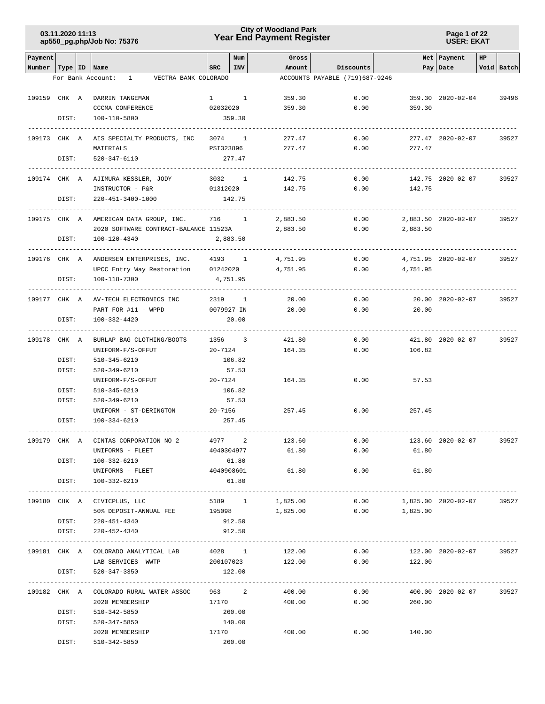**Page 1 of 22 USER: EKAT**

| Payment                   |                |                                                           |           | Num             | Gross            |                                |                | Net Payment         | HP |                 |
|---------------------------|----------------|-----------------------------------------------------------|-----------|-----------------|------------------|--------------------------------|----------------|---------------------|----|-----------------|
| Number   Type   ID   Name |                |                                                           | SRC       | <b>INV</b>      | Amount           | Discounts                      |                | Pay Date            |    | Void Batch      |
|                           |                | VECTRA BANK COLORADO<br>For Bank Account:<br>$\mathbf{1}$ |           |                 |                  | ACCOUNTS PAYABLE (719)687-9246 |                |                     |    |                 |
|                           |                |                                                           |           |                 |                  |                                |                |                     |    |                 |
| 109159 CHK A              |                | DARRIN TANGEMAN                                           |           | $1 \quad 1$     | 359.30           | 0.00                           |                | 359.30 2020-02-04   |    | 39496           |
|                           |                | CCCMA CONFERENCE                                          | 02032020  |                 | 359.30           | 0.00                           | 359.30         |                     |    |                 |
|                           | DIST:          | 100-110-5800                                              |           | 359.30          |                  |                                |                |                     |    |                 |
|                           |                |                                                           |           |                 |                  |                                |                |                     |    |                 |
| 109173 CHK A              |                | AIS SPECIALTY PRODUCTS, INC                               |           | 3074 1          | 277.47           | 0.00                           |                | 277.47 2020-02-07   |    | 39527           |
|                           |                | MATERIALS                                                 | PSI323896 |                 | 277.47           | 0.00                           | 277.47         |                     |    |                 |
|                           | DIST:          | 520-347-6110                                              |           | 277.47          |                  |                                |                |                     |    |                 |
|                           |                |                                                           |           |                 |                  |                                |                |                     |    |                 |
| 109174 CHK A              |                | AJIMURA-KESSLER, JODY                                     | 3032 1    |                 | 142.75           | 0.00                           |                | 142.75 2020-02-07   |    | 39527           |
|                           |                | INSTRUCTOR - P&R                                          |           | 01312020        | 142.75           | 0.00                           | 142.75         |                     |    |                 |
|                           | DIST:          | 220-451-3400-1000<br>---------------------                |           | 142.75          |                  |                                |                |                     |    |                 |
| 109175 CHK A              |                | AMERICAN DATA GROUP, INC.                                 |           | 716 1           | 2,883.50         | 0.00                           |                | 2,883.50 2020-02-07 |    | 39527           |
|                           |                | 2020 SOFTWARE CONTRACT-BALANCE 11523A                     |           |                 | 2,883.50         | 0.00                           | 2,883.50       |                     |    |                 |
|                           | DIST:          | 100-120-4340                                              |           | 2,883.50        |                  |                                |                |                     |    |                 |
|                           |                |                                                           |           |                 |                  |                                |                |                     |    |                 |
| 109176 CHK A              |                | ANDERSEN ENTERPRISES, INC.                                |           | 4193 1          | 4,751.95         | 0.00                           |                | 4,751.95 2020-02-07 |    | 39527           |
|                           |                | UPCC Entry Way Restoration 01242020                       |           |                 | 4,751.95         | 0.00                           | 4,751.95       |                     |    |                 |
|                           | DIST:          | 100-118-7300                                              | 4,751.95  |                 |                  |                                |                |                     |    |                 |
|                           |                |                                                           |           |                 |                  |                                |                |                     |    |                 |
| 109177 CHK A              |                | AV-TECH ELECTRONICS INC                                   | 2319      | $\mathbf{1}$    | 20.00            | 0.00                           |                | 20.00 2020-02-07    |    | 39527           |
|                           |                | PART FOR #11 - WPPD                                       |           | 0079927-IN      | 20.00            | 0.00                           | 20.00          |                     |    |                 |
|                           | DIST:          | 100-332-4420                                              |           | 20.00           |                  |                                |                |                     |    |                 |
|                           |                |                                                           |           |                 |                  |                                |                |                     |    |                 |
| 109178 CHK A              |                | BURLAP BAG CLOTHING/BOOTS                                 |           | 1356 3          | 421.80           | 0.00                           |                | 421.80 2020-02-07   |    | 39527           |
|                           |                | UNIFORM-F/S-OFFUT                                         | 20-7124   |                 | 164.35           | 0.00                           | 106.82         |                     |    |                 |
|                           | DIST:<br>DIST: | 510-345-6210<br>520-349-6210                              |           | 106.82<br>57.53 |                  |                                |                |                     |    |                 |
|                           |                | UNIFORM-F/S-OFFUT                                         | 20-7124   |                 | 164.35           | 0.00                           | 57.53          |                     |    |                 |
|                           | DIST:          | 510-345-6210                                              |           | 106.82          |                  |                                |                |                     |    |                 |
|                           | DIST:          | 520-349-6210                                              |           | 57.53           |                  |                                |                |                     |    |                 |
|                           |                | UNIFORM - ST-DERINGTON                                    | 20-7156   |                 | 257.45           | 0.00                           | 257.45         |                     |    |                 |
|                           | DIST:          | 100-334-6210                                              |           | 257.45          |                  |                                |                |                     |    |                 |
|                           |                |                                                           |           |                 |                  |                                |                |                     |    |                 |
| 109179 CHK A              |                | CINTAS CORPORATION NO 2                                   | 4977      | 2               | 123.60           | 0.00                           |                | 123.60 2020-02-07   |    | 39527           |
|                           |                | UNIFORMS - FLEET                                          |           | 4040304977      | 61.80            | 0.00                           | 61.80          |                     |    |                 |
|                           | DIST:          | 100-332-6210                                              |           | 61.80           |                  |                                |                |                     |    |                 |
|                           |                | UNIFORMS - FLEET                                          |           | 4040908601      | 61.80            | 0.00                           | 61.80          |                     |    |                 |
|                           | DIST:          | 100-332-6210                                              |           | 61.80           |                  |                                |                |                     |    |                 |
|                           |                |                                                           |           |                 |                  |                                |                |                     |    |                 |
|                           |                | 109180 CHK A CIVICPLUS, LLC                               |           | 5189 1          | 1,825.00         | 0.00                           |                | 1,825.00 2020-02-07 |    | 39527           |
|                           |                | 50% DEPOSIT-ANNUAL FEE<br>DIST: 220-451-4340              | 195098    | 912.50          | 1,825.00         | 0.00                           | 1,825.00       |                     |    |                 |
|                           | DIST:          | 220-452-4340                                              |           | 912.50          |                  |                                |                |                     |    |                 |
|                           |                |                                                           |           |                 |                  |                                |                |                     |    |                 |
|                           |                | 109181 CHK A COLORADO ANALYTICAL LAB                      |           |                 | 4028 1<br>122.00 | 0.00                           |                | 122.00 2020-02-07   |    | 39527           |
|                           |                | LAB SERVICES- WWTP                                        |           |                 | 200107023 122.00 |                                | 0.00<br>122.00 |                     |    |                 |
|                           | DIST:          | 520-347-3350                                              |           | 122.00          |                  |                                |                |                     |    |                 |
|                           |                |                                                           |           |                 |                  |                                |                |                     |    | --------------- |
|                           |                | 109182 CHK A COLORADO RURAL WATER ASSOC 963 2             |           |                 | 400.00           | 0.00                           |                | 400.00 2020-02-07   |    | 39527           |
|                           |                | 2020 MEMBERSHIP                                           | 17170     |                 | 400.00           | 0.00                           | 260.00         |                     |    |                 |
|                           | DIST:          | 510-342-5850                                              |           | 260.00          |                  |                                |                |                     |    |                 |
|                           | DIST:          | 520-347-5850                                              |           | 140.00          |                  |                                |                |                     |    |                 |
|                           |                | 2020 MEMBERSHIP                                           | 17170     |                 | 400.00           | 0.00                           | 140.00         |                     |    |                 |
|                           | DIST:          | 510-342-5850                                              |           | 260.00          |                  |                                |                |                     |    |                 |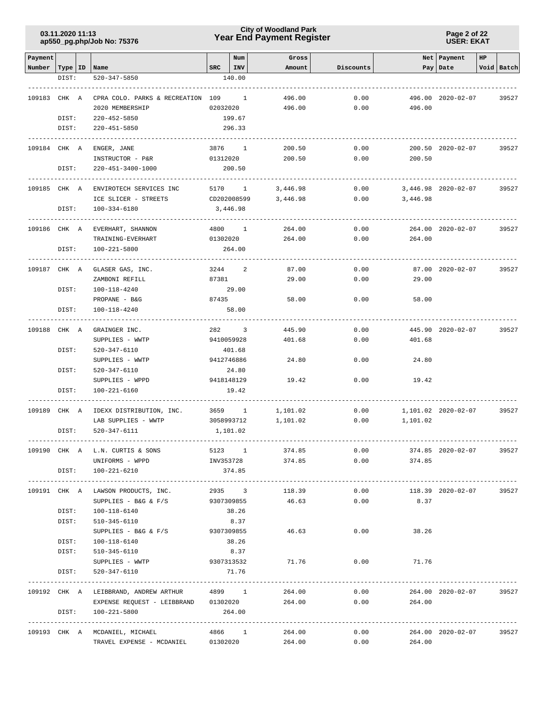**Page 2 of 22 USER: EKAT**

| Payment                   |                |                                                                                    |            | Num                    | Gross            |              |                | Net   Payment       | HP |            |
|---------------------------|----------------|------------------------------------------------------------------------------------|------------|------------------------|------------------|--------------|----------------|---------------------|----|------------|
| Number   Type   ID   Name |                |                                                                                    |            | SRC   INV              | Amount           | Discounts    |                | Pay Date            |    | Void Batch |
|                           | DIST:          | 520-347-5850                                                                       |            | 140.00                 |                  |              |                |                     |    |            |
|                           |                |                                                                                    |            |                        |                  |              |                |                     |    |            |
| 109183 CHK A              |                | CPRA COLO. PARKS & RECREATION 109 1                                                |            |                        | 496.00           | 0.00         |                | 496.00 2020-02-07   |    | 39527      |
|                           |                | 2020 MEMBERSHIP                                                                    |            | 02032020               | 496.00           | 0.00         | 496.00         |                     |    |            |
|                           | DIST:          | 220-452-5850                                                                       |            | 199.67                 |                  |              |                |                     |    |            |
|                           | DIST:          | 220-451-5850                                                                       |            | 296.33                 |                  |              |                |                     |    |            |
|                           |                |                                                                                    |            |                        |                  |              |                |                     |    |            |
| 109184 CHK A              |                | ENGER, JANE                                                                        |            | 3876 1                 | 200.50           | 0.00         |                | 200.50 2020-02-07   |    | 39527      |
|                           |                | INSTRUCTOR - P&R                                                                   |            | 01312020               | 200.50           | 0.00         | 200.50         |                     |    |            |
|                           | DIST:          | 220-451-3400-1000                                                                  |            | 200.50                 |                  |              |                |                     |    |            |
| 109185 CHK A              |                | ENVIROTECH SERVICES INC                                                            |            | 5170 1                 | 3,446.98         | 0.00         |                | 3,446.98 2020-02-07 |    | 39527      |
|                           |                | ICE SLICER - STREETS                                                               |            | CD202008599            | 3,446.98         | 0.00         | 3,446.98       |                     |    |            |
|                           | DIST:          | 100-334-6180                                                                       |            | 3,446.98               |                  |              |                |                     |    |            |
|                           |                |                                                                                    |            |                        |                  |              |                |                     |    |            |
| 109186 CHK A              |                | EVERHART, SHANNON                                                                  | 4800       | $\overline{1}$         | 264.00           | 0.00         |                | 264.00 2020-02-07   |    | 39527      |
|                           |                | TRAINING-EVERHART                                                                  | 01302020   |                        | 264.00           | 0.00         | 264.00         |                     |    |            |
|                           | DIST:          | 100-221-5800                                                                       |            | 264.00                 |                  |              |                |                     |    |            |
|                           |                |                                                                                    |            |                        |                  |              |                |                     |    |            |
| 109187 CHK A              |                | GLASER GAS, INC.                                                                   | 3244       | 2                      | 87.00            | 0.00         |                | 87.00 2020-02-07    |    | 39527      |
|                           |                | ZAMBONI REFILL                                                                     | 87381      |                        | 29.00            | 0.00         | 29.00          |                     |    |            |
|                           | DIST:          | 100-118-4240                                                                       |            | 29.00                  |                  |              |                |                     |    |            |
|                           |                | PROPANE - B&G                                                                      | 87435      |                        | 58.00            | 0.00         | 58.00          |                     |    |            |
|                           | DIST:          | 100-118-4240                                                                       |            | 58.00                  |                  |              |                |                     |    |            |
| 109188 CHK A              |                | GRAINGER INC.                                                                      |            | 282 3                  | 445.90           | 0.00         |                | 445.90 2020-02-07   |    | 39527      |
|                           |                | SUPPLIES - WWTP                                                                    |            | 9410059928             | 401.68           | 0.00         | 401.68         |                     |    |            |
|                           | DIST:          | 520-347-6110                                                                       |            | 401.68                 |                  |              |                |                     |    |            |
|                           |                | SUPPLIES - WWTP                                                                    |            | 9412746886             | 24.80            | 0.00         | 24.80          |                     |    |            |
|                           | DIST:          | 520-347-6110                                                                       |            | 24.80                  |                  |              |                |                     |    |            |
|                           |                | SUPPLIES - WPPD                                                                    |            | 9418148129             | 19.42            | 0.00         | 19.42          |                     |    |            |
|                           | DIST:          | 100-221-6160                                                                       |            | 19.42                  |                  |              |                |                     |    |            |
|                           |                |                                                                                    |            |                        |                  |              |                |                     |    |            |
| 109189 CHK A              |                | IDEXX DISTRIBUTION, INC.                                                           |            | 3659 1                 | 1,101.02         | 0.00         | 1,101.02       | 1,101.02 2020-02-07 |    | 39527      |
|                           | DIST:          | LAB SUPPLIES - WWTP<br>520-347-6111                                                |            | 3058993712<br>1,101.02 | 1,101.02         | 0.00         |                |                     |    |            |
|                           |                |                                                                                    |            |                        |                  |              |                |                     |    |            |
|                           |                | 109190 CHK A L.N. CURTIS & SONS                                                    |            |                        | 5123 1<br>374.85 |              | 0.00           | 374.85 2020-02-07   |    | 39527      |
|                           |                | UNIFORMS - WPPD                                                                    |            |                        | INV353728 374.85 |              | 0.00<br>374.85 |                     |    |            |
|                           |                | DIST: 100-221-6210                                                                 |            | 374.85                 |                  |              |                |                     |    |            |
|                           |                |                                                                                    |            |                        |                  |              |                |                     |    |            |
|                           |                | 109191 CHK A LAWSON PRODUCTS, INC.                                                 |            | 2935 3                 | 118.39           | 0.00         |                | 118.39 2020-02-07   |    | 39527      |
|                           |                | SUPPLIES - B&G & $F/S$                                                             | 9307309855 |                        | 46.63            | 0.00         | 8.37           |                     |    |            |
|                           | DIST:          | 100-118-6140                                                                       |            | 38.26                  |                  |              |                |                     |    |            |
|                           | DIST:          | 510-345-6110                                                                       |            | 8.37                   |                  |              |                |                     |    |            |
|                           |                | SUPPLIES - B&G & F/S 9307309855                                                    |            |                        | 46.63            | 0.00         | 38.26          |                     |    |            |
|                           | DIST:<br>DIST: | 100-118-6140                                                                       |            | 38.26                  |                  |              |                |                     |    |            |
|                           |                | 510-345-6110                                                                       |            | 8.37                   |                  | 0.00         |                |                     |    |            |
|                           | DIST:          | SUPPLIES - WWTP<br>520-347-6110                                                    | 9307313532 | 71.76                  | 71.76            |              | 71.76          |                     |    |            |
|                           |                |                                                                                    |            |                        |                  |              |                |                     |    |            |
|                           |                | 109192 CHK A LEIBBRAND, ANDREWARTHUR 4899 1 264.00                                 |            |                        |                  |              | 0.00           | 264.00 2020-02-07   |    | 39527      |
|                           |                | EXPENSE REQUEST - LEIBBRAND 01302020 264.00                                        |            |                        |                  |              | 0.00<br>264.00 |                     |    |            |
|                           | DIST:          | 100-221-5800                                                                       |            | 264.00                 |                  |              |                |                     |    |            |
|                           |                |                                                                                    |            |                        |                  |              |                |                     |    |            |
|                           |                | 109193 CHK A MCDANIEL, MICHAEL 4866 1 264.00<br>TRAVEL EXPENSE - MCDANIEL 01302020 |            |                        | 264.00           | 0.00<br>0.00 | 264.00         | 264.00 2020-02-07   |    | 39527      |
|                           |                |                                                                                    |            |                        |                  |              |                |                     |    |            |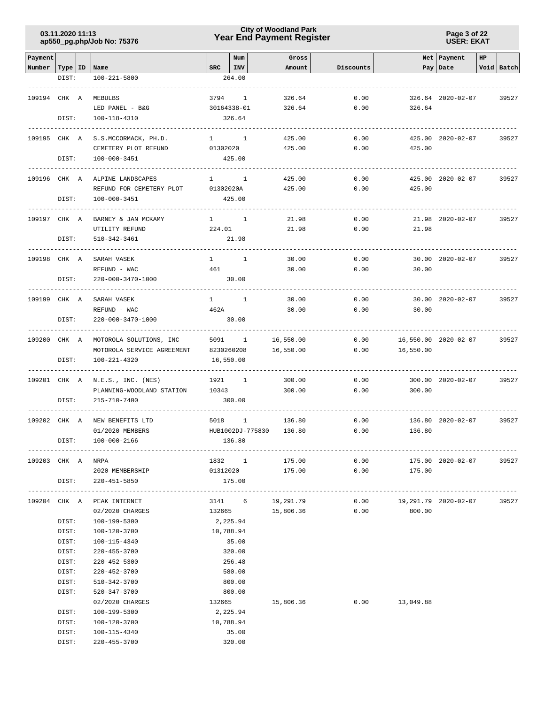**Page 3 of 22 USER: EKAT**

| Payment           |       |                                           |                   | Num              | Gross                                |           |                             | Net   Payment        | HP |            |
|-------------------|-------|-------------------------------------------|-------------------|------------------|--------------------------------------|-----------|-----------------------------|----------------------|----|------------|
| Number            |       | Type   ID   Name                          | $_{\rm SRC}$      | INV              | Amount                               | Discounts |                             | Pay   Date           |    | Void Batch |
|                   | DIST: | 100-221-5800                              |                   | 264.00           |                                      |           |                             |                      |    |            |
| 109194 CHK A      |       | MEBULBS                                   | 3794              | $\overline{1}$   | 326.64                               | 0.00      |                             | 326.64 2020-02-07    |    | 39527      |
|                   |       | LED PANEL - B&G                           |                   | 30164338-01      | 326.64                               | 0.00      | 326.64                      |                      |    |            |
|                   | DIST: | 100-118-4310                              |                   | 326.64           |                                      |           |                             |                      |    |            |
|                   |       |                                           |                   |                  |                                      |           |                             |                      |    |            |
| 109195 CHK A      |       | S.S.MCCORMACK, PH.D.                      | 01302020          | $1 \quad 1$      | 425.00                               | 0.00      |                             | 425.00 2020-02-07    |    | 39527      |
|                   | DIST: | CEMETERY PLOT REFUND<br>100-000-3451      |                   | 425.00           | 425.00                               | 0.00      | 425.00                      |                      |    |            |
|                   |       |                                           |                   |                  |                                      |           |                             |                      |    |            |
| 109196 CHK A      |       | ALPINE LANDSCAPES                         | $1 \quad \cdots$  | <sup>1</sup>     | 425.00                               | 0.00      |                             | 425.00 2020-02-07    |    | 39527      |
|                   |       | REFUND FOR CEMETERY PLOT                  | 01302020A         |                  | 425.00                               | 0.00      | 425.00                      |                      |    |            |
|                   | DIST: | 100-000-3451                              |                   | 425.00           |                                      |           |                             |                      |    |            |
| 109197 CHK A      |       | BARNEY & JAN MCKAMY                       | $1 \qquad \qquad$ | <sup>1</sup>     | 21.98                                | 0.00      |                             | 21.98 2020-02-07     |    | 39527      |
|                   |       | UTILITY REFUND                            | 224.01            |                  | 21.98                                | 0.00      | 21.98                       |                      |    |            |
|                   | DIST: | 510-342-3461                              |                   | 21.98            |                                      |           |                             |                      |    |            |
|                   |       |                                           |                   |                  |                                      |           |                             |                      |    |            |
| 109198 CHK A      |       | SARAH VASEK                               | $\mathbf{1}$      | 1                | 30.00                                | 0.00      |                             | 30.00 2020-02-07     |    | 39527      |
|                   |       | REFUND - WAC                              | 461               |                  | 30.00                                | 0.00      | 30.00                       |                      |    |            |
|                   | DIST: | 220-000-3470-1000                         |                   | 30.00            |                                      |           |                             |                      |    |            |
| 109199 CHK A      |       | SARAH VASEK                               | $1 \quad \cdots$  | $\overline{1}$   | 30.00                                | 0.00      |                             | 30.00 2020-02-07     |    | 39527      |
|                   |       | REFUND - WAC                              | 462A              |                  | 30.00                                | 0.00      | 30.00                       |                      |    |            |
|                   | DIST: | 220-000-3470-1000                         |                   | 30.00            |                                      |           |                             |                      |    |            |
| 109200 CHK A      |       | MOTOROLA SOLUTIONS, INC                   |                   | 5091 1           | 16,550.00                            | 0.00      |                             | 16,550.00 2020-02-07 |    | 39527      |
|                   |       | MOTOROLA SERVICE AGREEMENT                |                   | 8230260208       | 16,550.00                            | 0.00      | 16,550.00                   |                      |    |            |
|                   | DIST: | 100-221-4320                              |                   | 16,550.00        |                                      |           |                             |                      |    |            |
|                   |       |                                           |                   |                  |                                      |           |                             |                      |    |            |
| 109201 CHK A      |       | N.E.S., INC. (NES)                        | 1921              | 1                | 300.00                               | 0.00      |                             | 300.00 2020-02-07    |    | 39527      |
|                   | DIST: | PLANNING-WOODLAND STATION<br>215-710-7400 | 10343             | 300.00           | 300.00                               | 0.00      | 300.00                      |                      |    |            |
|                   |       |                                           |                   |                  |                                      |           |                             |                      |    |            |
| 109202 CHK A      |       | NEW BENEFITS LTD                          | 5018              | $\mathbf{1}$     | 136.80                               | 0.00      |                             | 136.80 2020-02-07    |    | 39527      |
|                   |       | 01/2020 MEMBERS                           |                   | HUB1002DJ-775830 | 136.80                               | 0.00      | 136.80                      |                      |    |            |
|                   | DIST: | $100 - 000 - 2166$                        |                   | 136.80           |                                      |           |                             |                      |    |            |
| 109203 CHK A NRPA |       |                                           |                   |                  | 1832 1 175.00                        |           | 0.00                        | 175.00 2020-02-07    |    | 39527      |
|                   |       | 2020 MEMBERSHIP                           |                   |                  |                                      |           | 01312020 175.00 0.00 175.00 |                      |    |            |
|                   |       | DIST: 220-451-5850                        |                   | 175.00           |                                      |           |                             |                      |    |            |
|                   |       |                                           |                   |                  |                                      |           |                             |                      |    |            |
|                   |       | 109204 CHK A PEAK INTERNET                |                   |                  | 3141 6 19,291.79<br>132665 15,806.36 |           | $0.00$ 19,291.79 2020-02-07 |                      |    | 39527      |
|                   | DIST: | 02/2020 CHARGES<br>100-199-5300           | 2,225.94          |                  |                                      | 0.00      | 800.00                      |                      |    |            |
|                   | DIST: | 100-120-3700                              | 10,788.94         |                  |                                      |           |                             |                      |    |            |
|                   | DIST: | 100-115-4340                              |                   | 35.00            |                                      |           |                             |                      |    |            |
|                   | DIST: | $220 - 455 - 3700$                        |                   | 320.00           |                                      |           |                             |                      |    |            |
|                   | DIST: | 220-452-5300                              |                   | 256.48           |                                      |           |                             |                      |    |            |
|                   | DIST: | 220-452-3700                              |                   | 580.00           |                                      |           |                             |                      |    |            |
|                   | DIST: | 510-342-3700                              |                   | 800.00           |                                      |           |                             |                      |    |            |
|                   | DIST: | 520-347-3700                              |                   | 800.00           |                                      |           |                             |                      |    |            |
|                   |       | 02/2020 CHARGES                           | 132665            |                  | 15,806.36                            |           | $0.00$ 13,049.88            |                      |    |            |
|                   | DIST: | 100-199-5300                              | 2,225.94          |                  |                                      |           |                             |                      |    |            |
|                   | DIST: | 100-120-3700                              | 10,788.94         |                  |                                      |           |                             |                      |    |            |
|                   | DIST: | 100-115-4340                              |                   | 35.00            |                                      |           |                             |                      |    |            |
|                   | DIST: | 220-455-3700                              |                   | 320.00           |                                      |           |                             |                      |    |            |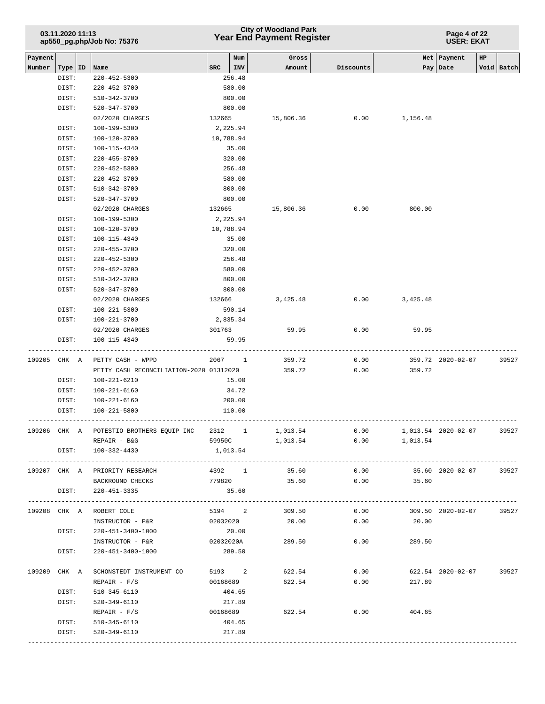| Payment<br>Net   Payment<br>Num<br>Gross<br>HP<br><b>SRC</b><br>Void Batch<br>Number<br>Type   ID<br>INV<br>Discounts<br>Date<br>Name<br>Amount<br>Pay<br>DIST:<br>256.48<br>$220 - 452 - 5300$<br>580.00<br>DIST:<br>220-452-3700<br>DIST:<br>510-342-3700<br>800.00<br>DIST:<br>520-347-3700<br>800.00<br>02/2020 CHARGES<br>0.00<br>132665<br>15,806.36<br>1,156.48<br>DIST:<br>100-199-5300<br>2,225.94<br>10,788.94<br>DIST:<br>100-120-3700<br>$100 - 115 - 4340$<br>35.00<br>DIST:<br>DIST:<br>$220 - 455 - 3700$<br>320.00<br>256.48<br>DIST:<br>220-452-5300<br>DIST:<br>220-452-3700<br>580.00<br>800.00<br>DIST:<br>510-342-3700<br>DIST:<br>520-347-3700<br>800.00<br>132665<br>0.00<br>800.00<br>02/2020 CHARGES<br>15,806.36<br>2,225.94<br>DIST:<br>100-199-5300<br>100-120-3700<br>10,788.94<br>DIST:<br>100-115-4340<br>35.00<br>DIST:<br>320.00<br>DIST:<br>$220 - 455 - 3700$<br>256.48<br>DIST:<br>220-452-5300<br>580.00<br>DIST:<br>220-452-3700<br>$510 - 342 - 3700$<br>800.00<br>DIST:<br>DIST:<br>520-347-3700<br>800.00<br>02/2020 CHARGES<br>0.00<br>132666<br>3,425.48<br>3,425.48<br>DIST:<br>100-221-5300<br>590.14<br>100-221-3700<br>2,835.34<br>DIST:<br>02/2020 CHARGES<br>301763<br>59.95<br>0.00<br>59.95<br>100-115-4340<br>DIST:<br>59.95<br>109205 CHK A<br>PETTY CASH - WPPD<br>2067<br>359.72<br>0.00<br>359.72 2020-02-07<br>$\sim$ 1<br>359.72<br>0.00<br>359.72<br>PETTY CASH RECONCILIATION-2020 01312020<br>DIST:<br>100-221-6210<br>15.00<br>$100 - 221 - 6160$<br>34.72<br>DIST:<br>200.00<br>DIST:<br>100-221-6160<br>DIST:<br>100-221-5800<br>110.00<br>109206 CHK A POTESTIO BROTHERS EQUIP INC 2312 1 1,013.54<br>$0.00$ 1,013.54 2020-02-07<br>REPAIR - B&G<br>59950C<br>1,013.54<br>$0.00$ 1,013.54<br>DIST:<br>100-332-4430<br>1,013.54<br>109207 CHK A PRIORITY RESEARCH<br>4392 1<br>35.60<br>0.00<br>35.60 2020-02-07<br>35.60<br>0.00<br>BACKROUND CHECKS<br>779820<br>35.60<br>35.60<br>DIST:<br>220-451-3335<br>5194 2<br>$0.00$ 309.50 2020-02-07<br>109208 CHK A ROBERT COLE<br>309.50<br>02032020<br>0.00<br>INSTRUCTOR - P&R<br>20.00<br>20.00<br>20.00<br>DIST:<br>220-451-3400-1000<br>INSTRUCTOR - P&R<br>02032020A 289.50<br>0.00<br>289.50<br>289.50<br>DIST:<br>220-451-3400-1000<br>109209 CHK A SCHONSTEDT INSTRUMENT CO<br>5193 2<br>622.54<br>0.00<br>622.54 2020-02-07<br>0.00<br>$REPAIR - F/S$<br>00168689<br>622.54<br>217.89<br>510-345-6110<br>404.65<br>DIST:<br>DIST:<br>520-349-6110<br>217.89<br>$0.00$ 404.65<br>00168689<br>622.54<br>$REPAIR - F/S$<br>510-345-6110<br>DIST:<br>404.65<br>DIST:<br>520-349-6110<br>217.89 | 03.11.2020 11:13 |  | ap550_pg.php/Job No: 75376 |  |  | <b>City of Woodland Park</b><br><b>Year End Payment Register</b> | Page 4 of 22<br><b>USER: EKAT</b> |  |  |       |  |  |
|--------------------------------------------------------------------------------------------------------------------------------------------------------------------------------------------------------------------------------------------------------------------------------------------------------------------------------------------------------------------------------------------------------------------------------------------------------------------------------------------------------------------------------------------------------------------------------------------------------------------------------------------------------------------------------------------------------------------------------------------------------------------------------------------------------------------------------------------------------------------------------------------------------------------------------------------------------------------------------------------------------------------------------------------------------------------------------------------------------------------------------------------------------------------------------------------------------------------------------------------------------------------------------------------------------------------------------------------------------------------------------------------------------------------------------------------------------------------------------------------------------------------------------------------------------------------------------------------------------------------------------------------------------------------------------------------------------------------------------------------------------------------------------------------------------------------------------------------------------------------------------------------------------------------------------------------------------------------------------------------------------------------------------------------------------------------------------------------------------------------------------------------------------------------------------------------------------------------------------------------------------------------------------------------------------------------------------------------------------------------------------------------------------------------------------------------------------------------------------------------------------------------------------------------------------------------------------------------------------------------|------------------|--|----------------------------|--|--|------------------------------------------------------------------|-----------------------------------|--|--|-------|--|--|
|                                                                                                                                                                                                                                                                                                                                                                                                                                                                                                                                                                                                                                                                                                                                                                                                                                                                                                                                                                                                                                                                                                                                                                                                                                                                                                                                                                                                                                                                                                                                                                                                                                                                                                                                                                                                                                                                                                                                                                                                                                                                                                                                                                                                                                                                                                                                                                                                                                                                                                                                                                                                                    |                  |  |                            |  |  |                                                                  |                                   |  |  |       |  |  |
|                                                                                                                                                                                                                                                                                                                                                                                                                                                                                                                                                                                                                                                                                                                                                                                                                                                                                                                                                                                                                                                                                                                                                                                                                                                                                                                                                                                                                                                                                                                                                                                                                                                                                                                                                                                                                                                                                                                                                                                                                                                                                                                                                                                                                                                                                                                                                                                                                                                                                                                                                                                                                    |                  |  |                            |  |  |                                                                  |                                   |  |  |       |  |  |
|                                                                                                                                                                                                                                                                                                                                                                                                                                                                                                                                                                                                                                                                                                                                                                                                                                                                                                                                                                                                                                                                                                                                                                                                                                                                                                                                                                                                                                                                                                                                                                                                                                                                                                                                                                                                                                                                                                                                                                                                                                                                                                                                                                                                                                                                                                                                                                                                                                                                                                                                                                                                                    |                  |  |                            |  |  |                                                                  |                                   |  |  |       |  |  |
|                                                                                                                                                                                                                                                                                                                                                                                                                                                                                                                                                                                                                                                                                                                                                                                                                                                                                                                                                                                                                                                                                                                                                                                                                                                                                                                                                                                                                                                                                                                                                                                                                                                                                                                                                                                                                                                                                                                                                                                                                                                                                                                                                                                                                                                                                                                                                                                                                                                                                                                                                                                                                    |                  |  |                            |  |  |                                                                  |                                   |  |  |       |  |  |
|                                                                                                                                                                                                                                                                                                                                                                                                                                                                                                                                                                                                                                                                                                                                                                                                                                                                                                                                                                                                                                                                                                                                                                                                                                                                                                                                                                                                                                                                                                                                                                                                                                                                                                                                                                                                                                                                                                                                                                                                                                                                                                                                                                                                                                                                                                                                                                                                                                                                                                                                                                                                                    |                  |  |                            |  |  |                                                                  |                                   |  |  |       |  |  |
|                                                                                                                                                                                                                                                                                                                                                                                                                                                                                                                                                                                                                                                                                                                                                                                                                                                                                                                                                                                                                                                                                                                                                                                                                                                                                                                                                                                                                                                                                                                                                                                                                                                                                                                                                                                                                                                                                                                                                                                                                                                                                                                                                                                                                                                                                                                                                                                                                                                                                                                                                                                                                    |                  |  |                            |  |  |                                                                  |                                   |  |  |       |  |  |
|                                                                                                                                                                                                                                                                                                                                                                                                                                                                                                                                                                                                                                                                                                                                                                                                                                                                                                                                                                                                                                                                                                                                                                                                                                                                                                                                                                                                                                                                                                                                                                                                                                                                                                                                                                                                                                                                                                                                                                                                                                                                                                                                                                                                                                                                                                                                                                                                                                                                                                                                                                                                                    |                  |  |                            |  |  |                                                                  |                                   |  |  |       |  |  |
|                                                                                                                                                                                                                                                                                                                                                                                                                                                                                                                                                                                                                                                                                                                                                                                                                                                                                                                                                                                                                                                                                                                                                                                                                                                                                                                                                                                                                                                                                                                                                                                                                                                                                                                                                                                                                                                                                                                                                                                                                                                                                                                                                                                                                                                                                                                                                                                                                                                                                                                                                                                                                    |                  |  |                            |  |  |                                                                  |                                   |  |  |       |  |  |
|                                                                                                                                                                                                                                                                                                                                                                                                                                                                                                                                                                                                                                                                                                                                                                                                                                                                                                                                                                                                                                                                                                                                                                                                                                                                                                                                                                                                                                                                                                                                                                                                                                                                                                                                                                                                                                                                                                                                                                                                                                                                                                                                                                                                                                                                                                                                                                                                                                                                                                                                                                                                                    |                  |  |                            |  |  |                                                                  |                                   |  |  |       |  |  |
|                                                                                                                                                                                                                                                                                                                                                                                                                                                                                                                                                                                                                                                                                                                                                                                                                                                                                                                                                                                                                                                                                                                                                                                                                                                                                                                                                                                                                                                                                                                                                                                                                                                                                                                                                                                                                                                                                                                                                                                                                                                                                                                                                                                                                                                                                                                                                                                                                                                                                                                                                                                                                    |                  |  |                            |  |  |                                                                  |                                   |  |  |       |  |  |
|                                                                                                                                                                                                                                                                                                                                                                                                                                                                                                                                                                                                                                                                                                                                                                                                                                                                                                                                                                                                                                                                                                                                                                                                                                                                                                                                                                                                                                                                                                                                                                                                                                                                                                                                                                                                                                                                                                                                                                                                                                                                                                                                                                                                                                                                                                                                                                                                                                                                                                                                                                                                                    |                  |  |                            |  |  |                                                                  |                                   |  |  |       |  |  |
|                                                                                                                                                                                                                                                                                                                                                                                                                                                                                                                                                                                                                                                                                                                                                                                                                                                                                                                                                                                                                                                                                                                                                                                                                                                                                                                                                                                                                                                                                                                                                                                                                                                                                                                                                                                                                                                                                                                                                                                                                                                                                                                                                                                                                                                                                                                                                                                                                                                                                                                                                                                                                    |                  |  |                            |  |  |                                                                  |                                   |  |  |       |  |  |
|                                                                                                                                                                                                                                                                                                                                                                                                                                                                                                                                                                                                                                                                                                                                                                                                                                                                                                                                                                                                                                                                                                                                                                                                                                                                                                                                                                                                                                                                                                                                                                                                                                                                                                                                                                                                                                                                                                                                                                                                                                                                                                                                                                                                                                                                                                                                                                                                                                                                                                                                                                                                                    |                  |  |                            |  |  |                                                                  |                                   |  |  |       |  |  |
|                                                                                                                                                                                                                                                                                                                                                                                                                                                                                                                                                                                                                                                                                                                                                                                                                                                                                                                                                                                                                                                                                                                                                                                                                                                                                                                                                                                                                                                                                                                                                                                                                                                                                                                                                                                                                                                                                                                                                                                                                                                                                                                                                                                                                                                                                                                                                                                                                                                                                                                                                                                                                    |                  |  |                            |  |  |                                                                  |                                   |  |  |       |  |  |
|                                                                                                                                                                                                                                                                                                                                                                                                                                                                                                                                                                                                                                                                                                                                                                                                                                                                                                                                                                                                                                                                                                                                                                                                                                                                                                                                                                                                                                                                                                                                                                                                                                                                                                                                                                                                                                                                                                                                                                                                                                                                                                                                                                                                                                                                                                                                                                                                                                                                                                                                                                                                                    |                  |  |                            |  |  |                                                                  |                                   |  |  |       |  |  |
|                                                                                                                                                                                                                                                                                                                                                                                                                                                                                                                                                                                                                                                                                                                                                                                                                                                                                                                                                                                                                                                                                                                                                                                                                                                                                                                                                                                                                                                                                                                                                                                                                                                                                                                                                                                                                                                                                                                                                                                                                                                                                                                                                                                                                                                                                                                                                                                                                                                                                                                                                                                                                    |                  |  |                            |  |  |                                                                  |                                   |  |  |       |  |  |
|                                                                                                                                                                                                                                                                                                                                                                                                                                                                                                                                                                                                                                                                                                                                                                                                                                                                                                                                                                                                                                                                                                                                                                                                                                                                                                                                                                                                                                                                                                                                                                                                                                                                                                                                                                                                                                                                                                                                                                                                                                                                                                                                                                                                                                                                                                                                                                                                                                                                                                                                                                                                                    |                  |  |                            |  |  |                                                                  |                                   |  |  |       |  |  |
|                                                                                                                                                                                                                                                                                                                                                                                                                                                                                                                                                                                                                                                                                                                                                                                                                                                                                                                                                                                                                                                                                                                                                                                                                                                                                                                                                                                                                                                                                                                                                                                                                                                                                                                                                                                                                                                                                                                                                                                                                                                                                                                                                                                                                                                                                                                                                                                                                                                                                                                                                                                                                    |                  |  |                            |  |  |                                                                  |                                   |  |  |       |  |  |
|                                                                                                                                                                                                                                                                                                                                                                                                                                                                                                                                                                                                                                                                                                                                                                                                                                                                                                                                                                                                                                                                                                                                                                                                                                                                                                                                                                                                                                                                                                                                                                                                                                                                                                                                                                                                                                                                                                                                                                                                                                                                                                                                                                                                                                                                                                                                                                                                                                                                                                                                                                                                                    |                  |  |                            |  |  |                                                                  |                                   |  |  |       |  |  |
|                                                                                                                                                                                                                                                                                                                                                                                                                                                                                                                                                                                                                                                                                                                                                                                                                                                                                                                                                                                                                                                                                                                                                                                                                                                                                                                                                                                                                                                                                                                                                                                                                                                                                                                                                                                                                                                                                                                                                                                                                                                                                                                                                                                                                                                                                                                                                                                                                                                                                                                                                                                                                    |                  |  |                            |  |  |                                                                  |                                   |  |  |       |  |  |
|                                                                                                                                                                                                                                                                                                                                                                                                                                                                                                                                                                                                                                                                                                                                                                                                                                                                                                                                                                                                                                                                                                                                                                                                                                                                                                                                                                                                                                                                                                                                                                                                                                                                                                                                                                                                                                                                                                                                                                                                                                                                                                                                                                                                                                                                                                                                                                                                                                                                                                                                                                                                                    |                  |  |                            |  |  |                                                                  |                                   |  |  |       |  |  |
|                                                                                                                                                                                                                                                                                                                                                                                                                                                                                                                                                                                                                                                                                                                                                                                                                                                                                                                                                                                                                                                                                                                                                                                                                                                                                                                                                                                                                                                                                                                                                                                                                                                                                                                                                                                                                                                                                                                                                                                                                                                                                                                                                                                                                                                                                                                                                                                                                                                                                                                                                                                                                    |                  |  |                            |  |  |                                                                  |                                   |  |  |       |  |  |
|                                                                                                                                                                                                                                                                                                                                                                                                                                                                                                                                                                                                                                                                                                                                                                                                                                                                                                                                                                                                                                                                                                                                                                                                                                                                                                                                                                                                                                                                                                                                                                                                                                                                                                                                                                                                                                                                                                                                                                                                                                                                                                                                                                                                                                                                                                                                                                                                                                                                                                                                                                                                                    |                  |  |                            |  |  |                                                                  |                                   |  |  |       |  |  |
|                                                                                                                                                                                                                                                                                                                                                                                                                                                                                                                                                                                                                                                                                                                                                                                                                                                                                                                                                                                                                                                                                                                                                                                                                                                                                                                                                                                                                                                                                                                                                                                                                                                                                                                                                                                                                                                                                                                                                                                                                                                                                                                                                                                                                                                                                                                                                                                                                                                                                                                                                                                                                    |                  |  |                            |  |  |                                                                  |                                   |  |  |       |  |  |
|                                                                                                                                                                                                                                                                                                                                                                                                                                                                                                                                                                                                                                                                                                                                                                                                                                                                                                                                                                                                                                                                                                                                                                                                                                                                                                                                                                                                                                                                                                                                                                                                                                                                                                                                                                                                                                                                                                                                                                                                                                                                                                                                                                                                                                                                                                                                                                                                                                                                                                                                                                                                                    |                  |  |                            |  |  |                                                                  |                                   |  |  |       |  |  |
|                                                                                                                                                                                                                                                                                                                                                                                                                                                                                                                                                                                                                                                                                                                                                                                                                                                                                                                                                                                                                                                                                                                                                                                                                                                                                                                                                                                                                                                                                                                                                                                                                                                                                                                                                                                                                                                                                                                                                                                                                                                                                                                                                                                                                                                                                                                                                                                                                                                                                                                                                                                                                    |                  |  |                            |  |  |                                                                  |                                   |  |  |       |  |  |
|                                                                                                                                                                                                                                                                                                                                                                                                                                                                                                                                                                                                                                                                                                                                                                                                                                                                                                                                                                                                                                                                                                                                                                                                                                                                                                                                                                                                                                                                                                                                                                                                                                                                                                                                                                                                                                                                                                                                                                                                                                                                                                                                                                                                                                                                                                                                                                                                                                                                                                                                                                                                                    |                  |  |                            |  |  |                                                                  |                                   |  |  |       |  |  |
|                                                                                                                                                                                                                                                                                                                                                                                                                                                                                                                                                                                                                                                                                                                                                                                                                                                                                                                                                                                                                                                                                                                                                                                                                                                                                                                                                                                                                                                                                                                                                                                                                                                                                                                                                                                                                                                                                                                                                                                                                                                                                                                                                                                                                                                                                                                                                                                                                                                                                                                                                                                                                    |                  |  |                            |  |  |                                                                  |                                   |  |  |       |  |  |
|                                                                                                                                                                                                                                                                                                                                                                                                                                                                                                                                                                                                                                                                                                                                                                                                                                                                                                                                                                                                                                                                                                                                                                                                                                                                                                                                                                                                                                                                                                                                                                                                                                                                                                                                                                                                                                                                                                                                                                                                                                                                                                                                                                                                                                                                                                                                                                                                                                                                                                                                                                                                                    |                  |  |                            |  |  |                                                                  |                                   |  |  | 39527 |  |  |
|                                                                                                                                                                                                                                                                                                                                                                                                                                                                                                                                                                                                                                                                                                                                                                                                                                                                                                                                                                                                                                                                                                                                                                                                                                                                                                                                                                                                                                                                                                                                                                                                                                                                                                                                                                                                                                                                                                                                                                                                                                                                                                                                                                                                                                                                                                                                                                                                                                                                                                                                                                                                                    |                  |  |                            |  |  |                                                                  |                                   |  |  |       |  |  |
|                                                                                                                                                                                                                                                                                                                                                                                                                                                                                                                                                                                                                                                                                                                                                                                                                                                                                                                                                                                                                                                                                                                                                                                                                                                                                                                                                                                                                                                                                                                                                                                                                                                                                                                                                                                                                                                                                                                                                                                                                                                                                                                                                                                                                                                                                                                                                                                                                                                                                                                                                                                                                    |                  |  |                            |  |  |                                                                  |                                   |  |  |       |  |  |
|                                                                                                                                                                                                                                                                                                                                                                                                                                                                                                                                                                                                                                                                                                                                                                                                                                                                                                                                                                                                                                                                                                                                                                                                                                                                                                                                                                                                                                                                                                                                                                                                                                                                                                                                                                                                                                                                                                                                                                                                                                                                                                                                                                                                                                                                                                                                                                                                                                                                                                                                                                                                                    |                  |  |                            |  |  |                                                                  |                                   |  |  |       |  |  |
|                                                                                                                                                                                                                                                                                                                                                                                                                                                                                                                                                                                                                                                                                                                                                                                                                                                                                                                                                                                                                                                                                                                                                                                                                                                                                                                                                                                                                                                                                                                                                                                                                                                                                                                                                                                                                                                                                                                                                                                                                                                                                                                                                                                                                                                                                                                                                                                                                                                                                                                                                                                                                    |                  |  |                            |  |  |                                                                  |                                   |  |  |       |  |  |
|                                                                                                                                                                                                                                                                                                                                                                                                                                                                                                                                                                                                                                                                                                                                                                                                                                                                                                                                                                                                                                                                                                                                                                                                                                                                                                                                                                                                                                                                                                                                                                                                                                                                                                                                                                                                                                                                                                                                                                                                                                                                                                                                                                                                                                                                                                                                                                                                                                                                                                                                                                                                                    |                  |  |                            |  |  |                                                                  |                                   |  |  |       |  |  |
|                                                                                                                                                                                                                                                                                                                                                                                                                                                                                                                                                                                                                                                                                                                                                                                                                                                                                                                                                                                                                                                                                                                                                                                                                                                                                                                                                                                                                                                                                                                                                                                                                                                                                                                                                                                                                                                                                                                                                                                                                                                                                                                                                                                                                                                                                                                                                                                                                                                                                                                                                                                                                    |                  |  |                            |  |  |                                                                  |                                   |  |  | 39527 |  |  |
|                                                                                                                                                                                                                                                                                                                                                                                                                                                                                                                                                                                                                                                                                                                                                                                                                                                                                                                                                                                                                                                                                                                                                                                                                                                                                                                                                                                                                                                                                                                                                                                                                                                                                                                                                                                                                                                                                                                                                                                                                                                                                                                                                                                                                                                                                                                                                                                                                                                                                                                                                                                                                    |                  |  |                            |  |  |                                                                  |                                   |  |  |       |  |  |
|                                                                                                                                                                                                                                                                                                                                                                                                                                                                                                                                                                                                                                                                                                                                                                                                                                                                                                                                                                                                                                                                                                                                                                                                                                                                                                                                                                                                                                                                                                                                                                                                                                                                                                                                                                                                                                                                                                                                                                                                                                                                                                                                                                                                                                                                                                                                                                                                                                                                                                                                                                                                                    |                  |  |                            |  |  |                                                                  |                                   |  |  |       |  |  |
|                                                                                                                                                                                                                                                                                                                                                                                                                                                                                                                                                                                                                                                                                                                                                                                                                                                                                                                                                                                                                                                                                                                                                                                                                                                                                                                                                                                                                                                                                                                                                                                                                                                                                                                                                                                                                                                                                                                                                                                                                                                                                                                                                                                                                                                                                                                                                                                                                                                                                                                                                                                                                    |                  |  |                            |  |  |                                                                  |                                   |  |  | 39527 |  |  |
|                                                                                                                                                                                                                                                                                                                                                                                                                                                                                                                                                                                                                                                                                                                                                                                                                                                                                                                                                                                                                                                                                                                                                                                                                                                                                                                                                                                                                                                                                                                                                                                                                                                                                                                                                                                                                                                                                                                                                                                                                                                                                                                                                                                                                                                                                                                                                                                                                                                                                                                                                                                                                    |                  |  |                            |  |  |                                                                  |                                   |  |  |       |  |  |
|                                                                                                                                                                                                                                                                                                                                                                                                                                                                                                                                                                                                                                                                                                                                                                                                                                                                                                                                                                                                                                                                                                                                                                                                                                                                                                                                                                                                                                                                                                                                                                                                                                                                                                                                                                                                                                                                                                                                                                                                                                                                                                                                                                                                                                                                                                                                                                                                                                                                                                                                                                                                                    |                  |  |                            |  |  |                                                                  |                                   |  |  |       |  |  |
|                                                                                                                                                                                                                                                                                                                                                                                                                                                                                                                                                                                                                                                                                                                                                                                                                                                                                                                                                                                                                                                                                                                                                                                                                                                                                                                                                                                                                                                                                                                                                                                                                                                                                                                                                                                                                                                                                                                                                                                                                                                                                                                                                                                                                                                                                                                                                                                                                                                                                                                                                                                                                    |                  |  |                            |  |  |                                                                  |                                   |  |  | 39527 |  |  |
|                                                                                                                                                                                                                                                                                                                                                                                                                                                                                                                                                                                                                                                                                                                                                                                                                                                                                                                                                                                                                                                                                                                                                                                                                                                                                                                                                                                                                                                                                                                                                                                                                                                                                                                                                                                                                                                                                                                                                                                                                                                                                                                                                                                                                                                                                                                                                                                                                                                                                                                                                                                                                    |                  |  |                            |  |  |                                                                  |                                   |  |  |       |  |  |
|                                                                                                                                                                                                                                                                                                                                                                                                                                                                                                                                                                                                                                                                                                                                                                                                                                                                                                                                                                                                                                                                                                                                                                                                                                                                                                                                                                                                                                                                                                                                                                                                                                                                                                                                                                                                                                                                                                                                                                                                                                                                                                                                                                                                                                                                                                                                                                                                                                                                                                                                                                                                                    |                  |  |                            |  |  |                                                                  |                                   |  |  |       |  |  |
|                                                                                                                                                                                                                                                                                                                                                                                                                                                                                                                                                                                                                                                                                                                                                                                                                                                                                                                                                                                                                                                                                                                                                                                                                                                                                                                                                                                                                                                                                                                                                                                                                                                                                                                                                                                                                                                                                                                                                                                                                                                                                                                                                                                                                                                                                                                                                                                                                                                                                                                                                                                                                    |                  |  |                            |  |  |                                                                  |                                   |  |  |       |  |  |
|                                                                                                                                                                                                                                                                                                                                                                                                                                                                                                                                                                                                                                                                                                                                                                                                                                                                                                                                                                                                                                                                                                                                                                                                                                                                                                                                                                                                                                                                                                                                                                                                                                                                                                                                                                                                                                                                                                                                                                                                                                                                                                                                                                                                                                                                                                                                                                                                                                                                                                                                                                                                                    |                  |  |                            |  |  |                                                                  |                                   |  |  |       |  |  |
|                                                                                                                                                                                                                                                                                                                                                                                                                                                                                                                                                                                                                                                                                                                                                                                                                                                                                                                                                                                                                                                                                                                                                                                                                                                                                                                                                                                                                                                                                                                                                                                                                                                                                                                                                                                                                                                                                                                                                                                                                                                                                                                                                                                                                                                                                                                                                                                                                                                                                                                                                                                                                    |                  |  |                            |  |  |                                                                  |                                   |  |  | 39527 |  |  |
|                                                                                                                                                                                                                                                                                                                                                                                                                                                                                                                                                                                                                                                                                                                                                                                                                                                                                                                                                                                                                                                                                                                                                                                                                                                                                                                                                                                                                                                                                                                                                                                                                                                                                                                                                                                                                                                                                                                                                                                                                                                                                                                                                                                                                                                                                                                                                                                                                                                                                                                                                                                                                    |                  |  |                            |  |  |                                                                  |                                   |  |  |       |  |  |
|                                                                                                                                                                                                                                                                                                                                                                                                                                                                                                                                                                                                                                                                                                                                                                                                                                                                                                                                                                                                                                                                                                                                                                                                                                                                                                                                                                                                                                                                                                                                                                                                                                                                                                                                                                                                                                                                                                                                                                                                                                                                                                                                                                                                                                                                                                                                                                                                                                                                                                                                                                                                                    |                  |  |                            |  |  |                                                                  |                                   |  |  |       |  |  |
|                                                                                                                                                                                                                                                                                                                                                                                                                                                                                                                                                                                                                                                                                                                                                                                                                                                                                                                                                                                                                                                                                                                                                                                                                                                                                                                                                                                                                                                                                                                                                                                                                                                                                                                                                                                                                                                                                                                                                                                                                                                                                                                                                                                                                                                                                                                                                                                                                                                                                                                                                                                                                    |                  |  |                            |  |  |                                                                  |                                   |  |  |       |  |  |
|                                                                                                                                                                                                                                                                                                                                                                                                                                                                                                                                                                                                                                                                                                                                                                                                                                                                                                                                                                                                                                                                                                                                                                                                                                                                                                                                                                                                                                                                                                                                                                                                                                                                                                                                                                                                                                                                                                                                                                                                                                                                                                                                                                                                                                                                                                                                                                                                                                                                                                                                                                                                                    |                  |  |                            |  |  |                                                                  |                                   |  |  |       |  |  |
|                                                                                                                                                                                                                                                                                                                                                                                                                                                                                                                                                                                                                                                                                                                                                                                                                                                                                                                                                                                                                                                                                                                                                                                                                                                                                                                                                                                                                                                                                                                                                                                                                                                                                                                                                                                                                                                                                                                                                                                                                                                                                                                                                                                                                                                                                                                                                                                                                                                                                                                                                                                                                    |                  |  |                            |  |  |                                                                  |                                   |  |  |       |  |  |
|                                                                                                                                                                                                                                                                                                                                                                                                                                                                                                                                                                                                                                                                                                                                                                                                                                                                                                                                                                                                                                                                                                                                                                                                                                                                                                                                                                                                                                                                                                                                                                                                                                                                                                                                                                                                                                                                                                                                                                                                                                                                                                                                                                                                                                                                                                                                                                                                                                                                                                                                                                                                                    |                  |  |                            |  |  |                                                                  |                                   |  |  |       |  |  |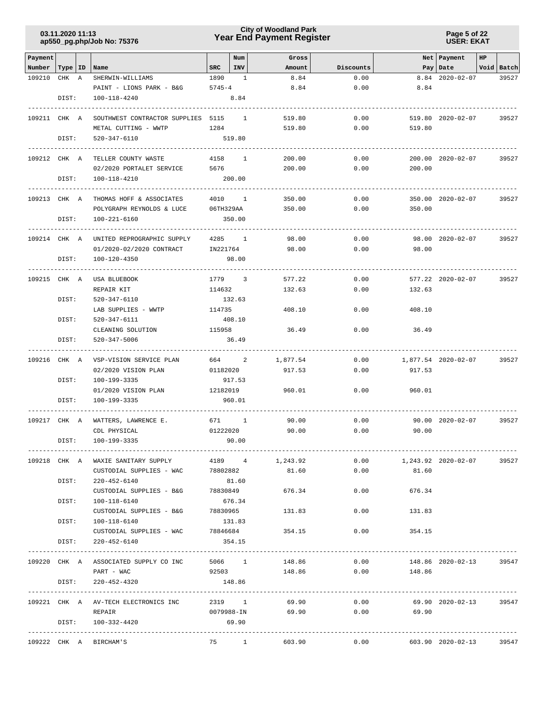# **Year End Payment Register City of Woodland Park 03.11.2020 11:13**

**Page 5 of 22 USER: EKAT**

| Payment                   |       |                                                                         |                    | Num           | Gross                          |              |                                            | Net   Payment       | HP |            |
|---------------------------|-------|-------------------------------------------------------------------------|--------------------|---------------|--------------------------------|--------------|--------------------------------------------|---------------------|----|------------|
| Number   Type   ID   Name |       |                                                                         | $_{\rm SRC}$       | INV           | Amount                         | Discounts    |                                            | Pay   Date          |    | Void Batch |
| 109210                    | CHK A | SHERWIN-WILLIAMS                                                        | 1890               | $\frac{1}{2}$ | 8.84                           | 0.00         |                                            | 8.84 2020-02-07     |    | 39527      |
|                           |       | PAINT - LIONS PARK - B&G                                                | $5745 - 4$         |               | 8.84                           | 0.00         | 8.84                                       |                     |    |            |
|                           | DIST: | 100-118-4240                                                            |                    | 8.84          |                                |              |                                            |                     |    |            |
| 109211 CHK A              |       | SOUTHWEST CONTRACTOR SUPPLIES 5115 1                                    |                    |               | 519.80                         | 0.00         |                                            | 519.80 2020-02-07   |    | 39527      |
|                           |       | METAL CUTTING - WWTP                                                    | 1284               |               | 519.80                         | 0.00         | 519.80                                     |                     |    |            |
|                           | DIST: | 520-347-6110                                                            | 519.80             |               |                                |              |                                            |                     |    |            |
| 109212 CHK A              |       | TELLER COUNTY WASTE                                                     | 4158 1             |               | 200.00                         | 0.00         |                                            | 200.00 2020-02-07   |    | 39527      |
|                           |       | 02/2020 PORTALET SERVICE                                                | 5676 7             |               | 200.00                         | 0.00         | 200.00                                     |                     |    |            |
|                           | DIST: | 100-118-4210                                                            | 200.00             |               |                                |              |                                            |                     |    |            |
| 109213 CHK A              |       | THOMAS HOFF & ASSOCIATES                                                | 4010 1             |               | 350.00                         | 0.00         |                                            | 350.00 2020-02-07   |    | 39527      |
|                           |       | POLYGRAPH REYNOLDS & LUCE                                               | 06TH329AA          |               | 350.00                         | 0.00         | 350.00                                     |                     |    |            |
|                           | DIST: | 100-221-6160                                                            | 350.00             |               |                                |              |                                            |                     |    |            |
| 109214 CHK A              |       | UNITED REPROGRAPHIC SUPPLY                                              | 4285 1             |               | 98.00                          | 0.00         |                                            | 98.00 2020-02-07    |    | 39527      |
|                           |       | 01/2020-02/2020 CONTRACT                                                | IN221764           |               | 98.00                          | 0.00         | 98.00                                      |                     |    |            |
|                           | DIST: | 100-120-4350                                                            | 98.00              |               |                                |              |                                            |                     |    |            |
| 109215 CHK A              |       | USA BLUEBOOK                                                            | 1779 3             |               | 577.22                         | 0.00         |                                            | 577.22 2020-02-07   |    | 39527      |
|                           |       | REPAIR KIT                                                              | 114632             |               | 132.63                         | 0.00         | 132.63                                     |                     |    |            |
|                           | DIST: | 520-347-6110                                                            | 132.63             |               |                                |              |                                            |                     |    |            |
|                           |       | LAB SUPPLIES - WWTP                                                     | 114735             |               | 408.10                         | 0.00         | 408.10                                     |                     |    |            |
|                           | DIST: | 520-347-6111                                                            | 408.10             |               |                                |              |                                            |                     |    |            |
|                           |       | CLEANING SOLUTION                                                       | 115958             |               | 36.49                          | 0.00         | 36.49                                      |                     |    |            |
|                           | DIST: | 520-347-5006                                                            | 36.49              |               |                                |              |                                            |                     |    |            |
| 109216 CHK A              |       | VSP-VISION SERVICE PLAN                                                 | 664 2              |               | 1,877.54                       | 0.00         |                                            | 1,877.54 2020-02-07 |    | 39527      |
|                           |       | 02/2020 VISION PLAN                                                     | 01182020           |               | 917.53                         | 0.00         | 917.53                                     |                     |    |            |
|                           | DIST: | 100-199-3335                                                            | 917.53             |               |                                |              |                                            |                     |    |            |
|                           | DIST: | 01/2020 VISION PLAN<br>100-199-3335                                     | 12182019<br>960.01 |               | 960.01                         | 0.00         | 960.01                                     |                     |    |            |
|                           |       |                                                                         |                    |               |                                |              |                                            |                     |    |            |
| 109217 CHK A              |       | WATTERS, LAWRENCE E.<br>CDL PHYSICAL                                    | 671 1<br>01222020  |               | 90.00<br>90.00                 | 0.00<br>0.00 | 90.00                                      | 90.00 2020-02-07    |    | 39527      |
|                           | DIST: | 100-199-3335                                                            | 90.00              |               |                                |              |                                            |                     |    |            |
|                           |       |                                                                         |                    |               |                                |              |                                            |                     |    |            |
|                           |       | 109218 CHK A WAXIE SANITARY SUPPLY<br>CUSTODIAL SUPPLIES - WAC 78802882 |                    |               | 4189 4 1,243.92<br>81.60       |              | $0.00$ 1,243.92 2020-02-07<br>$0.00$ 81.60 |                     |    | 39527      |
|                           |       | DIST: 220-452-6140                                                      | 81.60              |               |                                |              |                                            |                     |    |            |
|                           |       | CUSTODIAL SUPPLIES - B&G 78830849                                       |                    |               | 676.34                         | 0.00         | 676.34                                     |                     |    |            |
|                           | DIST: | 100-118-6140                                                            | 676.34             |               |                                |              |                                            |                     |    |            |
|                           |       | CUSTODIAL SUPPLIES - B&G                                                | 78830965           |               | 131.83                         | 0.00         | 131.83                                     |                     |    |            |
|                           | DIST: | 100-118-6140                                                            | 131.83             |               |                                |              |                                            |                     |    |            |
|                           |       | CUSTODIAL SUPPLIES - WAC 78846684                                       |                    |               | 354.15                         | 0.00         | 354.15                                     |                     |    |            |
|                           | DIST: | 220-452-6140                                                            | 354.15             |               |                                |              |                                            |                     |    |            |
|                           |       | 109220 CHK A ASSOCIATED SUPPLY CO INC 5066 1 148.86 0.00                |                    |               |                                |              |                                            | 148.86 2020-02-13   |    | 39547      |
|                           |       | PART - WAC                                                              |                    |               | $92503$ $148.86$ 0.00 $148.86$ |              |                                            |                     |    |            |
|                           |       | DIST: 220-452-4320                                                      | 148.86             |               |                                |              |                                            |                     |    |            |
|                           |       | 109221 CHK A AV-TECH ELECTRONICS INC                                    | 2319 1             |               | 69.90                          | 0.00         |                                            | 69.90 2020-02-13    |    | 39547      |
|                           |       | REPAIR                                                                  | 0079988-IN         |               | 69.90                          | 0.00         | 69.90                                      |                     |    |            |
|                           |       | DIST: 100-332-4420                                                      | 69.90              |               |                                |              |                                            |                     |    |            |
|                           |       | 109222 CHK A BIRCHAM'S                                                  |                    |               | 75 1 603.90                    |              | $0.00$ 603.90 2020-02-13                   |                     |    | 39547      |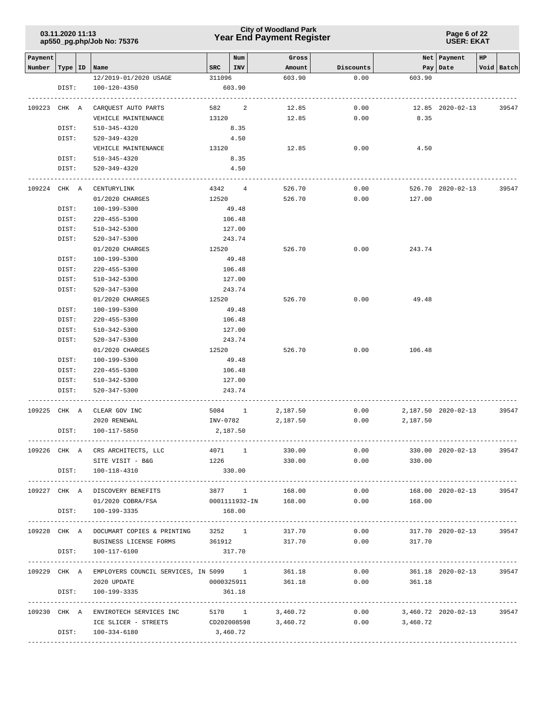# **Year End Payment Register City of Woodland Park 03.11.2020 11:13**

#### **Page 6 of 22 USER: EKAT**

| Payment      |           |                                                    |          | Num                     | Gross           |                        |                            | Net   Payment       | HP |            |
|--------------|-----------|----------------------------------------------------|----------|-------------------------|-----------------|------------------------|----------------------------|---------------------|----|------------|
| Number       | Type   ID | Name                                               | SRC      | INV                     | Amount          | Discounts              |                            | Pay   Date          |    | Void Batch |
|              |           | 12/2019-01/2020 USAGE                              | 311096   |                         | 603.90          | 0.00                   | 603.90                     |                     |    |            |
|              | DIST:     | 100-120-4350                                       |          | 603.90                  |                 |                        |                            |                     |    |            |
|              |           |                                                    |          |                         |                 |                        |                            |                     |    |            |
| 109223 CHK A |           | CARQUEST AUTO PARTS                                | 582 7    | 2                       | 12.85           | 0.00                   |                            | 12.85 2020-02-13    |    | 39547      |
|              |           | VEHICLE MAINTENANCE                                | 13120    |                         | 12.85           | 0.00                   | 8.35                       |                     |    |            |
|              | DIST:     | 510-345-4320                                       |          | 8.35                    |                 |                        |                            |                     |    |            |
|              | DIST:     | 520-349-4320                                       |          | 4.50                    |                 |                        |                            |                     |    |            |
|              |           | VEHICLE MAINTENANCE                                | 13120    |                         | 12.85           | 0.00                   | 4.50                       |                     |    |            |
|              | DIST:     | 510-345-4320                                       |          | 8.35                    |                 |                        |                            |                     |    |            |
|              | DIST:     | 520-349-4320                                       |          | 4.50                    |                 |                        |                            |                     |    |            |
|              |           |                                                    |          |                         |                 |                        |                            |                     |    |            |
| 109224 CHK A |           | CENTURYLINK                                        |          | 4342 4                  | 526.70          | 0.00                   |                            | 526.70 2020-02-13   |    | 39547      |
|              |           | 01/2020 CHARGES                                    | 12520    |                         | 526.70          | 0.00                   | 127.00                     |                     |    |            |
|              | DIST:     | 100-199-5300                                       |          | 49.48                   |                 |                        |                            |                     |    |            |
|              | DIST:     | $220 - 455 - 5300$                                 |          | 106.48                  |                 |                        |                            |                     |    |            |
|              | DIST:     | 510-342-5300                                       |          | 127.00                  |                 |                        |                            |                     |    |            |
|              | DIST:     | 520-347-5300                                       |          | 243.74                  |                 |                        |                            |                     |    |            |
|              |           | 01/2020 CHARGES                                    | 12520    |                         | 526.70          | 0.00                   | 243.74                     |                     |    |            |
|              | DIST:     | 100-199-5300                                       |          | 49.48                   |                 |                        |                            |                     |    |            |
|              | DIST:     | $220 - 455 - 5300$                                 |          | 106.48                  |                 |                        |                            |                     |    |            |
|              | DIST:     | 510-342-5300                                       |          | 127.00                  |                 |                        |                            |                     |    |            |
|              | DIST:     | 520-347-5300                                       |          | 243.74                  |                 |                        |                            |                     |    |            |
|              |           | 01/2020 CHARGES                                    | 12520    |                         | 526.70          | 0.00                   | 49.48                      |                     |    |            |
|              | DIST:     | 100-199-5300                                       |          | 49.48                   |                 |                        |                            |                     |    |            |
|              | DIST:     | $220 - 455 - 5300$                                 |          | 106.48                  |                 |                        |                            |                     |    |            |
|              | DIST:     | 510-342-5300                                       |          | 127.00                  |                 |                        |                            |                     |    |            |
|              | DIST:     | 520-347-5300                                       |          | 243.74                  |                 |                        |                            |                     |    |            |
|              |           | 01/2020 CHARGES                                    | 12520    |                         | 526.70          | 0.00                   | 106.48                     |                     |    |            |
|              | DIST:     | 100-199-5300                                       |          | 49.48                   |                 |                        |                            |                     |    |            |
|              | DIST:     | 220-455-5300                                       |          | 106.48                  |                 |                        |                            |                     |    |            |
|              | DIST:     | 510-342-5300                                       |          | 127.00                  |                 |                        |                            |                     |    |            |
|              | DIST:     | 520-347-5300                                       |          | 243.74                  |                 |                        |                            |                     |    |            |
|              |           |                                                    |          |                         |                 |                        |                            |                     |    |            |
|              |           | 109225 CHK A CLEAR GOV INC                         |          | 5084 1                  | 2,187.50        | 0.00                   |                            | 2,187.50 2020-02-13 |    | 39547      |
|              |           | 2020 RENEWAL                                       |          | INV-0782                | 2,187.50        | 0.00                   | 2,187.50                   |                     |    |            |
|              | DIST:     | 100-117-5850                                       |          | 2,187.50                |                 |                        |                            |                     |    |            |
|              |           | 109226 CHK A CRS ARCHITECTS, LLC                   |          |                         | 4071 1 330.00   |                        | 0.00                       | 330.00 2020-02-13   |    | 39547      |
|              |           | SITE VISIT - B&G                                   |          | 1226 and $\overline{a}$ | 330.00          |                        | 0.00<br>330.00             |                     |    |            |
|              |           | DIST: 100-118-4310                                 |          | 330.00                  |                 |                        |                            |                     |    |            |
|              |           |                                                    |          |                         |                 |                        |                            |                     |    |            |
|              |           | 109227 CHK A DISCOVERY BENEFITS                    |          | 3877 1                  | 168.00          | 0.00                   |                            | 168.00 2020-02-13   |    | 39547      |
|              |           | 01/2020 COBRA/FSA                                  |          | 0001111932-IN           | 168.00          | 0.00                   | 168.00                     |                     |    |            |
|              |           | DIST: 100-199-3335                                 |          | 168.00                  |                 |                        |                            |                     |    |            |
|              |           |                                                    |          |                         |                 |                        |                            |                     |    |            |
|              |           | 109228 CHK A DOCUMART COPIES & PRINTING            |          | 3252 1                  | 317.70          | 0.00                   |                            | 317.70 2020-02-13   |    | 39547      |
|              |           | BUSINESS LICENSE FORMS 361912 317.70               |          |                         |                 |                        | 0.00<br>317.70             |                     |    |            |
|              | DIST:     | 100-117-6100                                       |          | 317.70                  |                 |                        |                            |                     |    |            |
|              |           |                                                    |          |                         |                 |                        |                            |                     |    |            |
|              |           | 109229 CHK A EMPLOYERS COUNCIL SERVICES, IN 5099 1 |          |                         | 361.18          | 0.00                   |                            | 361.18 2020-02-13   |    | 39547      |
|              |           | 2020 UPDATE                                        |          |                         |                 | 0000325911 361.18 0.00 | 361.18                     |                     |    |            |
|              | DIST:     | 100-199-3335                                       |          | 361.18                  |                 |                        |                            |                     |    |            |
|              |           |                                                    |          |                         |                 |                        |                            |                     |    |            |
|              |           | 109230 CHK A ENVIROTECH SERVICES INC               |          |                         | 5170 1 3,460.72 |                        | $0.00$ 3,460.72 2020-02-13 |                     |    | 39547      |
|              |           | ICE SLICER - STREETS                               |          | CD202008598             | 3,460.72        | 0.00                   | 3,460.72                   |                     |    |            |
|              |           | DIST: 100-334-6180                                 | 3,460.72 |                         |                 |                        |                            |                     |    |            |
|              |           |                                                    |          |                         |                 |                        |                            |                     |    |            |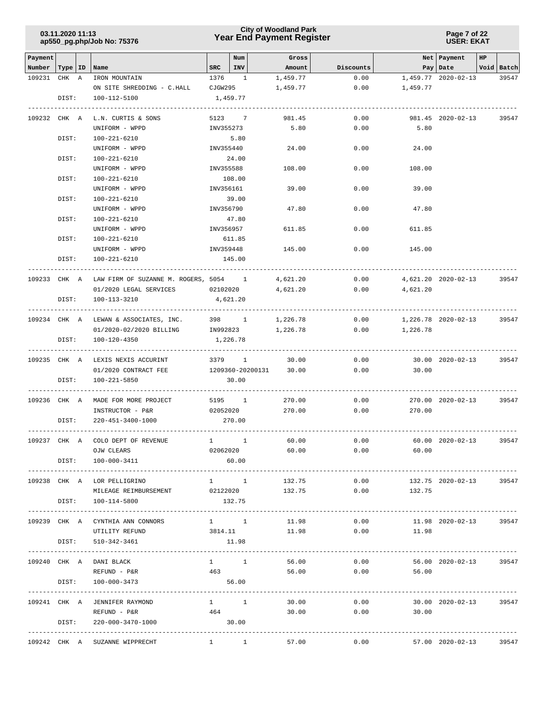# **Year End Payment Register City of Woodland Park 03.11.2020 11:13**

| Payment                   |       |                                                                                |             | Num                 | Gross                                           |                 |                            | Net   Payment         | HP |            |
|---------------------------|-------|--------------------------------------------------------------------------------|-------------|---------------------|-------------------------------------------------|-----------------|----------------------------|-----------------------|----|------------|
| Number   Type   ID   Name |       |                                                                                | $SRC$   INV |                     | Amount                                          | Discounts       |                            | Pay Date              |    | Void Batch |
| 109231 CHK A              |       | IRON MOUNTAIN                                                                  | 1376 1      |                     | 1,459.77                                        | 0.00            |                            | 1,459.77 2020-02-13   |    | 39547      |
|                           |       | ON SITE SHREDDING - C.HALL CJGW295                                             |             |                     | 1,459.77                                        | 0.00            | 1,459.77                   |                       |    |            |
|                           | DIST: | 100-112-5100                                                                   | 1,459.77    |                     |                                                 |                 |                            |                       |    |            |
|                           |       |                                                                                |             |                     |                                                 |                 |                            |                       |    |            |
| 109232 CHK A              |       | L.N. CURTIS & SONS                                                             |             | 5123 7              | 981.45                                          | 0.00            |                            | 981.45 2020-02-13     |    | 39547      |
|                           |       | UNIFORM - WPPD                                                                 | INV355273   |                     | 5.80                                            | 0.00            | 5.80                       |                       |    |            |
|                           | DIST: | 100-221-6210                                                                   |             | 5.80                |                                                 |                 |                            |                       |    |            |
|                           |       | UNIFORM - WPPD                                                                 | INV355440   |                     | 24.00                                           | 0.00            | 24.00                      |                       |    |            |
|                           | DIST: | 100-221-6210                                                                   |             | 24.00               |                                                 |                 |                            |                       |    |            |
|                           |       | UNIFORM - WPPD                                                                 | INV355588   |                     | 108.00                                          | 0.00            | 108.00                     |                       |    |            |
|                           | DIST: | 100-221-6210                                                                   |             | 108.00              |                                                 |                 |                            |                       |    |            |
|                           |       | UNIFORM - WPPD                                                                 | INV356161   |                     | 39.00                                           | 0.00            | 39.00                      |                       |    |            |
|                           | DIST: | 100-221-6210                                                                   |             | 39.00               |                                                 |                 |                            |                       |    |            |
|                           |       | UNIFORM - WPPD                                                                 | INV356790   |                     | 47.80                                           | 0.00            | 47.80                      |                       |    |            |
|                           | DIST: | 100-221-6210                                                                   |             | 47.80               |                                                 |                 |                            |                       |    |            |
|                           |       | UNIFORM - WPPD                                                                 |             | INV356957           | 611.85                                          | 0.00            | 611.85                     |                       |    |            |
|                           | DIST: | 100-221-6210                                                                   |             | 611.85              |                                                 |                 |                            |                       |    |            |
|                           |       | UNIFORM - WPPD                                                                 | INV359448   |                     | 145.00                                          | 0.00            | 145.00                     |                       |    |            |
|                           | DIST: | 100-221-6210                                                                   |             | 145.00              |                                                 |                 |                            |                       |    |            |
|                           |       |                                                                                |             |                     |                                                 |                 |                            |                       |    |            |
|                           |       | 109233 CHK A LAW FIRM OF SUZANNE M. ROGERS, 5054 1 4,621.20                    |             |                     |                                                 | 0.00            | 4,621.20 2020-02-13        |                       |    | 39547      |
|                           |       | 01/2020 LEGAL SERVICES 02102020                                                |             |                     | 4,621.20                                        |                 | $0.00$ $4,621.20$          |                       |    |            |
|                           | DIST: | 100-113-3210                                                                   | 4,621.20    |                     |                                                 |                 |                            |                       |    |            |
|                           |       |                                                                                |             |                     |                                                 |                 |                            |                       |    |            |
|                           |       | 109234 CHK A LEWAN & ASSOCIATES, INC. 398 1 1,226.78                           |             |                     |                                                 |                 | $0.00$ 1,226.78 2020-02-13 |                       |    | 39547      |
|                           |       | $01/2020 - 02/2020$ BILLING 1N992823 1,226.78 0.00 1,226.78                    |             |                     |                                                 |                 |                            |                       |    |            |
|                           | DIST: | 100-120-4350                                                                   | 1,226.78    |                     |                                                 |                 |                            |                       |    |            |
|                           |       | 109235 CHK A LEXIS NEXIS ACCURINT                                              |             | 3379 1              | 30.00                                           | 0.00            |                            | 30.00 2020-02-13      |    | 39547      |
|                           |       | 01/2020 CONTRACT FEE                                                           |             |                     | 1209360-20200131 30.00                          | 0.00            | 30.00                      |                       |    |            |
|                           | DIST: | 100-221-5850                                                                   |             | 30.00               |                                                 |                 |                            |                       |    |            |
|                           |       |                                                                                |             |                     |                                                 |                 |                            |                       |    |            |
|                           |       | 109236 CHK A MADE FOR MORE PROJECT 5195 1 270.00                               |             |                     |                                                 |                 | 0.00                       | 270.00 2020-02-13     |    | 39547      |
|                           |       | INSTRUCTOR - P&R                                                               |             |                     |                                                 | 02052020 270.00 | 0.00<br>270.00             |                       |    |            |
|                           | DIST: | 220-451-3400-1000                                                              |             | 270.00              |                                                 |                 |                            |                       |    |            |
|                           |       |                                                                                |             |                     |                                                 |                 |                            |                       |    |            |
| 109237 CHK A              |       | COLO DEPT OF REVENUE                                                           | 1 1         |                     | 60.00                                           | 0.00            |                            | 60.00 2020-02-13      |    | 39547      |
|                           |       | OJW CLEARS                                                                     | 02062020    |                     | 60.00                                           | 0.00            | 60.00                      |                       |    |            |
|                           |       | DIST: 100-000-3411                                                             |             | 60.00               |                                                 |                 |                            |                       |    |            |
|                           |       |                                                                                |             |                     |                                                 |                 |                            |                       |    |            |
|                           |       | 109238 CHK A LOR PELLIGRINO                                                    |             |                     | 1 1 1 1 1 1 1 1 1 1 1 1 1 1 1 1 1 $\frac{1}{2}$ |                 | 0.00                       | 132.75 2020-02-13     |    | 39547      |
|                           |       | MILEAGE REIMBURSEMENT 02122020 132.75                                          |             |                     |                                                 |                 | $0.00$ 132.75              |                       |    |            |
|                           | DIST: | 100-114-5800                                                                   | 132.75      |                     |                                                 |                 |                            |                       |    |            |
|                           |       |                                                                                |             |                     |                                                 |                 |                            |                       |    |            |
|                           |       | 109239 CHK A CYNTHIA ANN CONNORS                                               |             | $1 \quad 1$         | 11.98                                           | 0.00            |                            | 11.98 2020-02-13      |    | 39547      |
|                           |       | UTILITY REFUND                                                                 | 3814.11     |                     | 11.98                                           | 0.00            | 11.98                      |                       |    |            |
|                           | DIST: | 510-342-3461                                                                   |             | 11.98               |                                                 |                 |                            |                       |    |            |
|                           |       |                                                                                |             |                     |                                                 |                 |                            |                       |    |            |
| 109240 CHK A              |       | DANI BLACK                                                                     |             | $1 \quad 1$         | 56.00                                           | 0.00            |                            | 56.00 2020-02-13      |    | 39547      |
|                           |       | REFUND - P&R                                                                   | 463         |                     |                                                 | 56.00 0.00      | 56.00                      |                       |    |            |
|                           | DIST: | 100-000-3473<br>-----------------------------<br>----------------------------- | 56.00       |                     |                                                 |                 | ----------------------     |                       |    |            |
|                           |       | 109241 CHK A JENNIFER RAYMOND                                                  | $1 \quad 1$ |                     | 30.00                                           | 0.00            |                            | 30.00 2020-02-13      |    | 39547      |
|                           |       | REFUND - P&R                                                                   | 464         |                     | 30.00                                           | 0.00            | 30.00                      |                       |    |            |
|                           | DIST: | 220-000-3470-1000                                                              | 30.00       |                     |                                                 |                 |                            |                       |    |            |
|                           |       | -----------------------                                                        |             |                     |                                                 |                 |                            | --------------------- |    |            |
|                           |       | 109242 CHK A SUZANNE WIPPRECHT                                                 |             | $1 \quad 1 \quad 1$ | 57.00                                           | 0.00            | 57.00 2020-02-13 39547     |                       |    |            |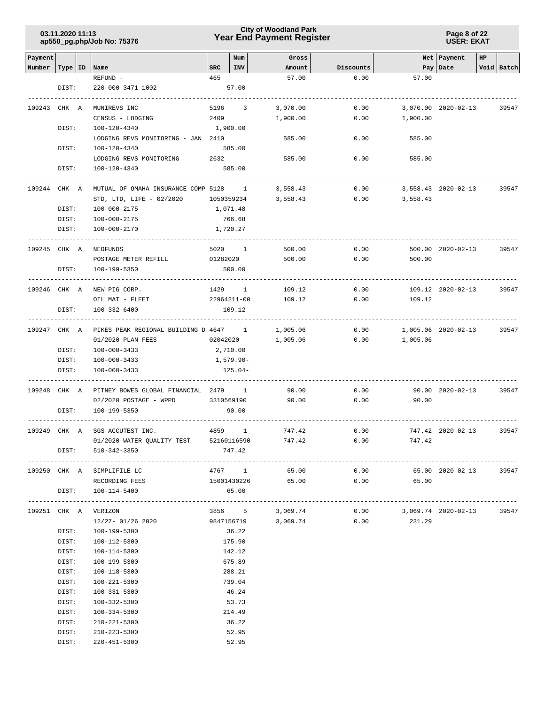# **Year End Payment Register City of Woodland Park 03.11.2020 11:13**

**Page 8 of 22 USER: EKAT**

| Payment            |       |                                        |              | Num                     | Gross             |           |                     | Net   Payment       | HP |            |
|--------------------|-------|----------------------------------------|--------------|-------------------------|-------------------|-----------|---------------------|---------------------|----|------------|
| Number   Type   ID |       | Name                                   | $_{\tt SRC}$ | INV                     | Amount            | Discounts |                     | Pay   Date          |    | Void Batch |
|                    |       | REFUND -                               | 465          |                         | 57.00             | 0.00      | 57.00               |                     |    |            |
|                    | DIST: | 220-000-3471-1002                      |              | 57.00                   |                   |           |                     |                     |    |            |
| 109243 CHK A       |       | MUNIREVS INC                           | 5196         | $\overline{\mathbf{3}}$ | 3,070.00          | 0.00      |                     | 3,070.00 2020-02-13 |    | 39547      |
|                    |       |                                        |              |                         |                   |           |                     |                     |    |            |
|                    |       | CENSUS - LODGING                       | 2409         |                         | 1,900.00          | 0.00      | 1,900.00            |                     |    |            |
|                    | DIST: | 100-120-4340                           |              | 1,900.00                |                   |           |                     |                     |    |            |
|                    |       | LODGING REVS MONITORING - JAN 2410     |              |                         | 585.00            | 0.00      | 585.00              |                     |    |            |
|                    | DIST: | 100-120-4340                           |              | 585.00                  |                   |           |                     |                     |    |            |
|                    |       | LODGING REVS MONITORING                | 2632         |                         | 585.00            | 0.00      | 585.00              |                     |    |            |
|                    | DIST: | 100-120-4340                           |              | 585.00                  |                   |           |                     |                     |    |            |
| 109244 CHK A       |       | MUTUAL OF OMAHA INSURANCE COMP 5128 1  |              |                         | 3,558.43          | 0.00      |                     | 3,558.43 2020-02-13 |    | 39547      |
|                    |       |                                        |              |                         |                   |           |                     |                     |    |            |
|                    |       | STD, LTD, LIFE - 02/2020 1050359234    |              |                         | 3,558.43          |           | 0.00<br>3,558.43    |                     |    |            |
|                    | DIST: | 100-000-2175                           |              | 1,071.48                |                   |           |                     |                     |    |            |
|                    | DIST: | 100-000-2175                           |              | 766.68                  |                   |           |                     |                     |    |            |
|                    | DIST: | 100-000-2170                           |              | 1,720.27                |                   |           |                     |                     |    |            |
| 109245 CHK A       |       | NEOFUNDS                               |              | 5020 1                  | 500.00            | 0.00      |                     | 500.00 2020-02-13   |    | 39547      |
|                    |       | POSTAGE METER REFILL                   | 01282020     |                         | 500.00            | 0.00      | 500.00              |                     |    |            |
|                    | DIST: | 100-199-5350                           |              | 500.00                  |                   |           |                     |                     |    |            |
|                    |       |                                        |              |                         |                   |           |                     |                     |    |            |
| 109246 CHK A       |       | NEW PIG CORP.                          |              | 1429 1                  | 109.12            | 0.00      |                     | 109.12 2020-02-13   |    | 39547      |
|                    |       | OIL MAT - FLEET                        |              | 22964211-00             |                   |           | 109.12              |                     |    |            |
|                    |       |                                        |              |                         | 109.12            | 0.00      |                     |                     |    |            |
|                    | DIST: | 100-332-6400                           |              | 109.12                  |                   |           |                     |                     |    |            |
| 109247 CHK A       |       | PIKES PEAK REGIONAL BUILDING D 4647 1  |              |                         | 1,005.06          | 0.00      |                     | 1,005.06 2020-02-13 |    | 39547      |
|                    |       | 01/2020 PLAN FEES                      |              | 02042020                | 1,005.06          | 0.00      | 1,005.06            |                     |    |            |
|                    | DIST: | $100 - 000 - 3433$                     |              | 2,710.00                |                   |           |                     |                     |    |            |
|                    | DIST: | 100-000-3433                           |              | 1,579.90-               |                   |           |                     |                     |    |            |
|                    | DIST: | $100 - 000 - 3433$                     |              | 125.04-                 |                   |           |                     |                     |    |            |
|                    |       |                                        |              |                         |                   |           |                     |                     |    |            |
| 109248 CHK A       |       | PITNEY BOWES GLOBAL FINANCIAL 2479 1   |              |                         | 90.00             | 0.00      |                     | 90.00 2020-02-13    |    | 39547      |
|                    |       | 02/2020 POSTAGE - WPPD                 |              | 3310569190              | 90.00             | 0.00      | 90.00               |                     |    |            |
|                    | DIST: | 100-199-5350                           |              | 90.00                   |                   |           |                     |                     |    |            |
|                    |       |                                        |              |                         |                   |           |                     |                     |    |            |
| 109249 CHK A       |       | SGS ACCUTEST INC.                      |              | 4859 1                  | 747.42            | 0.00      |                     | 747.42 2020-02-13   |    | 39547      |
|                    |       | 01/2020 WATER QUALITY TEST 52160116590 |              |                         | 747.42            | 0.00      | 747.42              |                     |    |            |
|                    | DIST: | 510-342-3350                           |              | 747.42                  |                   |           |                     |                     |    |            |
|                    |       |                                        |              |                         |                   |           |                     |                     |    |            |
|                    |       | 109250 CHK A SIMPLIFILE LC             |              | 4767 1                  | 65.00             | 0.00      |                     | 65.00 2020-02-13    |    | 39547      |
|                    |       | RECORDING FEES                         |              |                         | 15001430226 65.00 |           | $0.00$ 65.00        |                     |    |            |
|                    |       | DIST: 100-114-5400                     |              | 65.00                   |                   |           |                     |                     |    |            |
|                    |       | 109251 CHK A VERIZON                   |              | 3856 5                  | 3,069.74          | 0.00      | 3,069.74 2020-02-13 |                     |    | 39547      |
|                    |       | 12/27- 01/26 2020                      |              | 9847156719              | 3,069.74          | 0.00      | 231.29              |                     |    |            |
|                    | DIST: | 100-199-5300                           |              |                         |                   |           |                     |                     |    |            |
|                    |       |                                        |              | 36.22                   |                   |           |                     |                     |    |            |
|                    | DIST: | 100-112-5300                           |              | 175.90                  |                   |           |                     |                     |    |            |
|                    | DIST: | 100-114-5300                           |              | 142.12                  |                   |           |                     |                     |    |            |
|                    | DIST: | 100-199-5300                           |              | 675.89                  |                   |           |                     |                     |    |            |
|                    | DIST: | 100-118-5300                           |              | 288.21                  |                   |           |                     |                     |    |            |
|                    | DIST: | 100-221-5300                           |              | 739.04                  |                   |           |                     |                     |    |            |
|                    | DIST: | 100-331-5300                           |              | 46.24                   |                   |           |                     |                     |    |            |
|                    | DIST: | 100-332-5300                           |              | 53.73                   |                   |           |                     |                     |    |            |
|                    | DIST: | $100 - 334 - 5300$                     |              | 214.49                  |                   |           |                     |                     |    |            |
|                    | DIST: | $210 - 221 - 5300$                     |              | 36.22                   |                   |           |                     |                     |    |            |
|                    | DIST: | $210 - 223 - 5300$                     |              | 52.95                   |                   |           |                     |                     |    |            |
|                    | DIST: | $220 - 451 - 5300$                     |              | 52.95                   |                   |           |                     |                     |    |            |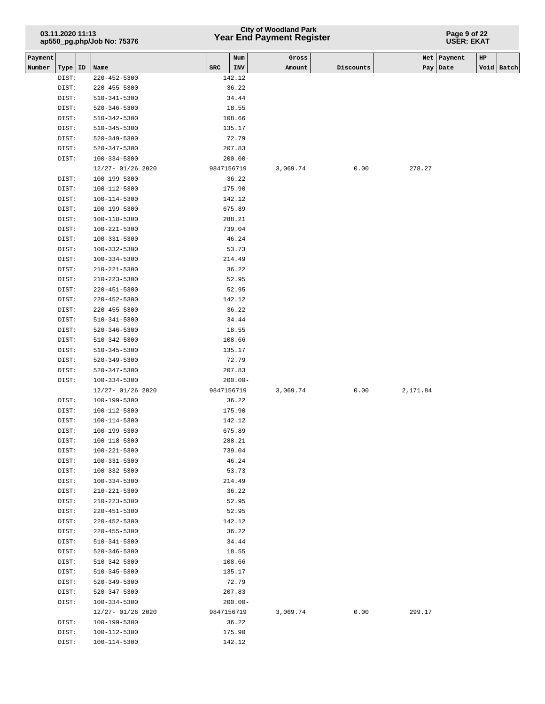# **Year End Payment Register City of Woodland Park 03.11.2020 11:13**

#### **Page 9 of 22 USER: EKAT**

| INV<br>Void Batch<br>Number<br>Type   ID<br>Name<br>SRC<br>Amount<br>Discounts<br>Pay   Date<br>142.12<br>DIST:<br>$220 - 452 - 5300$<br>36.22<br>DIST:<br>220-455-5300<br>$510 - 341 - 5300$<br>34.44<br>DIST:<br>DIST:<br>$520 - 346 - 5300$<br>18.55<br>DIST:<br>510-342-5300<br>108.66<br>DIST:<br>510-345-5300<br>135.17<br>72.79<br>DIST:<br>520-349-5300<br>$520 - 347 - 5300$<br>207.83<br>DIST:<br>DIST:<br>$100 - 334 - 5300$<br>$200.00 -$<br>12/27-01/26 2020<br>9847156719<br>0.00<br>278.27<br>3,069.74<br>DIST:<br>100-199-5300<br>36.22<br>100-112-5300<br>175.90<br>DIST:<br>DIST:<br>100-114-5300<br>142.12<br>DIST:<br>100-199-5300<br>675.89<br>DIST:<br>100-118-5300<br>288.21<br>100-221-5300<br>739.04<br>DIST:<br>$100 - 331 - 5300$<br>46.24<br>DIST:<br>DIST:<br>$100 - 332 - 5300$<br>53.73<br>214.49<br>DIST:<br>100-334-5300<br>210-221-5300<br>36.22<br>DIST:<br>$210 - 223 - 5300$<br>52.95<br>DIST:<br>52.95<br>DIST:<br>$220 - 451 - 5300$<br>DIST:<br>$220 - 452 - 5300$<br>142.12<br>36.22<br>DIST:<br>$220 - 455 - 5300$<br>DIST:<br>$510 - 341 - 5300$<br>34.44<br>DIST:<br>$520 - 346 - 5300$<br>18.55<br>DIST:<br>$510 - 342 - 5300$<br>108.66<br>DIST:<br>135.17<br>510-345-5300<br>72.79<br>DIST:<br>520-349-5300<br>$520 - 347 - 5300$<br>207.83<br>DIST:<br>DIST:<br>$100 - 334 - 5300$<br>$200.00 -$<br>12/27- 01/26 2020<br>9847156719<br>3,069.74<br>2,171.84<br>0.00<br>DIST:<br>100-199-5300<br>36.22<br>DIST:<br>100-112-5300<br>175.90<br>142.12<br>DIST:<br>100-114-5300<br>100-199-5300<br>675.89<br>DIST:<br>288.21<br>DIST:<br>100-118-5300<br>100-221-5300<br>739.04<br>DIST:<br>46.24<br>DIST:<br>100-331-5300<br>DIST:<br>$100 - 332 - 5300$<br>53.73<br>DIST:<br>214.49<br>100-334-5300<br>36.22<br>DIST:<br>$210 - 221 - 5300$<br>DIST:<br>210-223-5300<br>52.95<br>DIST:<br>52.95<br>220-451-5300<br>DIST:<br>$220 - 452 - 5300$<br>142.12<br>36.22<br>DIST:<br>$220 - 455 - 5300$<br>34.44<br>DIST:<br>$510 - 341 - 5300$<br>18.55<br>DIST:<br>520-346-5300<br>DIST:<br>$510 - 342 - 5300$<br>108.66<br>DIST:<br>135.17<br>510-345-5300<br>72.79<br>DIST:<br>520-349-5300<br>DIST:<br>520-347-5300<br>207.83<br>$200.00 -$<br>DIST:<br>100-334-5300<br>12/27- 01/26 2020<br>9847156719<br>3,069.74<br>0.00<br>299.17<br>36.22<br>DIST:<br>100-199-5300<br>DIST:<br>100-112-5300<br>175.90<br>142.12<br>DIST:<br>100-114-5300 | Payment |  | Num | Gross |  | Net   Payment | HP |  |
|-------------------------------------------------------------------------------------------------------------------------------------------------------------------------------------------------------------------------------------------------------------------------------------------------------------------------------------------------------------------------------------------------------------------------------------------------------------------------------------------------------------------------------------------------------------------------------------------------------------------------------------------------------------------------------------------------------------------------------------------------------------------------------------------------------------------------------------------------------------------------------------------------------------------------------------------------------------------------------------------------------------------------------------------------------------------------------------------------------------------------------------------------------------------------------------------------------------------------------------------------------------------------------------------------------------------------------------------------------------------------------------------------------------------------------------------------------------------------------------------------------------------------------------------------------------------------------------------------------------------------------------------------------------------------------------------------------------------------------------------------------------------------------------------------------------------------------------------------------------------------------------------------------------------------------------------------------------------------------------------------------------------------------------------------------------------------------------------------------------------------------------------------------------------------------------------------------------------------------------------------------------------------------------------------------------------------------------------------------------------------------------------|---------|--|-----|-------|--|---------------|----|--|
|                                                                                                                                                                                                                                                                                                                                                                                                                                                                                                                                                                                                                                                                                                                                                                                                                                                                                                                                                                                                                                                                                                                                                                                                                                                                                                                                                                                                                                                                                                                                                                                                                                                                                                                                                                                                                                                                                                                                                                                                                                                                                                                                                                                                                                                                                                                                                                                           |         |  |     |       |  |               |    |  |
|                                                                                                                                                                                                                                                                                                                                                                                                                                                                                                                                                                                                                                                                                                                                                                                                                                                                                                                                                                                                                                                                                                                                                                                                                                                                                                                                                                                                                                                                                                                                                                                                                                                                                                                                                                                                                                                                                                                                                                                                                                                                                                                                                                                                                                                                                                                                                                                           |         |  |     |       |  |               |    |  |
|                                                                                                                                                                                                                                                                                                                                                                                                                                                                                                                                                                                                                                                                                                                                                                                                                                                                                                                                                                                                                                                                                                                                                                                                                                                                                                                                                                                                                                                                                                                                                                                                                                                                                                                                                                                                                                                                                                                                                                                                                                                                                                                                                                                                                                                                                                                                                                                           |         |  |     |       |  |               |    |  |
|                                                                                                                                                                                                                                                                                                                                                                                                                                                                                                                                                                                                                                                                                                                                                                                                                                                                                                                                                                                                                                                                                                                                                                                                                                                                                                                                                                                                                                                                                                                                                                                                                                                                                                                                                                                                                                                                                                                                                                                                                                                                                                                                                                                                                                                                                                                                                                                           |         |  |     |       |  |               |    |  |
|                                                                                                                                                                                                                                                                                                                                                                                                                                                                                                                                                                                                                                                                                                                                                                                                                                                                                                                                                                                                                                                                                                                                                                                                                                                                                                                                                                                                                                                                                                                                                                                                                                                                                                                                                                                                                                                                                                                                                                                                                                                                                                                                                                                                                                                                                                                                                                                           |         |  |     |       |  |               |    |  |
|                                                                                                                                                                                                                                                                                                                                                                                                                                                                                                                                                                                                                                                                                                                                                                                                                                                                                                                                                                                                                                                                                                                                                                                                                                                                                                                                                                                                                                                                                                                                                                                                                                                                                                                                                                                                                                                                                                                                                                                                                                                                                                                                                                                                                                                                                                                                                                                           |         |  |     |       |  |               |    |  |
|                                                                                                                                                                                                                                                                                                                                                                                                                                                                                                                                                                                                                                                                                                                                                                                                                                                                                                                                                                                                                                                                                                                                                                                                                                                                                                                                                                                                                                                                                                                                                                                                                                                                                                                                                                                                                                                                                                                                                                                                                                                                                                                                                                                                                                                                                                                                                                                           |         |  |     |       |  |               |    |  |
|                                                                                                                                                                                                                                                                                                                                                                                                                                                                                                                                                                                                                                                                                                                                                                                                                                                                                                                                                                                                                                                                                                                                                                                                                                                                                                                                                                                                                                                                                                                                                                                                                                                                                                                                                                                                                                                                                                                                                                                                                                                                                                                                                                                                                                                                                                                                                                                           |         |  |     |       |  |               |    |  |
|                                                                                                                                                                                                                                                                                                                                                                                                                                                                                                                                                                                                                                                                                                                                                                                                                                                                                                                                                                                                                                                                                                                                                                                                                                                                                                                                                                                                                                                                                                                                                                                                                                                                                                                                                                                                                                                                                                                                                                                                                                                                                                                                                                                                                                                                                                                                                                                           |         |  |     |       |  |               |    |  |
|                                                                                                                                                                                                                                                                                                                                                                                                                                                                                                                                                                                                                                                                                                                                                                                                                                                                                                                                                                                                                                                                                                                                                                                                                                                                                                                                                                                                                                                                                                                                                                                                                                                                                                                                                                                                                                                                                                                                                                                                                                                                                                                                                                                                                                                                                                                                                                                           |         |  |     |       |  |               |    |  |
|                                                                                                                                                                                                                                                                                                                                                                                                                                                                                                                                                                                                                                                                                                                                                                                                                                                                                                                                                                                                                                                                                                                                                                                                                                                                                                                                                                                                                                                                                                                                                                                                                                                                                                                                                                                                                                                                                                                                                                                                                                                                                                                                                                                                                                                                                                                                                                                           |         |  |     |       |  |               |    |  |
|                                                                                                                                                                                                                                                                                                                                                                                                                                                                                                                                                                                                                                                                                                                                                                                                                                                                                                                                                                                                                                                                                                                                                                                                                                                                                                                                                                                                                                                                                                                                                                                                                                                                                                                                                                                                                                                                                                                                                                                                                                                                                                                                                                                                                                                                                                                                                                                           |         |  |     |       |  |               |    |  |
|                                                                                                                                                                                                                                                                                                                                                                                                                                                                                                                                                                                                                                                                                                                                                                                                                                                                                                                                                                                                                                                                                                                                                                                                                                                                                                                                                                                                                                                                                                                                                                                                                                                                                                                                                                                                                                                                                                                                                                                                                                                                                                                                                                                                                                                                                                                                                                                           |         |  |     |       |  |               |    |  |
|                                                                                                                                                                                                                                                                                                                                                                                                                                                                                                                                                                                                                                                                                                                                                                                                                                                                                                                                                                                                                                                                                                                                                                                                                                                                                                                                                                                                                                                                                                                                                                                                                                                                                                                                                                                                                                                                                                                                                                                                                                                                                                                                                                                                                                                                                                                                                                                           |         |  |     |       |  |               |    |  |
|                                                                                                                                                                                                                                                                                                                                                                                                                                                                                                                                                                                                                                                                                                                                                                                                                                                                                                                                                                                                                                                                                                                                                                                                                                                                                                                                                                                                                                                                                                                                                                                                                                                                                                                                                                                                                                                                                                                                                                                                                                                                                                                                                                                                                                                                                                                                                                                           |         |  |     |       |  |               |    |  |
|                                                                                                                                                                                                                                                                                                                                                                                                                                                                                                                                                                                                                                                                                                                                                                                                                                                                                                                                                                                                                                                                                                                                                                                                                                                                                                                                                                                                                                                                                                                                                                                                                                                                                                                                                                                                                                                                                                                                                                                                                                                                                                                                                                                                                                                                                                                                                                                           |         |  |     |       |  |               |    |  |
|                                                                                                                                                                                                                                                                                                                                                                                                                                                                                                                                                                                                                                                                                                                                                                                                                                                                                                                                                                                                                                                                                                                                                                                                                                                                                                                                                                                                                                                                                                                                                                                                                                                                                                                                                                                                                                                                                                                                                                                                                                                                                                                                                                                                                                                                                                                                                                                           |         |  |     |       |  |               |    |  |
|                                                                                                                                                                                                                                                                                                                                                                                                                                                                                                                                                                                                                                                                                                                                                                                                                                                                                                                                                                                                                                                                                                                                                                                                                                                                                                                                                                                                                                                                                                                                                                                                                                                                                                                                                                                                                                                                                                                                                                                                                                                                                                                                                                                                                                                                                                                                                                                           |         |  |     |       |  |               |    |  |
|                                                                                                                                                                                                                                                                                                                                                                                                                                                                                                                                                                                                                                                                                                                                                                                                                                                                                                                                                                                                                                                                                                                                                                                                                                                                                                                                                                                                                                                                                                                                                                                                                                                                                                                                                                                                                                                                                                                                                                                                                                                                                                                                                                                                                                                                                                                                                                                           |         |  |     |       |  |               |    |  |
|                                                                                                                                                                                                                                                                                                                                                                                                                                                                                                                                                                                                                                                                                                                                                                                                                                                                                                                                                                                                                                                                                                                                                                                                                                                                                                                                                                                                                                                                                                                                                                                                                                                                                                                                                                                                                                                                                                                                                                                                                                                                                                                                                                                                                                                                                                                                                                                           |         |  |     |       |  |               |    |  |
|                                                                                                                                                                                                                                                                                                                                                                                                                                                                                                                                                                                                                                                                                                                                                                                                                                                                                                                                                                                                                                                                                                                                                                                                                                                                                                                                                                                                                                                                                                                                                                                                                                                                                                                                                                                                                                                                                                                                                                                                                                                                                                                                                                                                                                                                                                                                                                                           |         |  |     |       |  |               |    |  |
|                                                                                                                                                                                                                                                                                                                                                                                                                                                                                                                                                                                                                                                                                                                                                                                                                                                                                                                                                                                                                                                                                                                                                                                                                                                                                                                                                                                                                                                                                                                                                                                                                                                                                                                                                                                                                                                                                                                                                                                                                                                                                                                                                                                                                                                                                                                                                                                           |         |  |     |       |  |               |    |  |
|                                                                                                                                                                                                                                                                                                                                                                                                                                                                                                                                                                                                                                                                                                                                                                                                                                                                                                                                                                                                                                                                                                                                                                                                                                                                                                                                                                                                                                                                                                                                                                                                                                                                                                                                                                                                                                                                                                                                                                                                                                                                                                                                                                                                                                                                                                                                                                                           |         |  |     |       |  |               |    |  |
|                                                                                                                                                                                                                                                                                                                                                                                                                                                                                                                                                                                                                                                                                                                                                                                                                                                                                                                                                                                                                                                                                                                                                                                                                                                                                                                                                                                                                                                                                                                                                                                                                                                                                                                                                                                                                                                                                                                                                                                                                                                                                                                                                                                                                                                                                                                                                                                           |         |  |     |       |  |               |    |  |
|                                                                                                                                                                                                                                                                                                                                                                                                                                                                                                                                                                                                                                                                                                                                                                                                                                                                                                                                                                                                                                                                                                                                                                                                                                                                                                                                                                                                                                                                                                                                                                                                                                                                                                                                                                                                                                                                                                                                                                                                                                                                                                                                                                                                                                                                                                                                                                                           |         |  |     |       |  |               |    |  |
|                                                                                                                                                                                                                                                                                                                                                                                                                                                                                                                                                                                                                                                                                                                                                                                                                                                                                                                                                                                                                                                                                                                                                                                                                                                                                                                                                                                                                                                                                                                                                                                                                                                                                                                                                                                                                                                                                                                                                                                                                                                                                                                                                                                                                                                                                                                                                                                           |         |  |     |       |  |               |    |  |
|                                                                                                                                                                                                                                                                                                                                                                                                                                                                                                                                                                                                                                                                                                                                                                                                                                                                                                                                                                                                                                                                                                                                                                                                                                                                                                                                                                                                                                                                                                                                                                                                                                                                                                                                                                                                                                                                                                                                                                                                                                                                                                                                                                                                                                                                                                                                                                                           |         |  |     |       |  |               |    |  |
|                                                                                                                                                                                                                                                                                                                                                                                                                                                                                                                                                                                                                                                                                                                                                                                                                                                                                                                                                                                                                                                                                                                                                                                                                                                                                                                                                                                                                                                                                                                                                                                                                                                                                                                                                                                                                                                                                                                                                                                                                                                                                                                                                                                                                                                                                                                                                                                           |         |  |     |       |  |               |    |  |
|                                                                                                                                                                                                                                                                                                                                                                                                                                                                                                                                                                                                                                                                                                                                                                                                                                                                                                                                                                                                                                                                                                                                                                                                                                                                                                                                                                                                                                                                                                                                                                                                                                                                                                                                                                                                                                                                                                                                                                                                                                                                                                                                                                                                                                                                                                                                                                                           |         |  |     |       |  |               |    |  |
|                                                                                                                                                                                                                                                                                                                                                                                                                                                                                                                                                                                                                                                                                                                                                                                                                                                                                                                                                                                                                                                                                                                                                                                                                                                                                                                                                                                                                                                                                                                                                                                                                                                                                                                                                                                                                                                                                                                                                                                                                                                                                                                                                                                                                                                                                                                                                                                           |         |  |     |       |  |               |    |  |
|                                                                                                                                                                                                                                                                                                                                                                                                                                                                                                                                                                                                                                                                                                                                                                                                                                                                                                                                                                                                                                                                                                                                                                                                                                                                                                                                                                                                                                                                                                                                                                                                                                                                                                                                                                                                                                                                                                                                                                                                                                                                                                                                                                                                                                                                                                                                                                                           |         |  |     |       |  |               |    |  |
|                                                                                                                                                                                                                                                                                                                                                                                                                                                                                                                                                                                                                                                                                                                                                                                                                                                                                                                                                                                                                                                                                                                                                                                                                                                                                                                                                                                                                                                                                                                                                                                                                                                                                                                                                                                                                                                                                                                                                                                                                                                                                                                                                                                                                                                                                                                                                                                           |         |  |     |       |  |               |    |  |
|                                                                                                                                                                                                                                                                                                                                                                                                                                                                                                                                                                                                                                                                                                                                                                                                                                                                                                                                                                                                                                                                                                                                                                                                                                                                                                                                                                                                                                                                                                                                                                                                                                                                                                                                                                                                                                                                                                                                                                                                                                                                                                                                                                                                                                                                                                                                                                                           |         |  |     |       |  |               |    |  |
|                                                                                                                                                                                                                                                                                                                                                                                                                                                                                                                                                                                                                                                                                                                                                                                                                                                                                                                                                                                                                                                                                                                                                                                                                                                                                                                                                                                                                                                                                                                                                                                                                                                                                                                                                                                                                                                                                                                                                                                                                                                                                                                                                                                                                                                                                                                                                                                           |         |  |     |       |  |               |    |  |
|                                                                                                                                                                                                                                                                                                                                                                                                                                                                                                                                                                                                                                                                                                                                                                                                                                                                                                                                                                                                                                                                                                                                                                                                                                                                                                                                                                                                                                                                                                                                                                                                                                                                                                                                                                                                                                                                                                                                                                                                                                                                                                                                                                                                                                                                                                                                                                                           |         |  |     |       |  |               |    |  |
|                                                                                                                                                                                                                                                                                                                                                                                                                                                                                                                                                                                                                                                                                                                                                                                                                                                                                                                                                                                                                                                                                                                                                                                                                                                                                                                                                                                                                                                                                                                                                                                                                                                                                                                                                                                                                                                                                                                                                                                                                                                                                                                                                                                                                                                                                                                                                                                           |         |  |     |       |  |               |    |  |
|                                                                                                                                                                                                                                                                                                                                                                                                                                                                                                                                                                                                                                                                                                                                                                                                                                                                                                                                                                                                                                                                                                                                                                                                                                                                                                                                                                                                                                                                                                                                                                                                                                                                                                                                                                                                                                                                                                                                                                                                                                                                                                                                                                                                                                                                                                                                                                                           |         |  |     |       |  |               |    |  |
|                                                                                                                                                                                                                                                                                                                                                                                                                                                                                                                                                                                                                                                                                                                                                                                                                                                                                                                                                                                                                                                                                                                                                                                                                                                                                                                                                                                                                                                                                                                                                                                                                                                                                                                                                                                                                                                                                                                                                                                                                                                                                                                                                                                                                                                                                                                                                                                           |         |  |     |       |  |               |    |  |
|                                                                                                                                                                                                                                                                                                                                                                                                                                                                                                                                                                                                                                                                                                                                                                                                                                                                                                                                                                                                                                                                                                                                                                                                                                                                                                                                                                                                                                                                                                                                                                                                                                                                                                                                                                                                                                                                                                                                                                                                                                                                                                                                                                                                                                                                                                                                                                                           |         |  |     |       |  |               |    |  |
|                                                                                                                                                                                                                                                                                                                                                                                                                                                                                                                                                                                                                                                                                                                                                                                                                                                                                                                                                                                                                                                                                                                                                                                                                                                                                                                                                                                                                                                                                                                                                                                                                                                                                                                                                                                                                                                                                                                                                                                                                                                                                                                                                                                                                                                                                                                                                                                           |         |  |     |       |  |               |    |  |
|                                                                                                                                                                                                                                                                                                                                                                                                                                                                                                                                                                                                                                                                                                                                                                                                                                                                                                                                                                                                                                                                                                                                                                                                                                                                                                                                                                                                                                                                                                                                                                                                                                                                                                                                                                                                                                                                                                                                                                                                                                                                                                                                                                                                                                                                                                                                                                                           |         |  |     |       |  |               |    |  |
|                                                                                                                                                                                                                                                                                                                                                                                                                                                                                                                                                                                                                                                                                                                                                                                                                                                                                                                                                                                                                                                                                                                                                                                                                                                                                                                                                                                                                                                                                                                                                                                                                                                                                                                                                                                                                                                                                                                                                                                                                                                                                                                                                                                                                                                                                                                                                                                           |         |  |     |       |  |               |    |  |
|                                                                                                                                                                                                                                                                                                                                                                                                                                                                                                                                                                                                                                                                                                                                                                                                                                                                                                                                                                                                                                                                                                                                                                                                                                                                                                                                                                                                                                                                                                                                                                                                                                                                                                                                                                                                                                                                                                                                                                                                                                                                                                                                                                                                                                                                                                                                                                                           |         |  |     |       |  |               |    |  |
|                                                                                                                                                                                                                                                                                                                                                                                                                                                                                                                                                                                                                                                                                                                                                                                                                                                                                                                                                                                                                                                                                                                                                                                                                                                                                                                                                                                                                                                                                                                                                                                                                                                                                                                                                                                                                                                                                                                                                                                                                                                                                                                                                                                                                                                                                                                                                                                           |         |  |     |       |  |               |    |  |
|                                                                                                                                                                                                                                                                                                                                                                                                                                                                                                                                                                                                                                                                                                                                                                                                                                                                                                                                                                                                                                                                                                                                                                                                                                                                                                                                                                                                                                                                                                                                                                                                                                                                                                                                                                                                                                                                                                                                                                                                                                                                                                                                                                                                                                                                                                                                                                                           |         |  |     |       |  |               |    |  |
|                                                                                                                                                                                                                                                                                                                                                                                                                                                                                                                                                                                                                                                                                                                                                                                                                                                                                                                                                                                                                                                                                                                                                                                                                                                                                                                                                                                                                                                                                                                                                                                                                                                                                                                                                                                                                                                                                                                                                                                                                                                                                                                                                                                                                                                                                                                                                                                           |         |  |     |       |  |               |    |  |
|                                                                                                                                                                                                                                                                                                                                                                                                                                                                                                                                                                                                                                                                                                                                                                                                                                                                                                                                                                                                                                                                                                                                                                                                                                                                                                                                                                                                                                                                                                                                                                                                                                                                                                                                                                                                                                                                                                                                                                                                                                                                                                                                                                                                                                                                                                                                                                                           |         |  |     |       |  |               |    |  |
|                                                                                                                                                                                                                                                                                                                                                                                                                                                                                                                                                                                                                                                                                                                                                                                                                                                                                                                                                                                                                                                                                                                                                                                                                                                                                                                                                                                                                                                                                                                                                                                                                                                                                                                                                                                                                                                                                                                                                                                                                                                                                                                                                                                                                                                                                                                                                                                           |         |  |     |       |  |               |    |  |
|                                                                                                                                                                                                                                                                                                                                                                                                                                                                                                                                                                                                                                                                                                                                                                                                                                                                                                                                                                                                                                                                                                                                                                                                                                                                                                                                                                                                                                                                                                                                                                                                                                                                                                                                                                                                                                                                                                                                                                                                                                                                                                                                                                                                                                                                                                                                                                                           |         |  |     |       |  |               |    |  |
|                                                                                                                                                                                                                                                                                                                                                                                                                                                                                                                                                                                                                                                                                                                                                                                                                                                                                                                                                                                                                                                                                                                                                                                                                                                                                                                                                                                                                                                                                                                                                                                                                                                                                                                                                                                                                                                                                                                                                                                                                                                                                                                                                                                                                                                                                                                                                                                           |         |  |     |       |  |               |    |  |
|                                                                                                                                                                                                                                                                                                                                                                                                                                                                                                                                                                                                                                                                                                                                                                                                                                                                                                                                                                                                                                                                                                                                                                                                                                                                                                                                                                                                                                                                                                                                                                                                                                                                                                                                                                                                                                                                                                                                                                                                                                                                                                                                                                                                                                                                                                                                                                                           |         |  |     |       |  |               |    |  |
|                                                                                                                                                                                                                                                                                                                                                                                                                                                                                                                                                                                                                                                                                                                                                                                                                                                                                                                                                                                                                                                                                                                                                                                                                                                                                                                                                                                                                                                                                                                                                                                                                                                                                                                                                                                                                                                                                                                                                                                                                                                                                                                                                                                                                                                                                                                                                                                           |         |  |     |       |  |               |    |  |
|                                                                                                                                                                                                                                                                                                                                                                                                                                                                                                                                                                                                                                                                                                                                                                                                                                                                                                                                                                                                                                                                                                                                                                                                                                                                                                                                                                                                                                                                                                                                                                                                                                                                                                                                                                                                                                                                                                                                                                                                                                                                                                                                                                                                                                                                                                                                                                                           |         |  |     |       |  |               |    |  |
|                                                                                                                                                                                                                                                                                                                                                                                                                                                                                                                                                                                                                                                                                                                                                                                                                                                                                                                                                                                                                                                                                                                                                                                                                                                                                                                                                                                                                                                                                                                                                                                                                                                                                                                                                                                                                                                                                                                                                                                                                                                                                                                                                                                                                                                                                                                                                                                           |         |  |     |       |  |               |    |  |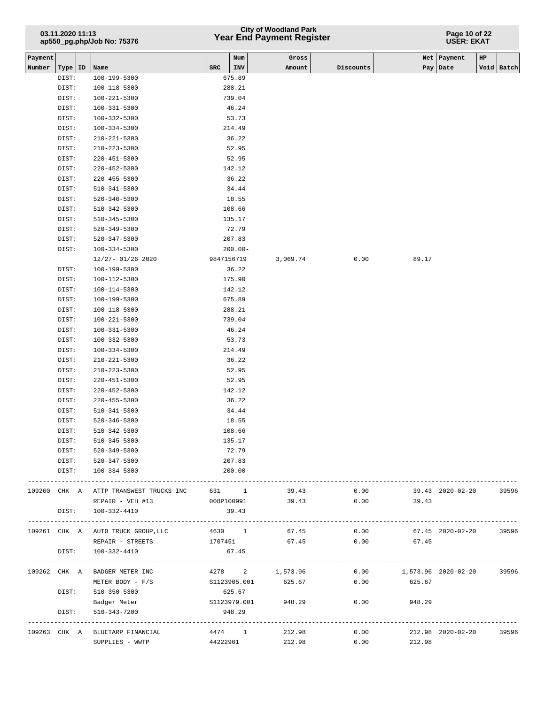# **Year End Payment Register City of Woodland Park 03.11.2020 11:13**

#### **Page 10 of 22 USER: EKAT**

| Payment |              |                                        |     | Num          | Gross           |           |                     | Net   Payment     | HP |            |
|---------|--------------|----------------------------------------|-----|--------------|-----------------|-----------|---------------------|-------------------|----|------------|
| Number  | Type   ID    | Name                                   | SRC | INV          | Amount          | Discounts |                     | Pay Date          |    | Void Batch |
|         | DIST:        | 100-199-5300                           |     | 675.89       |                 |           |                     |                   |    |            |
|         | DIST:        | 100-118-5300                           |     | 288.21       |                 |           |                     |                   |    |            |
|         | DIST:        | 100-221-5300                           |     | 739.04       |                 |           |                     |                   |    |            |
|         | DIST:        | 100-331-5300                           |     | 46.24        |                 |           |                     |                   |    |            |
|         | DIST:        | 100-332-5300                           |     | 53.73        |                 |           |                     |                   |    |            |
|         | DIST:        | 100-334-5300                           |     | 214.49       |                 |           |                     |                   |    |            |
|         | DIST:        | 210-221-5300                           |     | 36.22        |                 |           |                     |                   |    |            |
|         | DIST:        | 210-223-5300                           |     | 52.95        |                 |           |                     |                   |    |            |
|         | DIST:        | 220-451-5300                           |     | 52.95        |                 |           |                     |                   |    |            |
|         | DIST:        | 220-452-5300                           |     | 142.12       |                 |           |                     |                   |    |            |
|         |              |                                        |     | 36.22        |                 |           |                     |                   |    |            |
|         | DIST:        | 220-455-5300                           |     |              |                 |           |                     |                   |    |            |
|         | DIST:        | 510-341-5300                           |     | 34.44        |                 |           |                     |                   |    |            |
|         | DIST:        | 520-346-5300                           |     | 18.55        |                 |           |                     |                   |    |            |
|         | DIST:        | 510-342-5300                           |     | 108.66       |                 |           |                     |                   |    |            |
|         | DIST:        | 510-345-5300                           |     | 135.17       |                 |           |                     |                   |    |            |
|         | DIST:        | 520-349-5300                           |     | 72.79        |                 |           |                     |                   |    |            |
|         | DIST:        | 520-347-5300                           |     | 207.83       |                 |           |                     |                   |    |            |
|         | DIST:        | 100-334-5300                           |     | $200.00 -$   |                 |           |                     |                   |    |            |
|         |              | 12/27- 01/26 2020                      |     | 9847156719   | 3,069.74        | 0.00      | 89.17               |                   |    |            |
|         | DIST:        | 100-199-5300                           |     | 36.22        |                 |           |                     |                   |    |            |
|         | DIST:        | 100-112-5300                           |     | 175.90       |                 |           |                     |                   |    |            |
|         | DIST:        | 100-114-5300                           |     | 142.12       |                 |           |                     |                   |    |            |
|         | DIST:        | 100-199-5300                           |     | 675.89       |                 |           |                     |                   |    |            |
|         | DIST:        | 100-118-5300                           |     | 288.21       |                 |           |                     |                   |    |            |
|         | DIST:        | 100-221-5300                           |     | 739.04       |                 |           |                     |                   |    |            |
|         | DIST:        | 100-331-5300                           |     | 46.24        |                 |           |                     |                   |    |            |
|         | DIST:        | 100-332-5300                           |     | 53.73        |                 |           |                     |                   |    |            |
|         | DIST:        | 100-334-5300                           |     | 214.49       |                 |           |                     |                   |    |            |
|         | DIST:        | 210-221-5300                           |     | 36.22        |                 |           |                     |                   |    |            |
|         | DIST:        | 210-223-5300                           |     | 52.95        |                 |           |                     |                   |    |            |
|         | DIST:        | 220-451-5300                           |     | 52.95        |                 |           |                     |                   |    |            |
|         | DIST:        | 220-452-5300                           |     | 142.12       |                 |           |                     |                   |    |            |
|         | DIST:        | 220-455-5300                           |     | 36.22        |                 |           |                     |                   |    |            |
|         | DIST:        | 510-341-5300                           |     | 34.44        |                 |           |                     |                   |    |            |
|         | DIST:        | 520-346-5300                           |     | 18.55        |                 |           |                     |                   |    |            |
|         | DIST:        | 510-342-5300                           |     | 108.66       |                 |           |                     |                   |    |            |
|         | DIST:        | 510-345-5300                           |     | 135.17       |                 |           |                     |                   |    |            |
|         | DIST:        | 520-349-5300                           |     | 72.79        |                 |           |                     |                   |    |            |
|         | DIST:        | 520-347-5300                           |     | 207.83       |                 |           |                     |                   |    |            |
|         | DIST:        | 100-334-5300                           |     | $200.00 -$   |                 |           |                     |                   |    |            |
|         | ---------    |                                        |     |              |                 |           |                     |                   |    |            |
|         |              | 109260 CHK A ATTP TRANSWEST TRUCKS INC |     | 631 1        | 39.43           | 0.00      |                     | 39.43 2020-02-20  |    | 39596      |
|         |              | REPAIR - VEH #13                       |     | 008P100991   | 39.43           | 0.00      | 39.43               |                   |    |            |
|         | DIST:        | 100-332-4410                           |     | 39.43        |                 |           |                     |                   |    |            |
|         |              | ---------------------------            |     |              |                 |           |                     |                   |    |            |
|         |              | 109261 CHK A AUTO TRUCK GROUP, LLC     |     | 4630 1       | 67.45           | 0.00      |                     | 67.45 2020-02-20  |    | 39596      |
|         |              | REPAIR - STREETS                       |     | 1707451      | 67.45           | 0.00      | 67.45               |                   |    |            |
|         | DIST:        | 100-332-4410                           |     | 67.45        |                 |           |                     |                   |    |            |
|         |              |                                        |     |              |                 |           |                     |                   |    |            |
|         | 109262 CHK A | BADGER METER INC                       |     |              | 4278 2 1,573.96 | 0.00      | 1,573.96 2020-02-20 |                   |    | 39596      |
|         |              | METER BODY - F/S                       |     | S1123905.001 | 625.67          | 0.00      | 625.67              |                   |    |            |
|         | DIST:        | 510-350-5300                           |     | 625.67       |                 |           |                     |                   |    |            |
|         |              | Badger Meter                           |     | S1123979.001 | 948.29          | 0.00      | 948.29              |                   |    |            |
|         | DIST:        | 510-343-7200                           |     | 948.29       |                 |           |                     |                   |    |            |
|         |              | ------------------------------         |     | .            |                 |           |                     |                   |    |            |
|         | 109263 CHK A | BLUETARP FINANCIAL                     |     |              | 4474 1 212.98   | 0.00      |                     | 212.98 2020-02-20 |    | 39596      |
|         |              | SUPPLIES - WWTP                        |     | 44222901     | 212.98          | 0.00      | 212.98              |                   |    |            |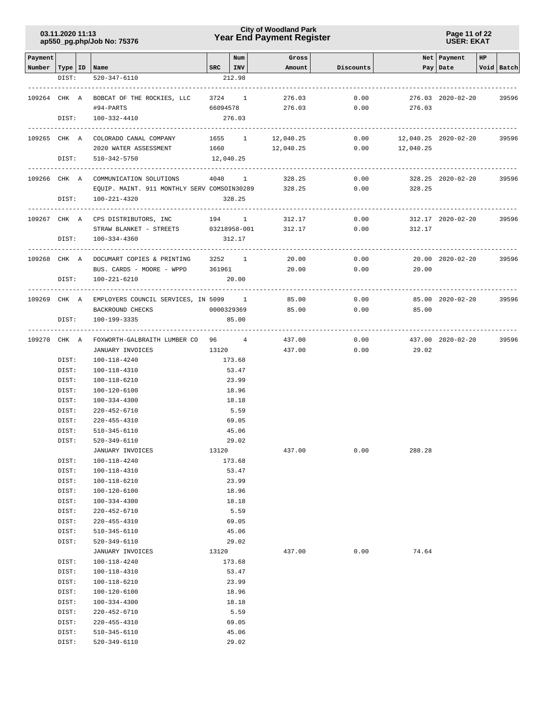**Page 11 of 22 USER: EKAT**

| Payment                   |                |                                                       |          | Num                    | Gross            |              |                      | Net   Payment     | HP |              |
|---------------------------|----------------|-------------------------------------------------------|----------|------------------------|------------------|--------------|----------------------|-------------------|----|--------------|
| Number   Type   ID   Name |                |                                                       |          | $SRC$ $ INV$           | Amount           | Discounts    |                      | Pay   Date        |    | Void   Batch |
|                           | DIST:          | 520-347-6110                                          |          | 212.98                 |                  |              |                      |                   |    |              |
|                           |                |                                                       |          |                        |                  |              |                      |                   |    |              |
| 109264 CHK A              |                | BOBCAT OF THE ROCKIES, LLC                            |          | 3724 1                 | 276.03           | 0.00         |                      | 276.03 2020-02-20 |    | 39596        |
|                           |                | #94-PARTS                                             | 66094578 |                        | 276.03           | 0.00         | 276.03               |                   |    |              |
|                           | DIST:          | 100-332-4410                                          |          | 276.03                 |                  |              |                      |                   |    |              |
|                           |                |                                                       |          |                        |                  |              |                      |                   |    |              |
|                           |                | 109265 CHK A COLORADO CANAL COMPANY                   |          | 1655 1                 | 12,040.25        | 0.00         | 12,040.25 2020-02-20 |                   |    | 39596        |
|                           |                | 2020 WATER ASSESSMENT                                 |          | 1660 166               | 12,040.25        | 0.00         | 12,040.25            |                   |    |              |
|                           | DIST:          | 510-342-5750                                          |          | 12,040.25              |                  |              |                      |                   |    |              |
| 109266 CHK A              |                | COMMUNICATION SOLUTIONS 4040 1 328.25                 |          |                        |                  | 0.00         |                      | 328.25 2020-02-20 |    | 39596        |
|                           |                | EQUIP. MAINT. 911 MONTHLY SERV COMSOIN30289 328.25    |          |                        |                  |              | 0.00<br>328.25       |                   |    |              |
|                           | DIST:          | 100-221-4320                                          |          | 328.25                 |                  |              |                      |                   |    |              |
|                           |                |                                                       |          |                        |                  |              |                      |                   |    |              |
|                           |                | 109267 CHK A CPS DISTRIBUTORS, INC                    |          | 194 1                  | 312.17           | 0.00         |                      | 312.17 2020-02-20 |    | 39596        |
|                           |                | STRAW BLANKET - STREETS                               |          | 03218958-001           | 312.17           | 0.00         | 312.17               |                   |    |              |
|                           | DIST:          | 100-334-4360                                          |          | 312.17<br>------------ |                  |              |                      |                   |    |              |
|                           |                | 109268 CHK A DOCUMART COPIES & PRINTING               |          | 3252 1                 | 20.00            | 0.00         |                      | 20.00 2020-02-20  |    | 39596        |
|                           |                | BUS. CARDS - MOORE - WPPD 361961                      |          |                        | 20.00            | 0.00         | 20.00                |                   |    |              |
|                           | DIST:          | 100-221-6210                                          |          | 20.00                  |                  |              |                      |                   |    |              |
|                           |                | -------------------                                   |          |                        |                  |              |                      |                   |    |              |
|                           |                | 109269 CHK A EMPLOYERS COUNCIL SERVICES, IN 5099 1    |          |                        | 85.00            | 0.00         |                      | 85.00 2020-02-20  |    | 39596        |
|                           |                | BACKROUND CHECKS                                      |          | 0000329369             | 85.00            | 0.00         | 85.00                |                   |    |              |
|                           | DIST:          | 100-199-3335                                          |          | 85.00                  |                  |              |                      |                   |    |              |
|                           |                |                                                       |          |                        |                  |              |                      |                   |    |              |
| 109270 CHK A              |                | FOXWORTH-GALBRAITH LUMBER CO 96 4<br>JANUARY INVOICES |          | 13120                  | 437.00<br>437.00 | 0.00<br>0.00 | 29.02                | 437.00 2020-02-20 |    | 39596        |
|                           | DIST:          | 100-118-4240                                          |          | 173.68                 |                  |              |                      |                   |    |              |
|                           | DIST:          | 100-118-4310                                          |          | 53.47                  |                  |              |                      |                   |    |              |
|                           | DIST:          | 100-118-6210                                          |          | 23.99                  |                  |              |                      |                   |    |              |
|                           | DIST:          | 100-120-6100                                          |          | 18.96                  |                  |              |                      |                   |    |              |
|                           | DIST:          | 100-334-4300                                          |          | 18.18                  |                  |              |                      |                   |    |              |
|                           | DIST:          | 220-452-6710                                          |          | 5.59                   |                  |              |                      |                   |    |              |
|                           | DIST:          | 220-455-4310                                          |          | 69.05                  |                  |              |                      |                   |    |              |
|                           | DIST:          | 510-345-6110                                          |          | 45.06                  |                  |              |                      |                   |    |              |
|                           | DIST:          | 520-349-6110                                          |          | 29.02                  |                  |              |                      |                   |    |              |
|                           |                | JANUARY INVOICES                                      | 13120    |                        | 437.00           | 0.00         | 288.28               |                   |    |              |
|                           | DIST:<br>DIST: | 100-118-4240<br>100-118-4310                          |          | 173.68<br>53.47        |                  |              |                      |                   |    |              |
|                           | DIST:          | 100-118-6210                                          |          | 23.99                  |                  |              |                      |                   |    |              |
|                           | DIST:          | 100-120-6100                                          |          | 18.96                  |                  |              |                      |                   |    |              |
|                           | DIST:          | 100-334-4300                                          |          | 18.18                  |                  |              |                      |                   |    |              |
|                           | DIST:          | 220-452-6710                                          |          | 5.59                   |                  |              |                      |                   |    |              |
|                           | DIST:          | 220-455-4310                                          |          | 69.05                  |                  |              |                      |                   |    |              |
|                           | DIST:          | 510-345-6110                                          |          | 45.06                  |                  |              |                      |                   |    |              |
|                           | DIST:          | 520-349-6110                                          |          | 29.02                  |                  |              |                      |                   |    |              |
|                           |                | JANUARY INVOICES                                      | 13120    |                        | 437.00           | 0.00         | 74.64                |                   |    |              |
|                           | DIST:          | 100-118-4240                                          |          | 173.68                 |                  |              |                      |                   |    |              |
|                           | DIST:          | 100-118-4310                                          |          | 53.47                  |                  |              |                      |                   |    |              |
|                           | DIST:          | 100-118-6210                                          |          | 23.99                  |                  |              |                      |                   |    |              |
|                           | DIST:          | 100-120-6100                                          |          | 18.96<br>18.18         |                  |              |                      |                   |    |              |
|                           | DIST:<br>DIST: | 100-334-4300<br>220-452-6710                          |          | 5.59                   |                  |              |                      |                   |    |              |
|                           | DIST:          | 220-455-4310                                          |          | 69.05                  |                  |              |                      |                   |    |              |
|                           | DIST:          | 510-345-6110                                          |          | 45.06                  |                  |              |                      |                   |    |              |
|                           | DIST:          | 520-349-6110                                          |          | 29.02                  |                  |              |                      |                   |    |              |
|                           |                |                                                       |          |                        |                  |              |                      |                   |    |              |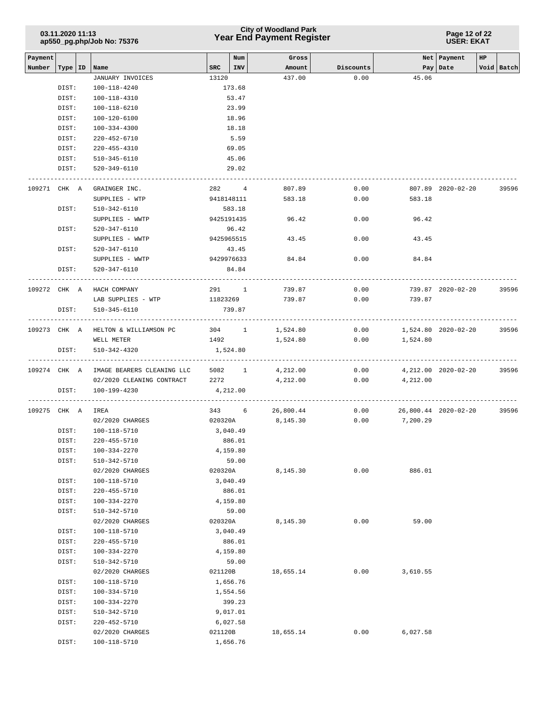# **Year End Payment Register City of Woodland Park 03.11.2020 11:13**

**Page 12 of 22 USER: EKAT**

| Payment      |                |                                      |           | Num                 | Gross            |           |                      | Net   Payment       | HP |            |
|--------------|----------------|--------------------------------------|-----------|---------------------|------------------|-----------|----------------------|---------------------|----|------------|
|              |                |                                      | SRC   INV |                     |                  | Discounts |                      |                     |    |            |
| Number       |                | Type   ID   Name<br>JANUARY INVOICES | 13120     |                     | Amount<br>437.00 | 0.00      | 45.06                | Pay   Date          |    | Void Batch |
|              |                |                                      |           |                     |                  |           |                      |                     |    |            |
|              | DIST:          | 100-118-4240                         |           | 173.68              |                  |           |                      |                     |    |            |
|              | DIST:          | 100-118-4310                         |           | 53.47               |                  |           |                      |                     |    |            |
|              | DIST:          | 100-118-6210                         |           | 23.99               |                  |           |                      |                     |    |            |
|              | DIST:          | 100-120-6100                         |           | 18.96               |                  |           |                      |                     |    |            |
|              | DIST:          | 100-334-4300                         |           | 18.18               |                  |           |                      |                     |    |            |
|              | DIST:          | 220-452-6710                         |           | 5.59                |                  |           |                      |                     |    |            |
|              | DIST:          | 220-455-4310                         |           | 69.05               |                  |           |                      |                     |    |            |
|              | DIST:          | 510-345-6110                         |           | 45.06               |                  |           |                      |                     |    |            |
|              | DIST:          | 520-349-6110                         |           | 29.02               |                  |           |                      |                     |    |            |
| 109271 CHK A |                | GRAINGER INC.                        |           | 282 4               | 807.89           | 0.00      |                      | 807.89 2020-02-20   |    | 39596      |
|              |                | SUPPLIES - WTP                       |           | 9418148111          | 583.18           | 0.00      | 583.18               |                     |    |            |
|              | DIST:          | 510-342-6110                         |           | 583.18              |                  |           |                      |                     |    |            |
|              |                | SUPPLIES - WWTP                      |           | 9425191435          | 96.42            | 0.00      | 96.42                |                     |    |            |
|              | DIST:          | 520-347-6110                         |           | 96.42               |                  |           |                      |                     |    |            |
|              |                |                                      |           | 9425965515          |                  |           |                      |                     |    |            |
|              |                | SUPPLIES - WWTP                      |           |                     | 43.45            | 0.00      | 43.45                |                     |    |            |
|              | DIST:          | 520-347-6110                         |           | 43.45<br>9429976633 |                  |           |                      |                     |    |            |
|              | DIST:          | SUPPLIES - WWTP                      |           |                     | 84.84            | 0.00      | 84.84                |                     |    |            |
|              |                | 520-347-6110                         |           | 84.84               |                  |           |                      |                     |    |            |
|              |                | 109272 CHK A HACH COMPANY            |           | 291 1               | 739.87           | 0.00      |                      | 739.87 2020-02-20   |    | 39596      |
|              |                | LAB SUPPLIES - WTP                   | 11823269  |                     | 739.87           | 0.00      | 739.87               |                     |    |            |
|              | DIST:          | 510-345-6110                         |           | 739.87              |                  |           |                      |                     |    |            |
|              |                |                                      |           |                     |                  |           |                      |                     |    |            |
|              |                | 109273 CHK A HELTON & WILLIAMSON PC  |           | 304 1               | 1,524.80         | 0.00      | 1,524.80 2020-02-20  |                     |    | 39596      |
|              |                | WELL METER                           |           | 1492                | 1,524.80         | 0.00      | 1,524.80             |                     |    |            |
|              | DIST:          | 510-342-4320                         | 1,524.80  |                     |                  |           |                      |                     |    |            |
|              |                |                                      |           |                     |                  |           |                      |                     |    |            |
| 109274 CHK A |                | IMAGE BEARERS CLEANING LLC           |           | 5082 1              | 4,212.00         | 0.00      |                      | 4,212.00 2020-02-20 |    | 39596      |
|              |                | 02/2020 CLEANING CONTRACT            |           | 2272 and $\sim$     | 4,212.00         |           | $0.00$ $4,212.00$    |                     |    |            |
|              | DIST:          | 100-199-4230                         | 4,212.00  |                     |                  |           |                      |                     |    |            |
|              |                |                                      |           |                     |                  |           |                      |                     |    |            |
| 109275 CHK A |                | IREA                                 |           | 343 6               | 26,800.44        | 0.00      | 26,800.44 2020-02-20 |                     |    | 39596      |
|              |                | 02/2020 CHARGES                      | 020320A   |                     | 8,145.30         | 0.00      | 7,200.29             |                     |    |            |
|              | DIST:          | 100-118-5710                         | 3,040.49  |                     |                  |           |                      |                     |    |            |
|              | DIST:          | 220-455-5710                         |           | 886.01              |                  |           |                      |                     |    |            |
|              | DIST:          | 100-334-2270                         |           | 4,159.80            |                  |           |                      |                     |    |            |
|              | DIST:          | 510-342-5710                         |           | 59.00               |                  |           |                      |                     |    |            |
|              |                | 02/2020 CHARGES                      | 020320A   |                     | 8,145.30         | 0.00      | 886.01               |                     |    |            |
|              | DIST:          | 100-118-5710                         |           | 3,040.49            |                  |           |                      |                     |    |            |
|              | DIST:          | 220-455-5710                         |           | 886.01              |                  |           |                      |                     |    |            |
|              | DIST:          | 100-334-2270                         |           | 4,159.80            |                  |           |                      |                     |    |            |
|              | DIST:          | 510-342-5710                         |           | 59.00               |                  |           | 59.00                |                     |    |            |
|              |                | 02/2020 CHARGES                      | 020320A   |                     | 8,145.30         | 0.00      |                      |                     |    |            |
|              | DIST:          | 100-118-5710                         |           | 3,040.49            |                  |           |                      |                     |    |            |
|              | DIST:<br>DIST: | 220-455-5710<br>100-334-2270         |           | 886.01<br>4,159.80  |                  |           |                      |                     |    |            |
|              | DIST:          | 510-342-5710                         |           | 59.00               |                  |           |                      |                     |    |            |
|              |                | 02/2020 CHARGES                      | 021120B   |                     | 18,655.14        | 0.00      | 3,610.55             |                     |    |            |
|              | DIST:          | 100-118-5710                         |           | 1,656.76            |                  |           |                      |                     |    |            |
|              | DIST:          | 100-334-5710                         |           | 1,554.56            |                  |           |                      |                     |    |            |
|              | DIST:          | 100-334-2270                         |           | 399.23              |                  |           |                      |                     |    |            |
|              | DIST:          | 510-342-5710                         |           | 9,017.01            |                  |           |                      |                     |    |            |
|              | DIST:          | 220-452-5710                         |           | 6,027.58            |                  |           |                      |                     |    |            |
|              |                | 02/2020 CHARGES                      | 021120B   |                     | 18,655.14        | 0.00      | 6,027.58             |                     |    |            |
|              | DIST:          | 100-118-5710                         |           | 1,656.76            |                  |           |                      |                     |    |            |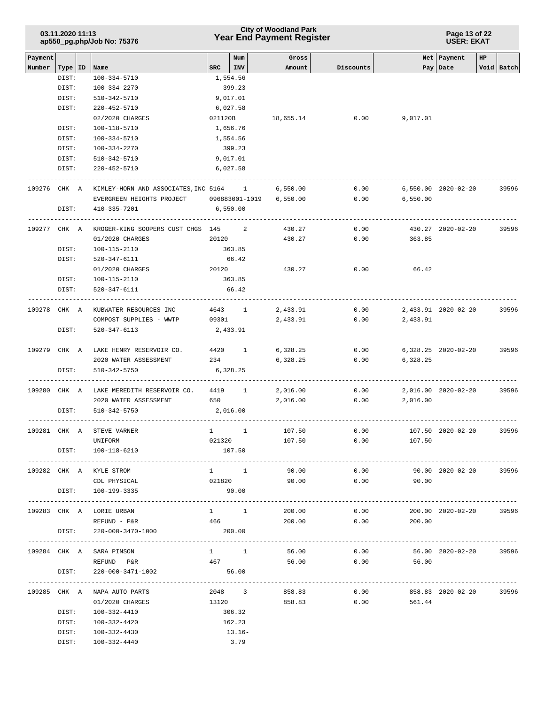| 03.11.2020 11:13<br>ap550_pg.php/Job No: 75376 |                    |  |                                        |          | <b>City of Woodland Park</b><br><b>Year End Payment Register</b> | Page 13 of 22<br><b>USER: EKAT</b> |           |                         |                         |    |            |
|------------------------------------------------|--------------------|--|----------------------------------------|----------|------------------------------------------------------------------|------------------------------------|-----------|-------------------------|-------------------------|----|------------|
| Payment                                        |                    |  |                                        |          | Num                                                              | Gross                              |           |                         | Net Payment             | HP |            |
| Number                                         | Type   ID<br>DIST: |  | Name<br>100-334-5710                   | SRC      | I INV<br>1,554.56                                                | Amount                             | Discounts |                         | Pay   Date              |    | Void Batch |
|                                                | DIST:              |  | 100-334-2270                           |          | 399.23                                                           |                                    |           |                         |                         |    |            |
|                                                |                    |  |                                        |          |                                                                  |                                    |           |                         |                         |    |            |
|                                                | DIST:              |  | 510-342-5710                           |          | 9,017.01                                                         |                                    |           |                         |                         |    |            |
|                                                | DIST:              |  | $220 - 452 - 5710$                     |          | 6,027.58                                                         |                                    |           |                         |                         |    |            |
|                                                |                    |  | 02/2020 CHARGES                        | 021120B  |                                                                  | 18,655.14                          | 0.00      | 9,017.01                |                         |    |            |
|                                                | DIST:              |  | 100-118-5710                           |          | 1,656.76                                                         |                                    |           |                         |                         |    |            |
|                                                | DIST:              |  | 100-334-5710                           |          | 1,554.56                                                         |                                    |           |                         |                         |    |            |
|                                                | DIST:              |  | 100-334-2270                           |          | 399.23                                                           |                                    |           |                         |                         |    |            |
|                                                | DIST:              |  | 510-342-5710                           |          | 9,017.01                                                         |                                    |           |                         |                         |    |            |
|                                                | DIST:              |  | 220-452-5710                           |          | 6,027.58                                                         |                                    |           |                         |                         |    |            |
| 109276 CHK A                                   |                    |  | KIMLEY-HORN AND ASSOCIATES, INC 5164 1 |          |                                                                  | 6,550.00                           | 0.00      |                         | 6,550.00 2020-02-20     |    | 39596      |
|                                                |                    |  | EVERGREEN HEIGHTS PROJECT              |          | 096883001-1019                                                   | 6,550.00                           | 0.00      | 6,550.00                |                         |    |            |
|                                                | DIST:              |  | 410-335-7201                           | 6,550.00 |                                                                  |                                    |           |                         |                         |    |            |
| 109277 CHK A                                   |                    |  | KROGER-KING SOOPERS CUST CHGS 145      |          | 2                                                                | 430.27                             | 0.00      |                         | 430.27 2020-02-20       |    | 39596      |
|                                                |                    |  | 01/2020 CHARGES                        | 20120    |                                                                  | 430.27                             | 0.00      | 363.85                  |                         |    |            |
|                                                | DIST:              |  | 100-115-2110                           |          | 363.85                                                           |                                    |           |                         |                         |    |            |
|                                                | DIST:              |  | 520-347-6111                           |          | 66.42                                                            |                                    |           |                         |                         |    |            |
|                                                |                    |  | 01/2020 CHARGES                        | 20120    |                                                                  | 430.27                             | 0.00      | 66.42                   |                         |    |            |
|                                                | DIST:              |  | 100-115-2110                           |          | 363.85                                                           |                                    |           |                         |                         |    |            |
|                                                | DIST:              |  | 520-347-6111                           |          | 66.42                                                            |                                    |           |                         |                         |    |            |
| 109278 CHK A                                   |                    |  | KUBWATER RESOURCES INC                 |          | 4643 1                                                           | 2,433.91                           | 0.00      |                         | 2,433.91 2020-02-20     |    | 39596      |
|                                                |                    |  | COMPOST SUPPLIES - WWTP                | 09301    |                                                                  | 2,433.91                           | 0.00      | 2,433.91                |                         |    |            |
|                                                | DIST:              |  | 520-347-6113                           |          | 2,433.91                                                         |                                    |           |                         |                         |    |            |
| 109279 CHK A                                   |                    |  | LAKE HENRY RESERVOIR CO.               |          | 4420 1                                                           | 6,328.25                           | 0.00      |                         | 6,328.25 2020-02-20     |    | 39596      |
|                                                |                    |  | 2020 WATER ASSESSMENT                  |          | 234                                                              | 6,328.25                           | 0.00      | 6,328.25                |                         |    |            |
|                                                | DIST:              |  | 510-342-5750                           | 6,328.25 |                                                                  |                                    |           |                         |                         |    |            |
| 109280 CHK A                                   |                    |  | LAKE MEREDITH RESERVOIR CO.            |          | 4419 1                                                           | ---------------------<br>2,016.00  | 0.00      |                         | 2,016.00 2020-02-20     |    | 39596      |
|                                                |                    |  | 2020 WATER ASSESSMENT                  |          | 650 700                                                          | 2,016.00                           | 0.00      | 2,016.00                |                         |    |            |
|                                                | DIST:              |  | 510-342-5750                           | 2,016.00 |                                                                  |                                    |           |                         |                         |    |            |
|                                                |                    |  | 109281 CHK A STEVE VARNER              |          |                                                                  | 107.50                             | 0.00      |                         | 107.50 2020-02-20       |    | 39596      |
|                                                |                    |  | UNIFORM                                |          | 021320                                                           | 107.50                             | 0.00      | 107.50                  |                         |    |            |
|                                                |                    |  | DIST: 100-118-6210                     |          | 107.50                                                           |                                    |           |                         |                         |    |            |
|                                                |                    |  | 109282 CHK A KYLE STROM                |          | $1 \quad 1$                                                      | 90.00                              | 0.00      |                         |                         |    |            |
|                                                |                    |  | CDL PHYSICAL                           | 021820   |                                                                  |                                    |           | $0.00$ 90.00            | 90.00 2020-02-20        |    | 39596      |
|                                                |                    |  | DIST: 100-199-3335                     |          | 90.00                                                            | 90.00                              |           |                         |                         |    |            |
|                                                |                    |  |                                        |          |                                                                  |                                    |           |                         |                         |    |            |
|                                                |                    |  | 109283 CHK A LORIE URBAN               |          | $1 \quad 1$                                                      | 200.00                             | 0.00      |                         | 200.00 2020-02-20 39596 |    |            |
|                                                |                    |  | REFUND - P&R                           | 466      |                                                                  | 200.00                             | 0.00      | 200.00                  |                         |    |            |
|                                                | DIST:              |  | 220-000-3470-1000                      |          | 200.00                                                           | ---------------------------        |           |                         |                         |    |            |
|                                                |                    |  | 109284 CHK A SARA PINSON               |          | $1 \quad 1 \quad$                                                | 56.00                              |           | $0.00$ 56.00 2020-02-20 |                         |    | 39596      |
|                                                |                    |  | REFUND - P&R                           | 467      |                                                                  | 56.00                              |           | $0.00$ 56.00            |                         |    |            |
|                                                | DIST:              |  | 220-000-3471-1002                      |          | 56.00                                                            |                                    |           |                         | -----------------       |    |            |
|                                                |                    |  | 109285 CHK A NAPA AUTO PARTS           |          | 2048 3                                                           | 858.83                             | 0.00      |                         | 858.83 2020-02-20 39596 |    |            |
|                                                |                    |  | 01/2020 CHARGES                        | 13120    |                                                                  | 858.83                             | 0.00      | 561.44                  |                         |    |            |
|                                                | DIST:              |  | 100-332-4410                           |          | 306.32                                                           |                                    |           |                         |                         |    |            |
|                                                | DIST:              |  | 100-332-4420                           |          | 162.23                                                           |                                    |           |                         |                         |    |            |
|                                                | DIST:              |  | 100-332-4430                           |          | $13.16-$                                                         |                                    |           |                         |                         |    |            |
|                                                |                    |  | DIST: 100-332-4440                     |          | 3.79                                                             |                                    |           |                         |                         |    |            |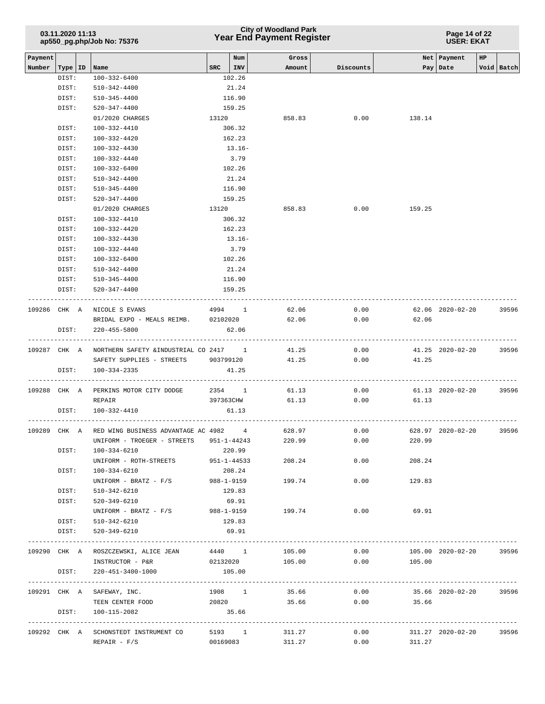| 03.11.2020 11:13<br>ap550_pg.php/Job No: 75376 |              |                                                     |            |                   | <b>City of Woodland Park</b><br><b>Year End Payment Register</b> |           | Page 14 of 22<br><b>USER: EKAT</b>   |                           |             |            |  |  |
|------------------------------------------------|--------------|-----------------------------------------------------|------------|-------------------|------------------------------------------------------------------|-----------|--------------------------------------|---------------------------|-------------|------------|--|--|
| Payment<br>Number                              | Type   ID    | Name                                                | <b>SRC</b> | Num<br><b>INV</b> | Gross<br>Amount                                                  | Discounts |                                      | Net Payment<br>Pay   Date | $_{\rm HP}$ | Void Batch |  |  |
|                                                | DIST:        | $100 - 332 - 6400$                                  |            | 102.26            |                                                                  |           |                                      |                           |             |            |  |  |
|                                                | DIST:        | 510-342-4400                                        |            | 21.24             |                                                                  |           |                                      |                           |             |            |  |  |
|                                                | DIST:        | 510-345-4400                                        |            | 116.90            |                                                                  |           |                                      |                           |             |            |  |  |
|                                                | DIST:        | $520 - 347 - 4400$                                  |            | 159.25            |                                                                  |           |                                      |                           |             |            |  |  |
|                                                |              | 01/2020 CHARGES                                     | 13120      |                   | 858.83                                                           | 0.00      | 138.14                               |                           |             |            |  |  |
|                                                | DIST:        | 100-332-4410                                        |            | 306.32            |                                                                  |           |                                      |                           |             |            |  |  |
|                                                | DIST:        | 100-332-4420                                        |            | 162.23            |                                                                  |           |                                      |                           |             |            |  |  |
|                                                | DIST:        | 100-332-4430                                        |            | $13.16-$          |                                                                  |           |                                      |                           |             |            |  |  |
|                                                | DIST:        | $100 - 332 - 4440$                                  |            | 3.79              |                                                                  |           |                                      |                           |             |            |  |  |
|                                                | DIST:        | $100 - 332 - 6400$                                  |            | 102.26            |                                                                  |           |                                      |                           |             |            |  |  |
|                                                | DIST:        | 510-342-4400                                        |            | 21.24             |                                                                  |           |                                      |                           |             |            |  |  |
|                                                | DIST:        | $510 - 345 - 4400$                                  |            | 116.90            |                                                                  |           |                                      |                           |             |            |  |  |
|                                                | DIST:        | $520 - 347 - 4400$                                  |            | 159.25            |                                                                  |           |                                      |                           |             |            |  |  |
|                                                |              | 01/2020 CHARGES                                     | 13120      |                   | 858.83                                                           | 0.00      | 159.25                               |                           |             |            |  |  |
|                                                | DIST:        | 100-332-4410                                        |            | 306.32            |                                                                  |           |                                      |                           |             |            |  |  |
|                                                | DIST:        | 100-332-4420                                        |            | 162.23            |                                                                  |           |                                      |                           |             |            |  |  |
|                                                | DIST:        | $100 - 332 - 4430$                                  |            | $13.16-$          |                                                                  |           |                                      |                           |             |            |  |  |
|                                                | DIST:        | $100 - 332 - 4440$                                  |            | 3.79              |                                                                  |           |                                      |                           |             |            |  |  |
|                                                | DIST:        | 100-332-6400                                        |            | 102.26            |                                                                  |           |                                      |                           |             |            |  |  |
|                                                | DIST:        | 510-342-4400                                        |            | 21.24             |                                                                  |           |                                      |                           |             |            |  |  |
|                                                | DIST:        | 510-345-4400                                        |            | 116.90            |                                                                  |           |                                      |                           |             |            |  |  |
|                                                | DIST:        | 520-347-4400                                        |            | 159.25            |                                                                  |           |                                      |                           |             |            |  |  |
|                                                | 109286 CHK A | NICOLE S EVANS                                      | 4994 1     |                   | 62.06                                                            | 0.00      |                                      | 62.06 2020-02-20          |             | 39596      |  |  |
|                                                |              | BRIDAL EXPO - MEALS REIMB. 02102020                 |            |                   | 62.06                                                            | 0.00      | 62.06                                |                           |             |            |  |  |
|                                                | DIST:        | $220 - 455 - 5800$                                  |            | 62.06             |                                                                  |           |                                      |                           |             |            |  |  |
|                                                | 109287 CHK A | NORTHERN SAFETY & INDUSTRIAL CO 2417 1              |            |                   | 41.25                                                            | 0.00      |                                      | 41.25 2020-02-20          |             | 39596      |  |  |
|                                                |              | SAFETY SUPPLIES - STREETS                           | 903799120  |                   | 41.25                                                            | 0.00      | 41.25                                |                           |             |            |  |  |
|                                                | DIST:        | $100 - 334 - 2335$<br>----------------------------  |            | 41.25             |                                                                  |           |                                      |                           |             |            |  |  |
|                                                |              | 109288 CHK A PERKINS MOTOR CITY DODGE               |            | 2354 1            | 61.13                                                            | 0.00      |                                      | 61.13 2020-02-20          |             | 39596      |  |  |
|                                                |              | REPAIR                                              | 397363CHW  |                   | 61.13                                                            | 0.00      | 61.13                                |                           |             |            |  |  |
|                                                | DIST:        | 100-332-4410                                        | ---------  | 61.13             |                                                                  |           |                                      |                           |             |            |  |  |
|                                                |              | 109289 CHK A RED WING BUSINESS ADVANTAGE AC 4982 4  |            |                   | 628.97                                                           | 0.00      |                                      | 628.97 2020-02-20         |             | 39596      |  |  |
|                                                |              | UNIFORM - TROEGER - STREETS 951-1-44243             |            |                   | 220.99                                                           | 0.00      | 220.99                               |                           |             |            |  |  |
|                                                | DIST:        | 100-334-6210                                        |            | 220.99            |                                                                  |           |                                      |                           |             |            |  |  |
|                                                |              | UNIFORM - ROTH-STREETS 951-1-44533                  |            |                   | 208.24                                                           | 0.00      | 208.24                               |                           |             |            |  |  |
|                                                | DIST:        | 100-334-6210                                        |            | 208.24            |                                                                  |           |                                      |                           |             |            |  |  |
|                                                |              | UNIFORM - BRATZ - F/S                               |            | 988-1-9159        | 199.74                                                           | 0.00      | 129.83                               |                           |             |            |  |  |
|                                                | DIST:        | 510-342-6210                                        |            | 129.83            |                                                                  |           |                                      |                           |             |            |  |  |
|                                                | DIST:        | 520-349-6210                                        |            | 69.91             |                                                                  |           |                                      |                           |             |            |  |  |
|                                                |              | $UNIFORM - BRATZ - F/S$ 988-1-9159 199.74           |            |                   |                                                                  | 0.00      | 69.91                                |                           |             |            |  |  |
|                                                |              | DIST: 510-342-6210                                  |            | 129.83            |                                                                  |           |                                      |                           |             |            |  |  |
|                                                | DIST:        | 520-349-6210                                        |            | 69.91             |                                                                  |           |                                      |                           |             |            |  |  |
|                                                |              | 109290 CHK A ROSZCZEWSKI, ALICE JEAN 4440 1 105.00  |            |                   |                                                                  | 0.00      |                                      | 105.00 2020-02-20 39596   |             |            |  |  |
|                                                |              | INSTRUCTOR - P&R                                    |            | 02132020          | 105.00 0.00 105.00                                               |           |                                      |                           |             |            |  |  |
|                                                | DIST:        | 220-451-3400-1000                                   |            | 105.00            |                                                                  |           |                                      |                           |             |            |  |  |
|                                                |              | 109291 CHK A SAFEWAY, INC.                          |            | 1908 1            | 35.66                                                            | 0.00      |                                      | 35.66 2020-02-20 39596    |             |            |  |  |
|                                                |              | TEEN CENTER FOOD                                    | 20820      |                   | 35.66                                                            | 0.00      | 35.66                                |                           |             |            |  |  |
|                                                |              | DIST: 100-115-2082                                  |            | 35.66             |                                                                  |           |                                      |                           |             |            |  |  |
|                                                |              | 109292 CHK A SCHONSTEDT INSTRUMENT CO 5193 1 311.27 |            |                   |                                                                  |           | $0.00$ $311.27$ $2020-02-20$ $39596$ |                           |             |            |  |  |
|                                                |              | $REPAIR - F/S$                                      |            | 00169083          | 311.27                                                           | 0.00      | 311.27                               |                           |             |            |  |  |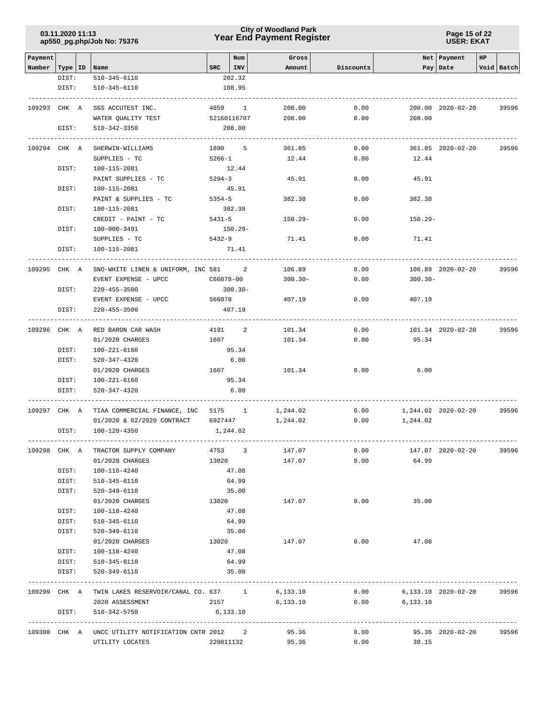# **Year End Payment Register City of Woodland Park 03.11.2020 11:13**

#### **Page 15 of 22 USER: EKAT**

| Payment |                                    |                                                        | $SRC$   INV         | Num | Gross<br>Amount  | Discounts    |            | Net Payment<br>Pay Date | HP | Void Batch |
|---------|------------------------------------|--------------------------------------------------------|---------------------|-----|------------------|--------------|------------|-------------------------|----|------------|
|         | Number   Type   ID   Name<br>DIST: | 510-345-6110                                           | 202.32              |     |                  |              |            |                         |    |            |
|         | DIST:                              | 510-345-6110                                           | 108.95              |     |                  |              |            |                         |    |            |
|         |                                    |                                                        |                     |     |                  |              |            |                         |    |            |
|         | 109293 CHK A                       | SGS ACCUTEST INC.                                      | 4859 1              |     | 208.00           | 0.00         |            | 208.00 2020-02-20       |    | 39596      |
|         |                                    | WATER QUALITY TEST                                     | 52160116707         |     | 208.00           | 0.00         | 208.00     |                         |    |            |
|         | DIST:                              | 510-342-3350                                           | 208.00              |     |                  |              |            |                         |    |            |
|         |                                    |                                                        |                     |     |                  |              |            |                         |    |            |
|         | 109294 CHK A                       | SHERWIN-WILLIAMS                                       | 1890 5              |     | 361.85           | 0.00         |            | 361.85 2020-02-20       |    | 39596      |
|         |                                    | SUPPLIES - TC                                          | $5266 - 1$<br>12.44 |     | 12.44            | 0.00         | 12.44      |                         |    |            |
|         | DIST:                              | 100-115-2081                                           |                     |     |                  |              |            |                         |    |            |
|         |                                    | PAINT SUPPLIES - TC                                    | $5294 - 3$          |     | 45.91            | 0.00         | 45.91      |                         |    |            |
|         | DIST:                              | 100-115-2081                                           | 45.91               |     |                  |              |            |                         |    |            |
|         |                                    | PAINT & SUPPLIES - TC                                  | 5354-5              |     | 382.38           | 0.00         | 382.38     |                         |    |            |
|         | DIST:                              | 100-115-2081                                           | 382.38              |     |                  |              |            |                         |    |            |
|         |                                    | CREDIT - PAINT - TC                                    | 5431-5              |     | $150.29 -$       | 0.00         | $150.29 -$ |                         |    |            |
|         | DIST:                              | 100-000-3491                                           | 150.29-             |     |                  |              |            |                         |    |            |
|         |                                    | SUPPLIES - TC                                          | 5432-9              |     | 71.41            | 0.00         | 71.41      |                         |    |            |
|         | DIST:                              | 100-115-2081                                           | 71.41               |     |                  |              |            |                         |    |            |
|         | 109295 CHK A                       | SNO-WHITE LINEN & UNIFORM, INC 581 2                   |                     |     | 106.89           | 0.00         |            | 106.89 2020-02-20       |    | 39596      |
|         |                                    | EVENT EXPENSE - UPCC                                   | C66078-00           |     | $300.30 -$       | 0.00         | $300.30 -$ |                         |    |            |
|         | DIST:                              | 220-455-3500                                           | $300.30 -$          |     |                  |              |            |                         |    |            |
|         |                                    | EVENT EXPENSE - UPCC                                   | S66078              |     | 407.19           | 0.00         | 407.19     |                         |    |            |
|         | DIST:                              | $220 - 455 - 3500$                                     | 407.19              |     |                  |              |            |                         |    |            |
|         |                                    |                                                        |                     |     |                  |              |            |                         |    |            |
|         | 109296 CHK A                       | RED BARON CAR WASH                                     | 4191 2              |     | 101.34           | 0.00         |            | 101.34 2020-02-20       |    | 39596      |
|         |                                    | 01/2020 CHARGES                                        | 1607                |     | 101.34           | 0.00         | 95.34      |                         |    |            |
|         | DIST:                              | 100-221-6160                                           | 95.34               |     |                  |              |            |                         |    |            |
|         | DIST:                              | 520-347-4320                                           | 6.00                |     |                  |              |            |                         |    |            |
|         |                                    | 01/2020 CHARGES                                        | 1607                |     | 101.34           | 0.00         | 6.00       |                         |    |            |
|         | DIST:                              | 100-221-6160                                           | 95.34               |     |                  |              |            |                         |    |            |
|         | DIST:                              | 520-347-4320                                           | 6.00                |     |                  |              |            |                         |    |            |
|         |                                    | 109297 CHK A TIAA COMMERCIAL FINANCE, INC 5175 1       |                     |     | 1,244.02         | 0.00         |            | 1,244.02 2020-02-20     |    | 39596      |
|         |                                    | 01/2020 & 02/2020 CONTRACT 6927447                     |                     |     | 1,244.02         | 0.00         | 1,244.02   |                         |    |            |
|         |                                    | DIST: 100-120-4350                                     | 1,244.02            |     |                  |              |            |                         |    |            |
|         |                                    |                                                        | 4753 3              |     |                  |              |            |                         |    | 39596      |
|         |                                    | 109298 CHK A TRACTOR SUPPLY COMPANY<br>01/2020 CHARGES | 13020               |     | 147.07<br>147.07 | 0.00<br>0.00 | 64.99      | 147.07 2020-02-20       |    |            |
|         | DIST:                              | 100-118-4240                                           | 47.08               |     |                  |              |            |                         |    |            |
|         | DIST:                              | 510-345-6110                                           | 64.99               |     |                  |              |            |                         |    |            |
|         | DIST:                              |                                                        |                     |     |                  |              |            |                         |    |            |
|         |                                    | 520-349-6110                                           | 35.00               |     |                  | 0.00         | 35.00      |                         |    |            |
|         |                                    | 01/2020 CHARGES                                        | 13020               |     | 147.07           |              |            |                         |    |            |
|         | DIST:<br>DIST:                     | 100-118-4240                                           | 47.08<br>64.99      |     |                  |              |            |                         |    |            |
|         | DIST:                              | 510-345-6110                                           | 35.00               |     |                  |              |            |                         |    |            |
|         |                                    | 520-349-6110<br>01/2020 CHARGES                        | 13020               |     | 147.07           | 0.00         | 47.08      |                         |    |            |
|         | DIST:                              | 100-118-4240                                           | 47.08               |     |                  |              |            |                         |    |            |
|         | DIST:                              |                                                        | 64.99               |     |                  |              |            |                         |    |            |
|         | DIST:                              | 510-345-6110<br>520-349-6110                           | 35.00               |     |                  |              |            |                         |    |            |
|         |                                    |                                                        |                     |     |                  |              |            |                         |    |            |
|         |                                    | 109299 CHK A TWIN LAKES RESERVOIR/CANAL CO. 637 1      |                     |     | 6,133.10         | 0.00         |            | 6,133.10 2020-02-20     |    | 39596      |
|         |                                    | 2020 ASSESSMENT                                        | 2157                |     | 6,133.10         | 0.00         | 6,133.10   |                         |    |            |
|         | DIST:                              | 510-342-5750                                           | 6,133.10            |     |                  |              |            |                         |    |            |
|         |                                    | 109300 CHK A UNCC UTILITY NOTIFICATION CNTR 2012 2     |                     |     | 95.36            | 0.00         |            | 95.36 2020-02-20        |    | 39596      |
|         |                                    | UTILITY LOCATES                                        | 220011132           |     | 95.36            | 0.00         | 38.15      |                         |    |            |
|         |                                    |                                                        |                     |     |                  |              |            |                         |    |            |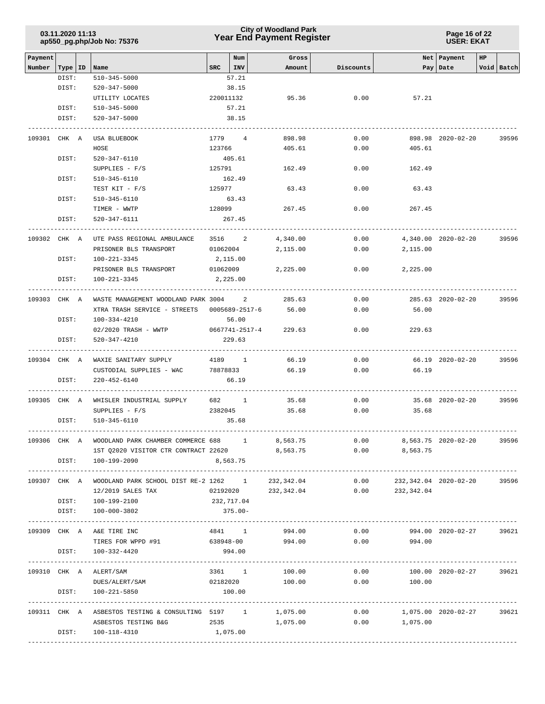| 03.11.2020 11:13           |  |
|----------------------------|--|
| ap550_pg.php/Job No: 75376 |  |

**Page 16 of 22 USER: EKAT**

| Payment<br>Number | Type   ID | Name                                                                                | $_{\rm SRC}$ | Num<br>INV   | Gross<br>Amount     | Discounts |                       | Net Payment<br>Pay   Date | HP | Void Batch              |
|-------------------|-----------|-------------------------------------------------------------------------------------|--------------|--------------|---------------------|-----------|-----------------------|---------------------------|----|-------------------------|
|                   | DIST:     | $510 - 345 - 5000$                                                                  |              | 57.21        |                     |           |                       |                           |    |                         |
|                   | DIST:     | 520-347-5000                                                                        |              | 38.15        |                     |           |                       |                           |    |                         |
|                   |           | UTILITY LOCATES                                                                     | 220011132    |              | 95.36               | 0.00      | 57.21                 |                           |    |                         |
|                   | DIST:     | $510 - 345 - 5000$                                                                  |              | 57.21        |                     |           |                       |                           |    |                         |
|                   | DIST:     | 520-347-5000                                                                        |              | 38.15        |                     |           |                       |                           |    |                         |
|                   |           | ----------------                                                                    |              |              |                     |           |                       |                           |    |                         |
| 109301 CHK A      |           | USA BLUEBOOK                                                                        | 1779 4       |              | 898.98              | 0.00      |                       | 898.98 2020-02-20         |    | 39596                   |
|                   |           | HOSE                                                                                | 123766       |              | 405.61              | 0.00      | 405.61                |                           |    |                         |
|                   | DIST:     | 520-347-6110                                                                        |              | 405.61       |                     |           |                       |                           |    |                         |
|                   |           | $SUPPLIES - F/S$                                                                    | 125791       |              | 162.49              | 0.00      | 162.49                |                           |    |                         |
|                   | DIST:     | 510-345-6110                                                                        |              | 162.49       |                     |           |                       |                           |    |                         |
|                   |           | TEST KIT - F/S                                                                      | 125977       |              | 63.43               | 0.00      | 63.43                 |                           |    |                         |
|                   | DIST:     | 510-345-6110                                                                        |              | 63.43        |                     |           |                       |                           |    |                         |
|                   |           | TIMER - WWTP                                                                        | 128099       |              | 267.45              | 0.00      | 267.45                |                           |    |                         |
|                   | DIST:     | 520-347-6111                                                                        |              | 267.45       |                     |           |                       |                           |    |                         |
| 109302 CHK A      |           | UTE PASS REGIONAL AMBULANCE                                                         |              |              | 3516 2<br>4,340.00  | 0.00      |                       | 4,340.00 2020-02-20       |    | 39596                   |
|                   |           | PRISONER BLS TRANSPORT                                                              | 01062004     |              | 2,115.00            | 0.00      | 2,115.00              |                           |    |                         |
|                   | DIST:     | 100-221-3345                                                                        | 2,115.00     |              |                     |           |                       |                           |    |                         |
|                   |           | PRISONER BLS TRANSPORT                                                              | 01062009     |              | 2,225.00            | 0.00      | 2,225.00              |                           |    |                         |
|                   | DIST:     | 100-221-3345                                                                        | 2,225.00     |              |                     |           |                       |                           |    |                         |
| 109303 CHK A      |           | WASTE MANAGEMENT WOODLAND PARK 3004 2                                               |              |              | 285.63              | 0.00      |                       | 285.63 2020-02-20         |    | 39596                   |
|                   |           | XTRA TRASH SERVICE - STREETS 0005689-2517-6                                         |              |              | 56.00               | 0.00      | 56.00                 |                           |    |                         |
|                   | DIST:     | 100-334-4210                                                                        |              | 56.00        |                     |           |                       |                           |    |                         |
|                   |           | 02/2020 TRASH - WWTP 0667741-2517-4 229.63                                          |              |              |                     | 0.00      | 229.63                |                           |    |                         |
|                   | DIST:     | 520-347-4210                                                                        |              | 229.63       |                     |           |                       |                           |    |                         |
|                   |           | -------------------------                                                           |              |              |                     |           |                       |                           |    |                         |
|                   |           | 109304 CHK A WAXIE SANITARY SUPPLY                                                  | 4189 1       |              | 66.19               | 0.00      |                       | 66.19 2020-02-20          |    | 39596                   |
|                   | DIST:     | CUSTODIAL SUPPLIES - WAC<br>220-452-6140                                            | 78878833     | 66.19        | 66.19               | 0.00      | 66.19                 |                           |    |                         |
|                   |           |                                                                                     |              |              |                     |           |                       |                           |    |                         |
| 109305 CHK A      |           | WHISLER INDUSTRIAL SUPPLY 682 1                                                     |              |              | 35.68               | 0.00      |                       | 35.68 2020-02-20          |    | 39596                   |
|                   |           | SUPPLIES $-F/S$                                                                     | 2382045      |              | 35.68               | 0.00      | 35.68                 |                           |    |                         |
|                   | DIST:     | 510-345-6110                                                                        |              | 35.68        |                     |           |                       |                           |    |                         |
| 109306 CHK A      |           | WOODLAND PARK CHAMBER COMMERCE 688                                                  |              | $\mathbf{1}$ | 8,563.75            | 0.00      |                       | 8,563.75 2020-02-20       |    | 39596                   |
|                   |           | 1ST Q2020 VISITOR CTR CONTRACT 22620                                                |              |              | 8,563.75            |           | $0.00$ 8,563.75       |                           |    |                         |
|                   | DIST:     | 100-199-2090                                                                        |              | 8,563.75     |                     |           |                       |                           |    |                         |
|                   |           | 109307 CHK A WOODLAND PARK SCHOOL DIST RE-2 1262 1                                  |              |              | 232,342.04          | 0.00      | 232,342.04 2020-02-20 |                           |    | 39596                   |
|                   |           | 12/2019 SALES TAX                                                                   |              |              | 02192020 232,342.04 |           | $0.00$ 232,342.04     |                           |    |                         |
|                   |           | DIST: 100-199-2100                                                                  | 232,717.04   |              |                     |           |                       |                           |    |                         |
|                   | DIST:     | 100-000-3802                                                                        |              | $375.00 -$   |                     |           |                       |                           |    |                         |
|                   |           |                                                                                     |              |              |                     |           |                       |                           |    |                         |
|                   |           | 109309 CHK A A&E TIRE INC                                                           | 4841 1       |              | 994.00              | 0.00      |                       | 994.00 2020-02-27         |    | 39621                   |
|                   |           | TIRES FOR WPPD #91                                                                  | 638948-00    |              | 994.00              | 0.00      | 994.00                |                           |    |                         |
|                   | DIST:     | 100-332-4420                                                                        |              | 994.00       |                     |           |                       |                           |    |                         |
|                   |           | 109310 CHK A ALERT/SAM                                                              |              |              | 3361 1<br>100.00    | 0.00      |                       | 100.00 2020-02-27         |    | 39621                   |
|                   |           | DUES/ALERT/SAM                                                                      | 02182020     |              | 100.00              |           | 0.00<br>100.00        |                           |    |                         |
|                   | DIST:     | 100-221-5850                                                                        |              | 100.00       |                     |           |                       |                           |    |                         |
|                   |           | 109311 CHK A ASBESTOS TESTING & CONSULTING 5197 1 1,075.00 0.00 1,075.00 2020-02-27 |              |              |                     |           |                       |                           |    | --------------<br>39621 |
|                   |           | ASBESTOS TESTING B&G                                                                |              |              | 2535 1,075.00       |           | $0.00$ 1,075.00       |                           |    |                         |
|                   | DIST:     | 100-118-4310                                                                        | 1,075.00     |              |                     |           |                       |                           |    |                         |
|                   |           |                                                                                     |              |              |                     |           |                       |                           |    |                         |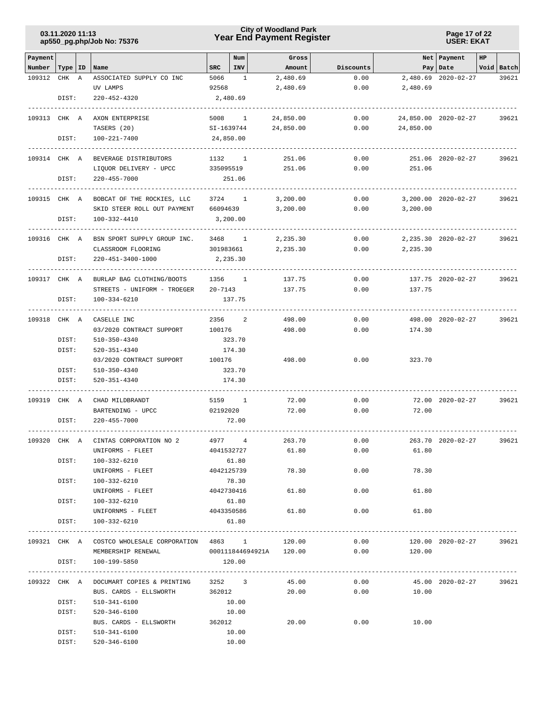# **Year End Payment Register City of Woodland Park 03.11.2020 11:13**

**Page 17 of 22 USER: EKAT**

| Payment      |           |   |                                                  |             | Num            | Gross                   |           |                               | Net Payment          | HP |            |
|--------------|-----------|---|--------------------------------------------------|-------------|----------------|-------------------------|-----------|-------------------------------|----------------------|----|------------|
| Number       | Type   ID |   | Name                                             | <b>SRC</b>  | INV            | Amount                  | Discounts |                               | Pay Date             |    | Void Batch |
| 109312       | CHK       | A | ASSOCIATED SUPPLY CO INC                         | 5066        | 1              | 2,480.69                | 0.00      |                               | 2,480.69 2020-02-27  |    | 39621      |
|              |           |   | UV LAMPS                                         | 92568       |                | 2,480.69                | 0.00      | 2,480.69                      |                      |    |            |
|              | DIST:     |   | 220-452-4320                                     |             | 2,480.69       |                         |           |                               |                      |    |            |
|              |           |   |                                                  |             |                |                         |           |                               |                      |    |            |
| 109313 CHK A |           |   | AXON ENTERPRISE                                  | 5008        | $\sim$ 1       | 24,850.00               | 0.00      |                               | 24,850.00 2020-02-27 |    | 39621      |
|              |           |   | TASERS (20)                                      | SI-1639744  |                | 24,850.00               | 0.00      | 24,850.00                     |                      |    |            |
|              | DIST:     |   | 100-221-7400                                     |             | 24,850.00      |                         |           |                               |                      |    |            |
| 109314 CHK A |           |   | BEVERAGE DISTRIBUTORS                            | 1132        | $\frac{1}{2}$  | 251.06                  | 0.00      |                               | 251.06 2020-02-27    |    | 39621      |
|              |           |   | LIQUOR DELIVERY - UPCC                           | 335095519   |                | 251.06                  | 0.00      | 251.06                        |                      |    |            |
|              | DIST:     |   | 220-455-7000                                     |             | 251.06         |                         |           |                               |                      |    |            |
|              |           |   |                                                  |             |                |                         |           |                               |                      |    |            |
| 109315 CHK A |           |   | BOBCAT OF THE ROCKIES, LLC                       |             | 3724 1         | 3,200.00                | 0.00      |                               | 3,200.00 2020-02-27  |    | 39621      |
|              |           |   | SKID STEER ROLL OUT PAYMENT                      | 66094639    |                | 3,200.00                | 0.00      | 3,200.00                      |                      |    |            |
|              | DIST:     |   | 100-332-4410<br>-----------------                |             | 3,200.00       |                         |           |                               |                      |    |            |
| 109316 CHK A |           |   | BSN SPORT SUPPLY GROUP INC.                      | 3468        | $\sim$ 1       | 2,235.30                | 0.00      |                               | 2, 235.30 2020-02-27 |    | 39621      |
|              |           |   | CLASSROOM FLOORING                               | 301983661   |                | 2,235.30                | 0.00      | 2,235.30                      |                      |    |            |
|              | DIST:     |   | 220-451-3400-1000                                |             | 2,235.30       |                         |           |                               |                      |    |            |
|              |           |   |                                                  |             |                |                         |           |                               |                      |    |            |
| 109317 CHK A |           |   | BURLAP BAG CLOTHING/BOOTS                        |             | 1356 1         | 137.75                  | 0.00      |                               | 137.75 2020-02-27    |    | 39621      |
|              |           |   | STREETS - UNIFORM - TROEGER                      | $20 - 7143$ |                | 137.75                  | 0.00      | 137.75                        |                      |    |            |
|              | DIST:     |   | 100-334-6210                                     |             | 137.75         |                         |           |                               |                      |    |            |
| 109318 CHK A |           |   | CASELLE INC                                      | 2356        | 2              | 498.00                  | 0.00      |                               | 498.00 2020-02-27    |    | 39621      |
|              |           |   | 03/2020 CONTRACT SUPPORT                         | 100176      |                | 498.00                  | 0.00      | 174.30                        |                      |    |            |
|              | DIST:     |   | 510-350-4340                                     |             | 323.70         |                         |           |                               |                      |    |            |
|              | DIST:     |   | 520-351-4340                                     |             | 174.30         |                         |           |                               |                      |    |            |
|              |           |   | 03/2020 CONTRACT SUPPORT                         | 100176      |                | 498.00                  | 0.00      | 323.70                        |                      |    |            |
|              | DIST:     |   | 510-350-4340                                     |             | 323.70         |                         |           |                               |                      |    |            |
|              | DIST:     |   | 520-351-4340                                     |             | 174.30         |                         |           |                               |                      |    |            |
|              |           |   |                                                  |             |                |                         |           |                               |                      |    |            |
| 109319 CHK A |           |   | CHAD MILDBRANDT                                  |             | 5159 1         | 72.00                   | 0.00      |                               | 72.00 2020-02-27     |    | 39621      |
|              |           |   | BARTENDING - UPCC                                | 02192020    |                | 72.00                   | 0.00      | 72.00                         |                      |    |            |
|              | DIST:     |   | $220 - 455 - 7000$                               |             | 72.00          |                         |           |                               |                      |    |            |
| 109320 CHK A |           |   | CINTAS CORPORATION NO 2                          | 4977        | $\overline{4}$ | 263.70                  | 0.00      |                               | 263.70 2020-02-27    |    | 39621      |
|              |           |   | UNIFORMS - FLEET                                 |             | 4041532727     | 61.80                   | 0.00      | 61.80                         |                      |    |            |
|              | DIST:     |   | 100-332-6210                                     |             | 61.80          |                         |           |                               |                      |    |            |
|              |           |   | UNIFORMS - FLEET                                 |             | 4042125739     | 78.30                   | 0.00      | 78.30                         |                      |    |            |
|              | DIST:     |   | 100-332-6210                                     |             | 78.30          |                         |           |                               |                      |    |            |
|              |           |   | UNIFORMS - FLEET                                 |             | 4042730416     | 61.80                   | 0.00      | 61.80                         |                      |    |            |
|              | DIST:     |   | 100-332-6210                                     |             | 61.80          |                         |           |                               |                      |    |            |
|              |           |   | UNIFORNMS - FLEET 4043350586                     |             |                | 61.80                   | 0.00      | 61.80                         |                      |    |            |
|              | DIST:     |   | 100-332-6210                                     |             | 61.80          |                         |           |                               |                      |    |            |
|              |           |   |                                                  |             |                |                         |           | ----------------------        |                      |    |            |
|              |           |   | 109321 CHK A COSTCO WHOLESALE CORPORATION 4863 1 |             |                | 120.00                  | 0.00      |                               | 120.00 2020-02-27    |    | 39621      |
|              |           |   | MEMBERSHIP RENEWAL                               |             |                | 000111844694921A 120.00 | 0.00      | 120.00                        |                      |    |            |
|              | DIST:     |   | 100-199-5850                                     |             | 120.00         |                         |           |                               |                      |    |            |
|              |           |   | 109322 CHK A DOCUMART COPIES & PRINTING 3252 3   |             |                | 45.00                   |           | $0.00$ 45.00 2020-02-27 39621 |                      |    |            |
|              |           |   | BUS. CARDS - ELLSWORTH                           |             | 362012         | 20.00                   |           | $0.00$ 10.00                  |                      |    |            |
|              | DIST:     |   | 510-341-6100                                     |             | 10.00          |                         |           |                               |                      |    |            |
|              | DIST:     |   | 520-346-6100                                     |             | 10.00          |                         |           |                               |                      |    |            |
|              |           |   | BUS. CARDS - ELLSWORTH 362012                    |             |                | 20.00                   | 0.00      | 10.00                         |                      |    |            |
|              | DIST:     |   | 510-341-6100                                     |             | 10.00          |                         |           |                               |                      |    |            |
|              | DIST:     |   | 520-346-6100                                     |             | 10.00          |                         |           |                               |                      |    |            |
|              |           |   |                                                  |             |                |                         |           |                               |                      |    |            |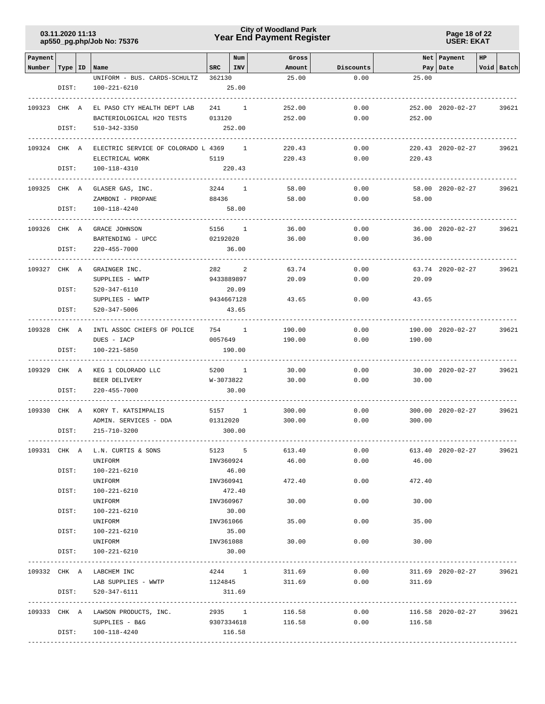# **Year End Payment Register City of Woodland Park 03.11.2020 11:13**

**Page 18 of 22 USER: EKAT**

| Payment      |           |                                                  |                   | Num            | Gross          |              |               | Net Payment       | HP |            |
|--------------|-----------|--------------------------------------------------|-------------------|----------------|----------------|--------------|---------------|-------------------|----|------------|
| Number       | Type   ID | Name                                             | $_{\rm SRC}$      | <b>INV</b>     | Amount         | Discounts    |               | Pay Date          |    | Void Batch |
|              |           | UNIFORM - BUS. CARDS-SCHULTZ                     | 362130            |                | 25.00          | 0.00         | 25.00         |                   |    |            |
|              | DIST:     | 100-221-6210                                     |                   | 25.00          |                |              |               |                   |    |            |
|              |           |                                                  |                   |                |                |              |               |                   |    |            |
| 109323 CHK A |           | EL PASO CTY HEALTH DEPT LAB                      | 241 1             |                | 252.00         | 0.00         |               | 252.00 2020-02-27 |    | 39621      |
|              |           | BACTERIOLOGICAL H2O TESTS                        | 013120            |                | 252.00         | 0.00         | 252.00        |                   |    |            |
|              | DIST:     | 510-342-3350                                     |                   | 252.00         |                |              |               |                   |    |            |
| 109324 CHK A |           | ELECTRIC SERVICE OF COLORADO L 4369 1            |                   |                | 220.43         | 0.00         |               | 220.43 2020-02-27 |    | 39621      |
|              |           | ELECTRICAL WORK                                  | 5119              |                | 220.43         | 0.00         | 220.43        |                   |    |            |
|              | DIST:     | 100-118-4310                                     |                   | 220.43         |                |              |               |                   |    |            |
|              |           |                                                  |                   |                |                |              |               |                   |    |            |
| 109325 CHK A |           | GLASER GAS, INC.                                 | 3244              | <sup>1</sup>   | 58.00          | 0.00         |               | 58.00 2020-02-27  |    | 39621      |
|              |           | ZAMBONI - PROPANE                                | 88436             |                | 58.00          | 0.00         | 58.00         |                   |    |            |
|              | DIST:     | 100-118-4240                                     |                   | 58.00          |                |              |               |                   |    |            |
|              |           |                                                  |                   |                |                |              |               |                   |    |            |
| 109326 CHK A |           | GRACE JOHNSON                                    | 5156 1            |                | 36.00          | 0.00         |               | 36.00 2020-02-27  |    | 39621      |
|              |           | BARTENDING - UPCC                                | 02192020          |                | 36.00          | 0.00         | 36.00         |                   |    |            |
|              | DIST:     | 220-455-7000                                     |                   | 36.00          |                |              |               |                   |    |            |
| 109327 CHK A |           | GRAINGER INC.                                    | 282               | 2              | 63.74          | 0.00         |               | 63.74 2020-02-27  |    | 39621      |
|              |           | SUPPLIES - WWTP                                  | 9433889897        |                | 20.09          | 0.00         | 20.09         |                   |    |            |
|              | DIST:     | 520-347-6110                                     |                   | 20.09          |                |              |               |                   |    |            |
|              |           | SUPPLIES - WWTP                                  | 9434667128        |                | 43.65          | 0.00         | 43.65         |                   |    |            |
|              | DIST:     | 520-347-5006                                     |                   | 43.65          |                |              |               |                   |    |            |
|              |           |                                                  |                   |                |                |              |               |                   |    |            |
| 109328 CHK A |           | INTL ASSOC CHIEFS OF POLICE                      | 754 1             |                | 190.00         | 0.00         |               | 190.00 2020-02-27 |    | 39621      |
|              |           | DUES - IACP                                      | 0057649           |                | 190.00         | 0.00         | 190.00        |                   |    |            |
|              | DIST:     | 100-221-5850                                     |                   | 190.00         |                |              |               |                   |    |            |
|              |           |                                                  |                   |                |                |              |               |                   |    |            |
| 109329 CHK A |           | KEG 1 COLORADO LLC<br>BEER DELIVERY              | 5200<br>W-3073822 | $\overline{1}$ | 30.00<br>30.00 | 0.00<br>0.00 | 30.00         | 30.00 2020-02-27  |    | 39621      |
|              | DIST:     | 220-455-7000                                     |                   | 30.00          |                |              |               |                   |    |            |
|              |           |                                                  |                   |                |                |              |               |                   |    |            |
| 109330 CHK A |           | KORY T. KATSIMPALIS                              | 5157 1            |                | 300.00         | 0.00         |               | 300.00 2020-02-27 |    | 39621      |
|              |           | ADMIN. SERVICES - DDA                            | 01312020          |                | 300.00         | 0.00         | 300.00        |                   |    |            |
|              | DIST:     | 215-710-3200                                     |                   | 300.00         |                |              |               |                   |    |            |
|              |           |                                                  |                   |                |                |              |               |                   |    |            |
|              |           | 109331 CHK A L.N. CURTIS & SONS                  | 5123 5            |                | 613.40         | 0.00         |               | 613.40 2020-02-27 |    | 39621      |
|              |           | UNIFORM                                          | INV360924         |                | 46.00          | 0.00         | 46.00         |                   |    |            |
|              | DIST:     | 100-221-6210<br>UNIFORM                          | INV360941         | 46.00          | 472.40         | 0.00         | 472.40        |                   |    |            |
|              | DIST:     | 100-221-6210                                     |                   | 472.40         |                |              |               |                   |    |            |
|              |           | UNIFORM                                          | INV360967         |                | 30.00          | 0.00         | 30.00         |                   |    |            |
|              | DIST:     | 100-221-6210                                     |                   | 30.00          |                |              |               |                   |    |            |
|              |           | UNIFORM                                          | INV361066         |                | 35.00          | 0.00         | 35.00         |                   |    |            |
|              | DIST:     | 100-221-6210                                     |                   | 35.00          |                |              |               |                   |    |            |
|              |           | UNIFORM                                          | INV361088         |                | 30.00          |              | 0.00<br>30.00 |                   |    |            |
|              | DIST:     | 100-221-6210                                     |                   | 30.00          |                |              |               |                   |    |            |
|              |           |                                                  |                   |                |                |              |               |                   |    |            |
|              |           | 109332 CHK A LABCHEM INC                         | 4244 1            |                | 311.69         | 0.00         |               | 311.69 2020-02-27 |    | 39621      |
|              |           | LAB SUPPLIES - WWTP                              | 1124845           |                | 311.69         | 0.00         | 311.69        |                   |    |            |
|              | DIST:     | 520-347-6111                                     |                   | 311.69         |                |              |               |                   |    |            |
|              |           | 109333 CHK A LAWSON PRODUCTS, INC. 2935 1 116.58 |                   |                |                |              | 0.00          | 116.58 2020-02-27 |    | 39621      |
|              |           | SUPPLIES - B&G 9307334618 116.58                 |                   |                |                |              | $0.00$ 116.58 |                   |    |            |
|              |           | DIST: 100-118-4240                               |                   | 116.58         |                |              |               |                   |    |            |
|              |           |                                                  |                   |                |                |              |               |                   |    |            |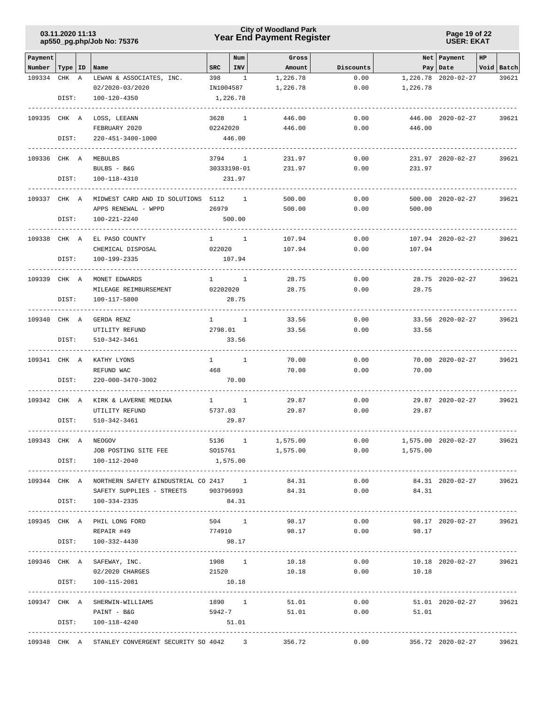# **Year End Payment Register City of Woodland Park 03.11.2020 11:13**

**Page 19 of 22 USER: EKAT**

| Payment      |         |                                                           |                        | Num                 | Gross        |            |                         | Net Payment            | HP |            |
|--------------|---------|-----------------------------------------------------------|------------------------|---------------------|--------------|------------|-------------------------|------------------------|----|------------|
| Number       | Type ID | Name                                                      | <b>SRC</b>             | INV                 | Amount       | Discounts  |                         | Pay   Date             |    | Void Batch |
| 109334       | CHK A   | LEWAN & ASSOCIATES, INC.                                  | 398                    | 1                   | 1,226.78     | 0.00       |                         | 1,226.78 2020-02-27    |    | 39621      |
|              |         | 02/2020-03/2020                                           | IN1004587              |                     | 1,226.78     | 0.00       | 1,226.78                |                        |    |            |
|              | DIST:   | 100-120-4350                                              |                        | 1,226.78            |              |            |                         |                        |    |            |
| 109335 CHK A |         | LOSS, LEEANN                                              | 3628                   | $\overline{1}$      | 446.00       | 0.00       |                         | 446.00 2020-02-27      |    | 39621      |
|              |         | FEBRUARY 2020                                             | 02242020               |                     | 446.00       | 0.00       | 446.00                  |                        |    |            |
|              | DIST:   | 220-451-3400-1000                                         |                        | 446.00              |              |            |                         |                        |    |            |
|              |         |                                                           |                        |                     |              |            |                         |                        |    |            |
| 109336 CHK A |         | MEBULBS                                                   | 3794                   | $\mathbf{1}$        | 231.97       | 0.00       |                         | 231.97 2020-02-27      |    | 39621      |
|              |         | BULBS - B&G                                               |                        | 30333198-01         | 231.97       | 0.00       | 231.97                  |                        |    |            |
|              | DIST:   | 100-118-4310                                              |                        | 231.97              |              |            |                         |                        |    |            |
|              |         |                                                           |                        |                     |              |            |                         |                        |    |            |
| 109337 CHK A |         | MIDWEST CARD AND ID SOLUTIONS 5112                        |                        | <sup>1</sup>        | 500.00       | 0.00       |                         | 500.00 2020-02-27      |    | 39621      |
|              |         | APPS RENEWAL - WPPD                                       | 26979                  |                     | 500.00       | 0.00       | 500.00                  |                        |    |            |
|              | DIST:   | 100-221-2240                                              |                        | 500.00              |              |            |                         |                        |    |            |
| 109338 CHK A |         | EL PASO COUNTY                                            | $\mathbf{1}$           | <sup>1</sup>        | 107.94       | 0.00       |                         | 107.94 2020-02-27      |    | 39621      |
|              |         | CHEMICAL DISPOSAL                                         | 022020                 |                     | 107.94       | 0.00       | 107.94                  |                        |    |            |
|              | DIST:   | 100-199-2335                                              |                        | 107.94              |              |            |                         |                        |    |            |
|              |         |                                                           |                        |                     |              |            |                         |                        |    |            |
| 109339 CHK A |         | MONET EDWARDS                                             | $1 \quad \cdots$       | $\mathbf{1}$        | 28.75        | 0.00       |                         | 28.75 2020-02-27       |    | 39621      |
|              |         | MILEAGE REIMBURSEMENT                                     | 02202020               |                     | 28.75        | 0.00       | 28.75                   |                        |    |            |
|              | DIST:   | 100-117-5800                                              |                        | 28.75               |              |            |                         |                        |    |            |
| 109340 CHK A |         | GERDA RENZ                                                |                        | $1 \qquad \qquad 1$ | 33.56        | 0.00       |                         | 33.56 2020-02-27       |    | 39621      |
|              |         | UTILITY REFUND                                            | 2798.01                |                     | 33.56        | 0.00       | 33.56                   |                        |    |            |
|              | DIST:   | 510-342-3461                                              |                        | 33.56               |              |            |                         |                        |    |            |
|              |         |                                                           |                        |                     |              |            |                         |                        |    |            |
| 109341 CHK A |         | KATHY LYONS                                               | $1 \quad \blacksquare$ | 1                   | 70.00        | 0.00       |                         | 70.00 2020-02-27       |    | 39621      |
|              |         | REFUND WAC                                                | 468                    |                     | 70.00        | 0.00       | 70.00                   |                        |    |            |
|              | DIST:   | 220-000-3470-3002                                         |                        | 70.00               |              |            |                         |                        |    |            |
| 109342 CHK A |         | KIRK & LAVERNE MEDINA                                     | $1 \quad \blacksquare$ | $\sim$ 1            | 29.87        | 0.00       |                         | 29.87 2020-02-27       |    | 39621      |
|              |         | UTILITY REFUND                                            | 5737.03                |                     | 29.87        | 0.00       | 29.87                   |                        |    |            |
|              | DIST:   | 510-342-3461                                              |                        | 29.87               |              |            |                         |                        |    |            |
|              |         |                                                           |                        |                     |              |            |                         |                        |    |            |
| 109343 CHK A |         | <b>NEOGOV</b>                                             |                        | 5136 1              | 1,575.00     | 0.00       |                         | 1,575.00 2020-02-27    |    | 39621      |
|              |         | JOB POSTING SITE FEE SO15761 1,575.00                     |                        |                     |              |            | 0.00<br>1,575.00        |                        |    |            |
|              |         | DIST: 100-112-2040                                        | 1,575.00               |                     |              |            |                         |                        |    |            |
|              |         | 109344 CHK A NORTHERN SAFETY & INDUSTRIAL CO 2417 1       |                        |                     | 84.31        | 0.00       |                         | 84.31 2020-02-27       |    | 39621      |
|              |         | SAFETY SUPPLIES - STREETS 903796993                       |                        |                     | 84.31        |            | 0.00<br>84.31           |                        |    |            |
|              |         | DIST: 100-334-2335                                        |                        | 84.31               |              |            |                         |                        |    |            |
|              |         |                                                           |                        |                     |              |            |                         |                        |    |            |
|              |         | 109345 CHK A PHIL LONG FORD                               |                        |                     | 504 1        | 98.17      | $0.00$ 98.17 2020-02-27 |                        |    | 39621      |
|              |         | REPAIR #49                                                |                        |                     |              |            | 774910 98.17 0.00 98.17 |                        |    |            |
|              | DIST:   | 100-332-4430                                              |                        | 98.17               |              |            |                         |                        |    |            |
|              |         | 109346 CHK A SAFEWAY, INC.                                |                        | 1908 1              | 10.18        | 0.00       |                         | 10.18 2020-02-27 39621 |    |            |
|              |         | 02/2020 CHARGES                                           |                        | 21520               |              | 10.18 0.00 | 10.18                   |                        |    |            |
|              | DIST:   | 100-115-2081                                              |                        | 10.18               |              |            |                         |                        |    |            |
|              |         |                                                           |                        |                     |              |            |                         |                        |    |            |
|              |         | 109347 CHK A SHERWIN-WILLIAMS                             |                        |                     | 1890 1 51.01 |            | $0.00$ 51.01 2020-02-27 |                        |    | 39621      |
|              |         | PAINT - B&G                                               |                        |                     | 5942-7 51.01 |            | $0.00$ 51.01            |                        |    |            |
|              |         | DIST: 100-118-4240                                        | 51.01                  |                     |              |            |                         |                        |    |            |
|              |         | 109348 CHK A STANLEY CONVERGENT SECURITY SO 4042 3 356.72 |                        |                     |              | 0.00       | 356.72 2020-02-27       |                        |    | 39621      |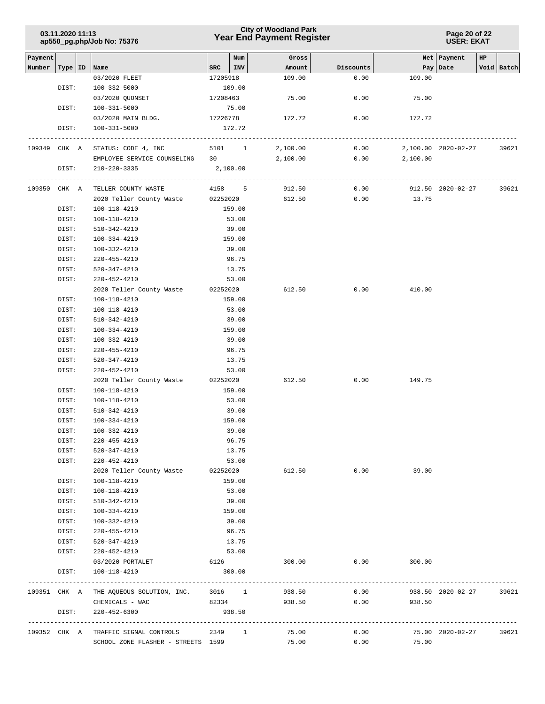| 03.11.2020 11:13           |  |
|----------------------------|--|
| ap550_pg.php/Job No: 75376 |  |

| Payment |              |                                                |                  | Num      | Gross    |           |          | Net   Payment       | HP |            |
|---------|--------------|------------------------------------------------|------------------|----------|----------|-----------|----------|---------------------|----|------------|
| Number  | Type   ID    | Name                                           | SRC              | INV      | Amount   | Discounts |          | Pay   Date          |    | Void Batch |
|         |              | 03/2020 FLEET                                  | 17205918         |          | 109.00   | 0.00      | 109.00   |                     |    |            |
|         | DIST:        | 100-332-5000                                   |                  | 109.00   |          |           |          |                     |    |            |
|         |              | 03/2020 QUONSET                                | 17208463         |          | 75.00    | 0.00      | 75.00    |                     |    |            |
|         | DIST:        | $100 - 331 - 5000$                             |                  | 75.00    |          |           |          |                     |    |            |
|         |              | 03/2020 MAIN BLDG.                             | 17226778         |          | 172.72   | 0.00      | 172.72   |                     |    |            |
|         | DIST:        | $100 - 331 - 5000$                             |                  | 172.72   |          |           |          |                     |    |            |
|         |              |                                                | ---------------- |          |          |           |          |                     |    |            |
|         | 109349 CHK A | STATUS: CODE 4, INC                            |                  | 5101 1   | 2,100.00 | 0.00      |          | 2,100.00 2020-02-27 |    | 39621      |
|         |              | EMPLOYEE SERVICE COUNSELING 30                 |                  |          | 2,100.00 | 0.00      | 2,100.00 |                     |    |            |
|         | DIST:        | 210-220-3335                                   |                  | 2,100.00 |          |           |          |                     |    |            |
|         | 109350 CHK A | TELLER COUNTY WASTE                            |                  | 4158 5   | 912.50   | 0.00      |          | 912.50 2020-02-27   |    | 39621      |
|         |              | 2020 Teller County Waste                       |                  | 02252020 | 612.50   | 0.00      | 13.75    |                     |    |            |
|         | DIST:        | 100-118-4210                                   |                  | 159.00   |          |           |          |                     |    |            |
|         | DIST:        | 100-118-4210                                   |                  | 53.00    |          |           |          |                     |    |            |
|         | DIST:        | 510-342-4210                                   |                  | 39.00    |          |           |          |                     |    |            |
|         | DIST:        | 100-334-4210                                   |                  | 159.00   |          |           |          |                     |    |            |
|         | DIST:        | 100-332-4210                                   |                  | 39.00    |          |           |          |                     |    |            |
|         | DIST:        | 220-455-4210                                   |                  | 96.75    |          |           |          |                     |    |            |
|         | DIST:        | 520-347-4210                                   |                  | 13.75    |          |           |          |                     |    |            |
|         | DIST:        | $220 - 452 - 4210$                             |                  | 53.00    |          |           |          |                     |    |            |
|         |              | 2020 Teller County Waste                       |                  | 02252020 | 612.50   | 0.00      | 410.00   |                     |    |            |
|         | DIST:        | 100-118-4210                                   |                  | 159.00   |          |           |          |                     |    |            |
|         | DIST:        | 100-118-4210                                   |                  | 53.00    |          |           |          |                     |    |            |
|         | DIST:        | 510-342-4210                                   |                  | 39.00    |          |           |          |                     |    |            |
|         | DIST:        | 100-334-4210                                   |                  | 159.00   |          |           |          |                     |    |            |
|         | DIST:        | 100-332-4210                                   |                  | 39.00    |          |           |          |                     |    |            |
|         | DIST:        | 220-455-4210                                   |                  | 96.75    |          |           |          |                     |    |            |
|         | DIST:        | 520-347-4210                                   |                  | 13.75    |          |           |          |                     |    |            |
|         | DIST:        | 220-452-4210                                   |                  | 53.00    |          |           |          |                     |    |            |
|         |              | 2020 Teller County Waste                       | 02252020         |          | 612.50   | 0.00      | 149.75   |                     |    |            |
|         | DIST:        | 100-118-4210                                   |                  | 159.00   |          |           |          |                     |    |            |
|         | DIST:        | 100-118-4210                                   |                  | 53.00    |          |           |          |                     |    |            |
|         | DIST:        | 510-342-4210                                   |                  | 39.00    |          |           |          |                     |    |            |
|         | DIST:        | 100-334-4210                                   |                  | 159.00   |          |           |          |                     |    |            |
|         | DIST:        | 100-332-4210                                   |                  | 39.00    |          |           |          |                     |    |            |
|         | DIST:        | $220 - 455 - 4210$                             |                  | 96.75    |          |           |          |                     |    |            |
|         | DIST:        | 520-347-4210                                   |                  | 13.75    |          |           |          |                     |    |            |
|         | DIST:        | 220-452-4210                                   |                  | 53.00    |          |           |          |                     |    |            |
|         |              | 2020 Teller County Waste 02252020              |                  |          | 612.50   | 0.00      | 39.00    |                     |    |            |
|         | DIST:        | 100-118-4210                                   |                  | 159.00   |          |           |          |                     |    |            |
|         | DIST:        | 100-118-4210                                   |                  | 53.00    |          |           |          |                     |    |            |
|         | DIST:        | 510-342-4210                                   |                  | 39.00    |          |           |          |                     |    |            |
|         | DIST:        | 100-334-4210                                   |                  | 159.00   |          |           |          |                     |    |            |
|         | DIST:        | 100-332-4210                                   |                  | 39.00    |          |           |          |                     |    |            |
|         | DIST:        | 220-455-4210                                   |                  | 96.75    |          |           |          |                     |    |            |
|         | DIST:        | 520-347-4210                                   |                  | 13.75    |          |           |          |                     |    |            |
|         | DIST:        | 220-452-4210                                   |                  | 53.00    |          |           |          |                     |    |            |
|         |              | 03/2020 PORTALET                               | 6126             |          | 300.00   | 0.00      | 300.00   |                     |    |            |
|         | DIST:        | 100-118-4210                                   |                  | 300.00   |          |           |          |                     |    |            |
|         |              | 109351 CHK A THE AQUEOUS SOLUTION, INC. 3016 1 |                  |          | 938.50   | 0.00      |          | 938.50 2020-02-27   |    | 39621      |
|         |              | CHEMICALS - WAC                                |                  | 82334    | 938.50   | 0.00      | 938.50   |                     |    |            |
|         | DIST:        | $220 - 452 - 6300$                             |                  | 938.50   |          |           |          |                     |    |            |
|         |              |                                                |                  |          |          |           |          |                     |    |            |
|         |              | 109352 CHK A TRAFFIC SIGNAL CONTROLS           |                  | 2349 1   | 75.00    | 0.00      |          | 75.00 2020-02-27    |    | 39621      |
|         |              | SCHOOL ZONE FLASHER - STREETS 1599             |                  |          | 75.00    | 0.00      | 75.00    |                     |    |            |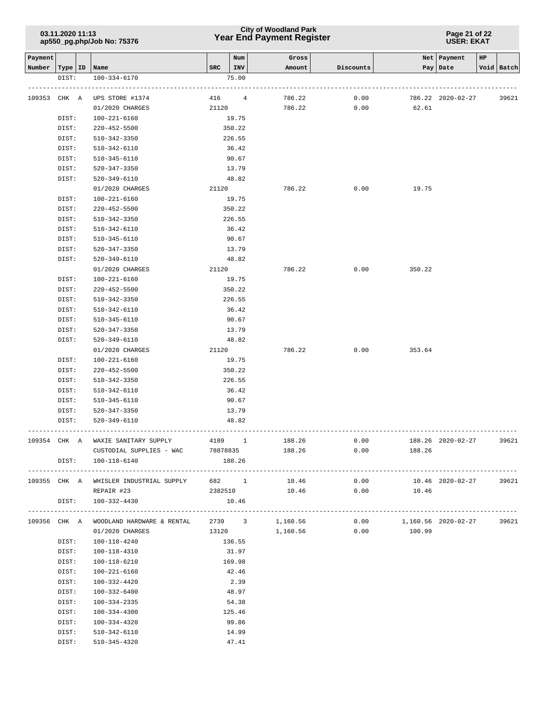# **Year End Payment Register City of Woodland Park 03.11.2020 11:13**

**Page 21 of 22 USER: EKAT**

| Payment |           |                                                         |          | Num    | Gross         |           |                            | Net   Payment     | HP |            |
|---------|-----------|---------------------------------------------------------|----------|--------|---------------|-----------|----------------------------|-------------------|----|------------|
| Number  | Type   ID | Name                                                    | SRC      | INV    | Amount        | Discounts |                            | Pay   Date        |    | Void Batch |
|         | DIST:     | 100-334-6170                                            |          | 75.00  |               |           |                            |                   |    |            |
| 109353  | CHK A     | UPS STORE #1374                                         | 416      | 4      | 786.22        | 0.00      |                            | 786.22 2020-02-27 |    | 39621      |
|         |           | 01/2020 CHARGES                                         | 21120    |        | 786.22        | 0.00      | 62.61                      |                   |    |            |
|         | DIST:     | $100 - 221 - 6160$                                      |          | 19.75  |               |           |                            |                   |    |            |
|         | DIST:     | 220-452-5500                                            |          | 350.22 |               |           |                            |                   |    |            |
|         | DIST:     | $510 - 342 - 3350$                                      |          | 226.55 |               |           |                            |                   |    |            |
|         | DIST:     | 510-342-6110                                            |          | 36.42  |               |           |                            |                   |    |            |
|         | DIST:     | 510-345-6110                                            |          | 90.67  |               |           |                            |                   |    |            |
|         | DIST:     | 520-347-3350                                            |          | 13.79  |               |           |                            |                   |    |            |
|         | DIST:     | 520-349-6110                                            |          | 48.82  |               |           |                            |                   |    |            |
|         |           | 01/2020 CHARGES                                         |          | 21120  | 786.22        | 0.00      | 19.75                      |                   |    |            |
|         | DIST:     | 100-221-6160                                            |          | 19.75  |               |           |                            |                   |    |            |
|         | DIST:     | $220 - 452 - 5500$                                      |          | 350.22 |               |           |                            |                   |    |            |
|         | DIST:     | 510-342-3350                                            |          | 226.55 |               |           |                            |                   |    |            |
|         | DIST:     | 510-342-6110                                            |          | 36.42  |               |           |                            |                   |    |            |
|         | DIST:     | 510-345-6110                                            |          | 90.67  |               |           |                            |                   |    |            |
|         | DIST:     | 520-347-3350                                            |          | 13.79  |               |           |                            |                   |    |            |
|         | DIST:     | 520-349-6110                                            |          | 48.82  |               |           |                            |                   |    |            |
|         |           | 01/2020 CHARGES                                         | 21120    |        | 786.22        | 0.00      | 350.22                     |                   |    |            |
|         | DIST:     | 100-221-6160                                            |          | 19.75  |               |           |                            |                   |    |            |
|         | DIST:     | $220 - 452 - 5500$                                      |          | 350.22 |               |           |                            |                   |    |            |
|         | DIST:     | 510-342-3350                                            |          | 226.55 |               |           |                            |                   |    |            |
|         | DIST:     | 510-342-6110                                            |          | 36.42  |               |           |                            |                   |    |            |
|         | DIST:     | 510-345-6110                                            |          | 90.67  |               |           |                            |                   |    |            |
|         | DIST:     | 520-347-3350                                            |          | 13.79  |               |           |                            |                   |    |            |
|         | DIST:     | 520-349-6110                                            |          | 48.82  |               |           |                            |                   |    |            |
|         |           | 01/2020 CHARGES                                         | 21120    |        | 786.22        | 0.00      | 353.64                     |                   |    |            |
|         | DIST:     | 100-221-6160                                            |          | 19.75  |               |           |                            |                   |    |            |
|         | DIST:     | $220 - 452 - 5500$                                      |          | 350.22 |               |           |                            |                   |    |            |
|         | DIST:     | 510-342-3350                                            |          | 226.55 |               |           |                            |                   |    |            |
|         | DIST:     | 510-342-6110                                            |          | 36.42  |               |           |                            |                   |    |            |
|         | DIST:     | 510-345-6110                                            |          | 90.67  |               |           |                            |                   |    |            |
|         | DIST:     | 520-347-3350                                            |          | 13.79  |               |           |                            |                   |    |            |
|         | DIST:     | 520-349-6110                                            |          | 48.82  |               |           |                            |                   |    |            |
| 109354  |           |                                                         |          |        |               |           |                            |                   |    |            |
|         | CHK A     | WAXIE SANITARY SUPPLY                                   |          | 4189 1 | 188.26        | 0.00      |                            | 188.26 2020-02-27 |    | 39621      |
|         |           | CUSTODIAL SUPPLIES - WAC                                | 78878835 |        | 188.26        | 0.00      | 188.26                     |                   |    |            |
|         |           | DIST: 100-118-6140                                      |          | 188.26 |               |           |                            |                   |    |            |
|         |           | 109355 CHK A WHISLER INDUSTRIAL SUPPLY 682 1 10.46      |          |        |               | 0.00      |                            | 10.46 2020-02-27  |    | 39621      |
|         |           | REPAIR #23                                              |          |        | 2382510 10.46 |           | $0.00$ 10.46               |                   |    |            |
|         |           | DIST: 100-332-4430                                      |          | 10.46  |               |           |                            |                   |    |            |
|         |           |                                                         |          |        |               |           |                            |                   |    |            |
|         |           | 109356 CHK A WOODLAND HARDWARE & RENTAL 2739 3 1,160.56 |          |        |               |           | $0.00$ 1,160.56 2020-02-27 |                   |    | 39621      |
|         |           | 01/2020 CHARGES                                         |          | 13120  | 1,160.56      | 0.00      | 100.99                     |                   |    |            |
|         | DIST:     | 100-118-4240                                            |          | 136.55 |               |           |                            |                   |    |            |
|         | DIST:     | 100-118-4310                                            |          | 31.97  |               |           |                            |                   |    |            |
|         | DIST:     | 100-118-6210                                            |          | 169.98 |               |           |                            |                   |    |            |
|         | DIST:     | 100-221-6160                                            |          | 42.46  |               |           |                            |                   |    |            |
|         | DIST:     | 100-332-4420                                            |          | 2.39   |               |           |                            |                   |    |            |
|         | DIST:     | 100-332-6400                                            |          | 48.97  |               |           |                            |                   |    |            |
|         | DIST:     | 100-334-2335                                            |          | 54.38  |               |           |                            |                   |    |            |
|         | DIST:     | 100-334-4300                                            |          | 125.46 |               |           |                            |                   |    |            |
|         | DIST:     | 100-334-4320                                            |          | 99.86  |               |           |                            |                   |    |            |
|         | DIST:     | 510-342-6110                                            |          | 14.99  |               |           |                            |                   |    |            |
|         | DIST:     | 510-345-4320                                            |          | 47.41  |               |           |                            |                   |    |            |